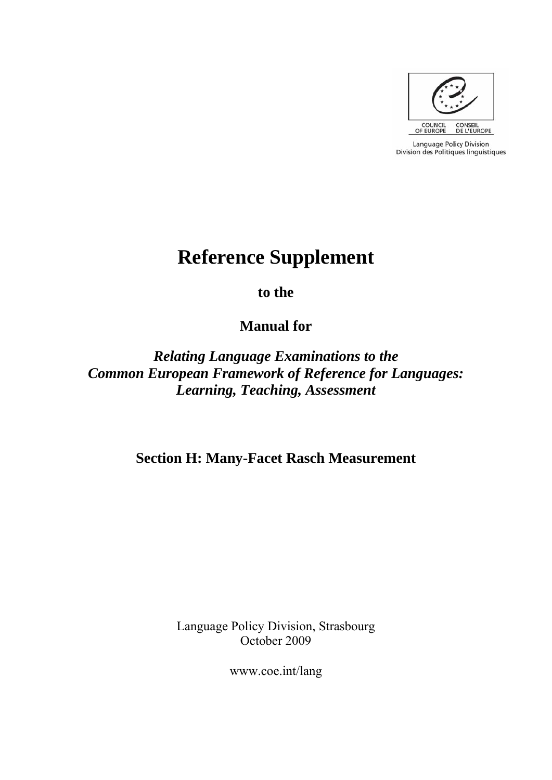

Language Policy Division Division des Politiques linguistiques

# **Reference Supplement**

**to the** 

**Manual for** 

*Relating Language Examinations to the Common European Framework of Reference for Languages: Learning, Teaching, Assessment* 

**Section H: Many-Facet Rasch Measurement** 

Language Policy Division, Strasbourg October 2009

www.coe.int/lang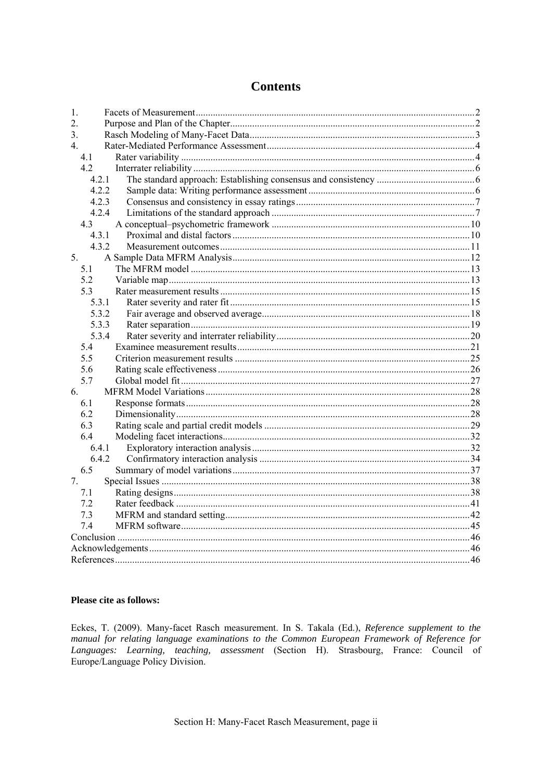# **Contents**

| 1.             |  |
|----------------|--|
| 2.             |  |
| 3 <sub>1</sub> |  |
| $4_{\cdot}$    |  |
| 4.1            |  |
| 4.2            |  |
| 4.2.1          |  |
| 4.2.2          |  |
| 4.2.3          |  |
| 4.2.4          |  |
| 4.3            |  |
| 4.3.1          |  |
| 4.3.2          |  |
| 5.             |  |
| 5.1            |  |
| 5.2            |  |
| 5.3            |  |
| 5.3.1          |  |
| 5.3.2          |  |
| 5.3.3          |  |
| 5.3.4          |  |
| 5.4            |  |
| 5.5            |  |
| 5.6            |  |
| 5.7            |  |
| 6.             |  |
| 6.1            |  |
| 6.2            |  |
| 6.3            |  |
| 6.4            |  |
| 6.4.1          |  |
| 6.4.2          |  |
| 6.5            |  |
| 7.             |  |
| 7.1            |  |
| 7.2            |  |
| 7.3            |  |
| 7.4            |  |
|                |  |
|                |  |
|                |  |

## Please cite as follows:

Eckes, T. (2009). Many-facet Rasch measurement. In S. Takala (Ed.), Reference supplement to the manual for relating language examinations to the Common European Framework of Reference for Languages: Learning, teaching, assessment (Section H). Strasbourg, France: Council of Europe/Language Policy Division.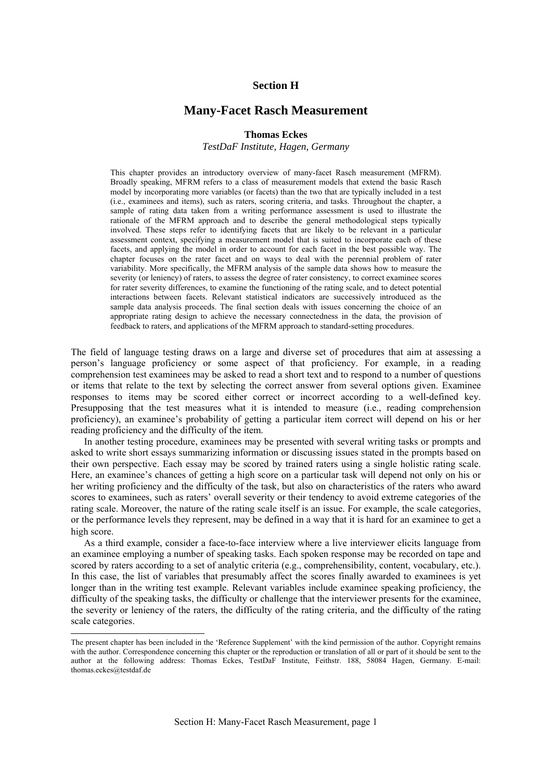## **Section H**

# **Many-Facet Rasch Measurement**

#### **Thomas Eckes**

*TestDaF Institute, Hagen, Germany* 

This chapter provides an introductory overview of many-facet Rasch measurement (MFRM). Broadly speaking, MFRM refers to a class of measurement models that extend the basic Rasch model by incorporating more variables (or facets) than the two that are typically included in a test (i.e., examinees and items), such as raters, scoring criteria, and tasks. Throughout the chapter, a sample of rating data taken from a writing performance assessment is used to illustrate the rationale of the MFRM approach and to describe the general methodological steps typically involved. These steps refer to identifying facets that are likely to be relevant in a particular assessment context, specifying a measurement model that is suited to incorporate each of these facets, and applying the model in order to account for each facet in the best possible way. The chapter focuses on the rater facet and on ways to deal with the perennial problem of rater variability. More specifically, the MFRM analysis of the sample data shows how to measure the severity (or leniency) of raters, to assess the degree of rater consistency, to correct examinee scores for rater severity differences, to examine the functioning of the rating scale, and to detect potential interactions between facets. Relevant statistical indicators are successively introduced as the sample data analysis proceeds. The final section deals with issues concerning the choice of an appropriate rating design to achieve the necessary connectedness in the data, the provision of feedback to raters, and applications of the MFRM approach to standard-setting procedures.

The field of language testing draws on a large and diverse set of procedures that aim at assessing a person's language proficiency or some aspect of that proficiency. For example, in a reading comprehension test examinees may be asked to read a short text and to respond to a number of questions or items that relate to the text by selecting the correct answer from several options given. Examinee responses to items may be scored either correct or incorrect according to a well-defined key. Presupposing that the test measures what it is intended to measure (i.e., reading comprehension proficiency), an examinee's probability of getting a particular item correct will depend on his or her reading proficiency and the difficulty of the item.

In another testing procedure, examinees may be presented with several writing tasks or prompts and asked to write short essays summarizing information or discussing issues stated in the prompts based on their own perspective. Each essay may be scored by trained raters using a single holistic rating scale. Here, an examinee's chances of getting a high score on a particular task will depend not only on his or her writing proficiency and the difficulty of the task, but also on characteristics of the raters who award scores to examinees, such as raters' overall severity or their tendency to avoid extreme categories of the rating scale. Moreover, the nature of the rating scale itself is an issue. For example, the scale categories, or the performance levels they represent, may be defined in a way that it is hard for an examinee to get a high score.

As a third example, consider a face-to-face interview where a live interviewer elicits language from an examinee employing a number of speaking tasks. Each spoken response may be recorded on tape and scored by raters according to a set of analytic criteria (e.g., comprehensibility, content, vocabulary, etc.). In this case, the list of variables that presumably affect the scores finally awarded to examinees is yet longer than in the writing test example. Relevant variables include examinee speaking proficiency, the difficulty of the speaking tasks, the difficulty or challenge that the interviewer presents for the examinee, the severity or leniency of the raters, the difficulty of the rating criteria, and the difficulty of the rating scale categories.

<u>.</u>

The present chapter has been included in the 'Reference Supplement' with the kind permission of the author. Copyright remains with the author. Correspondence concerning this chapter or the reproduction or translation of all or part of it should be sent to the author at the following address: Thomas Eckes, TestDaF Institute, Feithstr. 188, 58084 Hagen, Germany. E-mail: thomas.eckes@testdaf.de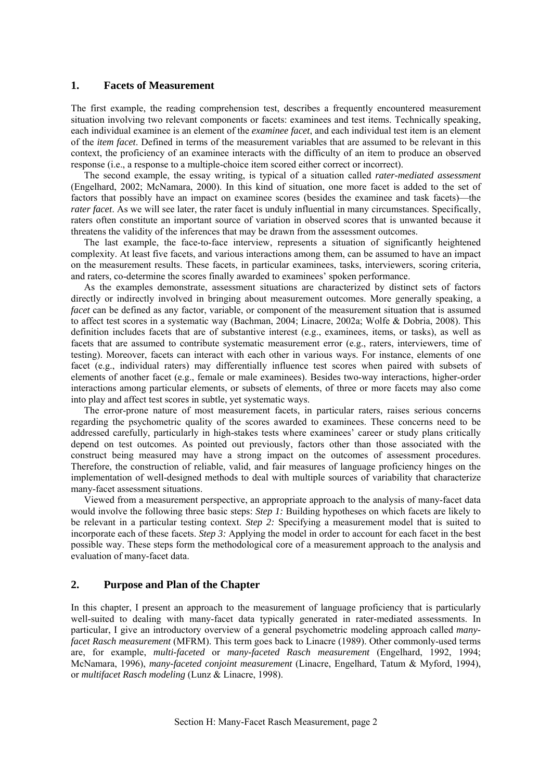## <span id="page-3-0"></span>**1. Facets of Measurement**

The first example, the reading comprehension test, describes a frequently encountered measurement situation involving two relevant components or facets: examinees and test items. Technically speaking, each individual examinee is an element of the *examinee facet*, and each individual test item is an element of the *item facet*. Defined in terms of the measurement variables that are assumed to be relevant in this context, the proficiency of an examinee interacts with the difficulty of an item to produce an observed response (i.e., a response to a multiple-choice item scored either correct or incorrect).

The second example, the essay writing, is typical of a situation called *rater-mediated assessment* (Engelhard, 2002; McNamara, 2000). In this kind of situation, one more facet is added to the set of factors that possibly have an impact on examinee scores (besides the examinee and task facets)—the *rater facet*. As we will see later, the rater facet is unduly influential in many circumstances. Specifically, raters often constitute an important source of variation in observed scores that is unwanted because it threatens the validity of the inferences that may be drawn from the assessment outcomes.

The last example, the face-to-face interview, represents a situation of significantly heightened complexity. At least five facets, and various interactions among them, can be assumed to have an impact on the measurement results. These facets, in particular examinees, tasks, interviewers, scoring criteria, and raters, co-determine the scores finally awarded to examinees' spoken performance.

As the examples demonstrate, assessment situations are characterized by distinct sets of factors directly or indirectly involved in bringing about measurement outcomes. More generally speaking, a *facet* can be defined as any factor, variable, or component of the measurement situation that is assumed to affect test scores in a systematic way (Bachman, 2004; Linacre, 2002a; Wolfe & Dobria, 2008). This definition includes facets that are of substantive interest (e.g., examinees, items, or tasks), as well as facets that are assumed to contribute systematic measurement error (e.g., raters, interviewers, time of testing). Moreover, facets can interact with each other in various ways. For instance, elements of one facet (e.g., individual raters) may differentially influence test scores when paired with subsets of elements of another facet (e.g., female or male examinees). Besides two-way interactions, higher-order interactions among particular elements, or subsets of elements, of three or more facets may also come into play and affect test scores in subtle, yet systematic ways.

The error-prone nature of most measurement facets, in particular raters, raises serious concerns regarding the psychometric quality of the scores awarded to examinees. These concerns need to be addressed carefully, particularly in high-stakes tests where examinees' career or study plans critically depend on test outcomes. As pointed out previously, factors other than those associated with the construct being measured may have a strong impact on the outcomes of assessment procedures. Therefore, the construction of reliable, valid, and fair measures of language proficiency hinges on the implementation of well-designed methods to deal with multiple sources of variability that characterize many-facet assessment situations.

Viewed from a measurement perspective, an appropriate approach to the analysis of many-facet data would involve the following three basic steps: *Step 1:* Building hypotheses on which facets are likely to be relevant in a particular testing context. *Step 2:* Specifying a measurement model that is suited to incorporate each of these facets. *Step 3:* Applying the model in order to account for each facet in the best possible way. These steps form the methodological core of a measurement approach to the analysis and evaluation of many-facet data.

## **2. Purpose and Plan of the Chapter**

In this chapter, I present an approach to the measurement of language proficiency that is particularly well-suited to dealing with many-facet data typically generated in rater-mediated assessments. In particular, I give an introductory overview of a general psychometric modeling approach called *manyfacet Rasch measurement* (MFRM). This term goes back to Linacre (1989). Other commonly-used terms are, for example, *multi-faceted* or *many-faceted Rasch measurement* (Engelhard, 1992, 1994; McNamara, 1996), *many-faceted conjoint measurement* (Linacre, Engelhard, Tatum & Myford, 1994), or *multifacet Rasch modeling* (Lunz & Linacre, 1998).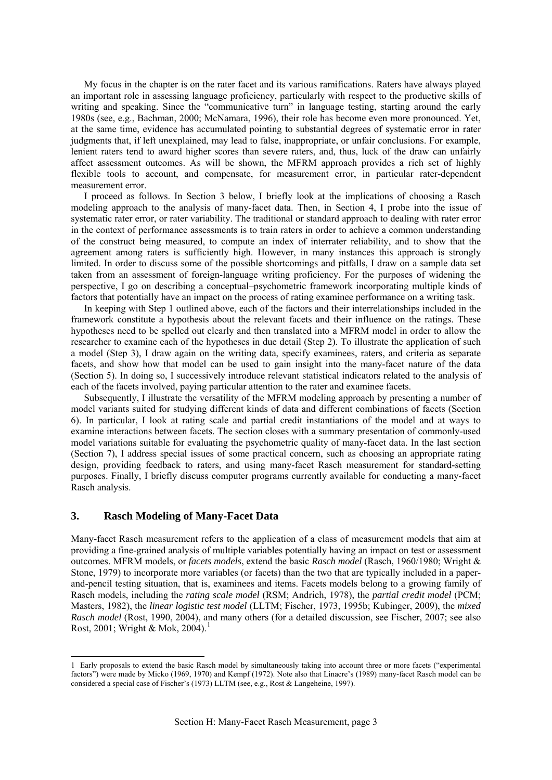<span id="page-4-0"></span>My focus in the chapter is on the rater facet and its various ramifications. Raters have always played an important role in assessing language proficiency, particularly with respect to the productive skills of writing and speaking. Since the "communicative turn" in language testing, starting around the early 1980s (see, e.g., Bachman, 2000; McNamara, 1996), their role has become even more pronounced. Yet, at the same time, evidence has accumulated pointing to substantial degrees of systematic error in rater judgments that, if left unexplained, may lead to false, inappropriate, or unfair conclusions. For example, lenient raters tend to award higher scores than severe raters, and, thus, luck of the draw can unfairly affect assessment outcomes. As will be shown, the MFRM approach provides a rich set of highly flexible tools to account, and compensate, for measurement error, in particular rater-dependent measurement error.

I proceed as follows. In Section 3 below, I briefly look at the implications of choosing a Rasch modeling approach to the analysis of many-facet data. Then, in Section 4, I probe into the issue of systematic rater error, or rater variability. The traditional or standard approach to dealing with rater error in the context of performance assessments is to train raters in order to achieve a common understanding of the construct being measured, to compute an index of interrater reliability, and to show that the agreement among raters is sufficiently high. However, in many instances this approach is strongly limited. In order to discuss some of the possible shortcomings and pitfalls, I draw on a sample data set taken from an assessment of foreign-language writing proficiency. For the purposes of widening the perspective, I go on describing a conceptual–psychometric framework incorporating multiple kinds of factors that potentially have an impact on the process of rating examinee performance on a writing task.

In keeping with Step 1 outlined above, each of the factors and their interrelationships included in the framework constitute a hypothesis about the relevant facets and their influence on the ratings. These hypotheses need to be spelled out clearly and then translated into a MFRM model in order to allow the researcher to examine each of the hypotheses in due detail (Step 2). To illustrate the application of such a model (Step 3), I draw again on the writing data, specify examinees, raters, and criteria as separate facets, and show how that model can be used to gain insight into the many-facet nature of the data (Section 5). In doing so, I successively introduce relevant statistical indicators related to the analysis of each of the facets involved, paying particular attention to the rater and examinee facets.

Subsequently, I illustrate the versatility of the MFRM modeling approach by presenting a number of model variants suited for studying different kinds of data and different combinations of facets (Section 6). In particular, I look at rating scale and partial credit instantiations of the model and at ways to examine interactions between facets. The section closes with a summary presentation of commonly-used model variations suitable for evaluating the psychometric quality of many-facet data. In the last section (Section 7), I address special issues of some practical concern, such as choosing an appropriate rating design, providing feedback to raters, and using many-facet Rasch measurement for standard-setting purposes. Finally, I briefly discuss computer programs currently available for conducting a many-facet Rasch analysis.

## **3. Rasch Modeling of Many-Facet Data**

-

Many-facet Rasch measurement refers to the application of a class of measurement models that aim at providing a fine-grained analysis of multiple variables potentially having an impact on test or assessment outcomes. MFRM models, or *facets models*, extend the basic *Rasch model* (Rasch, 1960/1980; Wright & Stone, 1979) to incorporate more variables (or facets) than the two that are typically included in a paperand-pencil testing situation, that is, examinees and items. Facets models belong to a growing family of Rasch models, including the *rating scale model* (RSM; Andrich, 1978), the *partial credit model* (PCM; Masters, 1982), the *linear logistic test model* (LLTM; Fischer, 1973, 1995b; Kubinger, 2009), the *mixed Rasch model* (Rost, 1990, 2004), and many others (for a detailed discussion, see Fischer, 2007; see also Rost, 200[1](#page-4-1); Wright & Mok, 2004).<sup>1</sup>

<span id="page-4-1"></span><sup>1</sup> Early proposals to extend the basic Rasch model by simultaneously taking into account three or more facets ("experimental factors") were made by Micko (1969, 1970) and Kempf (1972). Note also that Linacre's (1989) many-facet Rasch model can be considered a special case of Fischer's (1973) LLTM (see, e.g., Rost & Langeheine, 1997).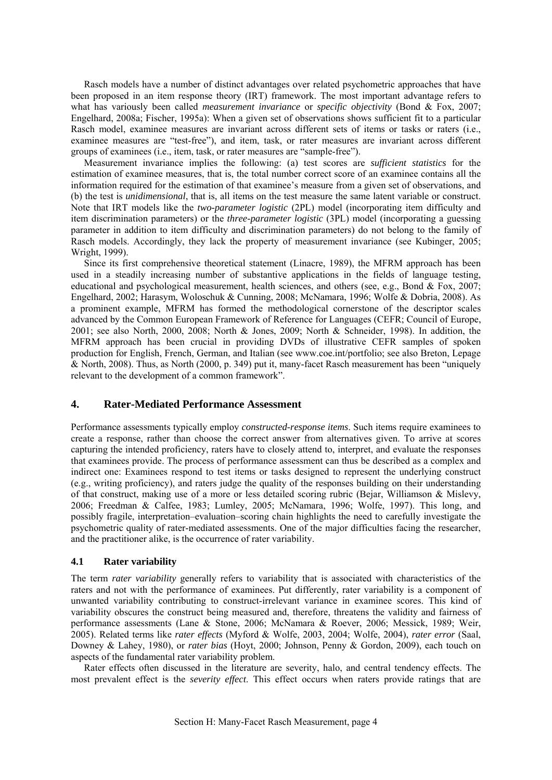<span id="page-5-0"></span>Rasch models have a number of distinct advantages over related psychometric approaches that have been proposed in an item response theory (IRT) framework. The most important advantage refers to what has variously been called *measurement invariance* or *specific objectivity* (Bond & Fox, 2007; Engelhard, 2008a; Fischer, 1995a): When a given set of observations shows sufficient fit to a particular Rasch model, examinee measures are invariant across different sets of items or tasks or raters (i.e., examinee measures are "test-free"), and item, task, or rater measures are invariant across different groups of examinees (i.e., item, task, or rater measures are "sample-free").

Measurement invariance implies the following: (a) test scores are *sufficient statistics* for the estimation of examinee measures, that is, the total number correct score of an examinee contains all the information required for the estimation of that examinee's measure from a given set of observations, and (b) the test is *unidimensional*, that is, all items on the test measure the same latent variable or construct. Note that IRT models like the *two-parameter logistic* (2PL) model (incorporating item difficulty and item discrimination parameters) or the *three-parameter logistic* (3PL) model (incorporating a guessing parameter in addition to item difficulty and discrimination parameters) do not belong to the family of Rasch models. Accordingly, they lack the property of measurement invariance (see Kubinger, 2005; Wright, 1999).

Since its first comprehensive theoretical statement (Linacre, 1989), the MFRM approach has been used in a steadily increasing number of substantive applications in the fields of language testing, educational and psychological measurement, health sciences, and others (see, e.g., Bond & Fox, 2007; Engelhard, 2002; Harasym, Woloschuk & Cunning, 2008; McNamara, 1996; Wolfe & Dobria, 2008). As a prominent example, MFRM has formed the methodological cornerstone of the descriptor scales advanced by the Common European Framework of Reference for Languages (CEFR; Council of Europe, 2001; see also North, 2000, 2008; North & Jones, 2009; North & Schneider, 1998). In addition, the MFRM approach has been crucial in providing DVDs of illustrative CEFR samples of spoken production for English, French, German, and Italian (see www.coe.int/portfolio; see also Breton, Lepage & North, 2008). Thus, as North (2000, p. 349) put it, many-facet Rasch measurement has been "uniquely relevant to the development of a common framework".

## **4. Rater-Mediated Performance Assessment**

Performance assessments typically employ *constructed-response items*. Such items require examinees to create a response, rather than choose the correct answer from alternatives given. To arrive at scores capturing the intended proficiency, raters have to closely attend to, interpret, and evaluate the responses that examinees provide. The process of performance assessment can thus be described as a complex and indirect one: Examinees respond to test items or tasks designed to represent the underlying construct (e.g., writing proficiency), and raters judge the quality of the responses building on their understanding of that construct, making use of a more or less detailed scoring rubric (Bejar, Williamson & Mislevy, 2006; Freedman & Calfee, 1983; Lumley, 2005; McNamara, 1996; Wolfe, 1997). This long, and possibly fragile, interpretation–evaluation–scoring chain highlights the need to carefully investigate the psychometric quality of rater-mediated assessments. One of the major difficulties facing the researcher, and the practitioner alike, is the occurrence of rater variability.

## **4.1 Rater variability**

The term *rater variability* generally refers to variability that is associated with characteristics of the raters and not with the performance of examinees. Put differently, rater variability is a component of unwanted variability contributing to construct-irrelevant variance in examinee scores. This kind of variability obscures the construct being measured and, therefore, threatens the validity and fairness of performance assessments (Lane & Stone, 2006; McNamara & Roever, 2006; Messick, 1989; Weir, 2005). Related terms like *rater effects* (Myford & Wolfe, 2003, 2004; Wolfe, 2004), *rater error* (Saal, Downey & Lahey, 1980), or *rater bias* (Hoyt, 2000; Johnson, Penny & Gordon, 2009), each touch on aspects of the fundamental rater variability problem.

Rater effects often discussed in the literature are severity, halo, and central tendency effects. The most prevalent effect is the *severity effect*. This effect occurs when raters provide ratings that are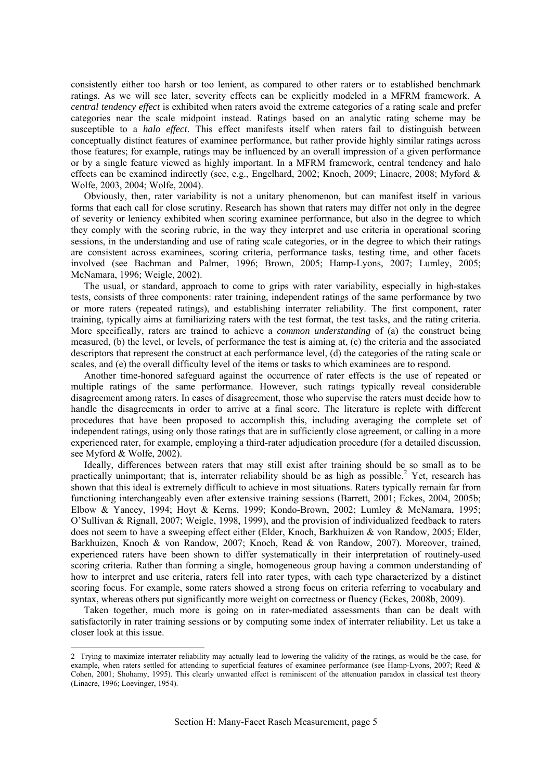consistently either too harsh or too lenient, as compared to other raters or to established benchmark ratings. As we will see later, severity effects can be explicitly modeled in a MFRM framework. A *central tendency effect* is exhibited when raters avoid the extreme categories of a rating scale and prefer categories near the scale midpoint instead. Ratings based on an analytic rating scheme may be susceptible to a *halo effect*. This effect manifests itself when raters fail to distinguish between conceptually distinct features of examinee performance, but rather provide highly similar ratings across those features; for example, ratings may be influenced by an overall impression of a given performance or by a single feature viewed as highly important. In a MFRM framework, central tendency and halo effects can be examined indirectly (see, e.g., Engelhard, 2002; Knoch, 2009; Linacre, 2008; Myford & Wolfe, 2003, 2004; Wolfe, 2004).

Obviously, then, rater variability is not a unitary phenomenon, but can manifest itself in various forms that each call for close scrutiny. Research has shown that raters may differ not only in the degree of severity or leniency exhibited when scoring examinee performance, but also in the degree to which they comply with the scoring rubric, in the way they interpret and use criteria in operational scoring sessions, in the understanding and use of rating scale categories, or in the degree to which their ratings are consistent across examinees, scoring criteria, performance tasks, testing time, and other facets involved (see Bachman and Palmer, 1996; Brown, 2005; Hamp-Lyons, 2007; Lumley, 2005; McNamara, 1996; Weigle, 2002).

The usual, or standard, approach to come to grips with rater variability, especially in high-stakes tests, consists of three components: rater training, independent ratings of the same performance by two or more raters (repeated ratings), and establishing interrater reliability. The first component, rater training, typically aims at familiarizing raters with the test format, the test tasks, and the rating criteria. More specifically, raters are trained to achieve a *common understanding* of (a) the construct being measured, (b) the level, or levels, of performance the test is aiming at, (c) the criteria and the associated descriptors that represent the construct at each performance level, (d) the categories of the rating scale or scales, and (e) the overall difficulty level of the items or tasks to which examinees are to respond.

Another time-honored safeguard against the occurrence of rater effects is the use of repeated or multiple ratings of the same performance. However, such ratings typically reveal considerable disagreement among raters. In cases of disagreement, those who supervise the raters must decide how to handle the disagreements in order to arrive at a final score. The literature is replete with different procedures that have been proposed to accomplish this, including averaging the complete set of independent ratings, using only those ratings that are in sufficiently close agreement, or calling in a more experienced rater, for example, employing a third-rater adjudication procedure (for a detailed discussion, see Myford & Wolfe, 2002).

Ideally, differences between raters that may still exist after training should be so small as to be practically unimportant; that is, interrater reliability should be as high as possible.<sup>[2](#page-6-0)</sup> Yet, research has shown that this ideal is extremely difficult to achieve in most situations. Raters typically remain far from functioning interchangeably even after extensive training sessions (Barrett, 2001; Eckes, 2004, 2005b; Elbow & Yancey, 1994; Hoyt & Kerns, 1999; Kondo-Brown, 2002; Lumley & McNamara, 1995; O'Sullivan & Rignall, 2007; Weigle, 1998, 1999), and the provision of individualized feedback to raters does not seem to have a sweeping effect either (Elder, Knoch, Barkhuizen & von Randow, 2005; Elder, Barkhuizen, Knoch & von Randow, 2007; Knoch, Read & von Randow, 2007). Moreover, trained, experienced raters have been shown to differ systematically in their interpretation of routinely-used scoring criteria. Rather than forming a single, homogeneous group having a common understanding of how to interpret and use criteria, raters fell into rater types, with each type characterized by a distinct scoring focus. For example, some raters showed a strong focus on criteria referring to vocabulary and syntax, whereas others put significantly more weight on correctness or fluency (Eckes, 2008b, 2009).

Taken together, much more is going on in rater-mediated assessments than can be dealt with satisfactorily in rater training sessions or by computing some index of interrater reliability. Let us take a closer look at this issue.

<u>.</u>

<span id="page-6-0"></span><sup>2</sup> Trying to maximize interrater reliability may actually lead to lowering the validity of the ratings, as would be the case, for example, when raters settled for attending to superficial features of examinee performance (see Hamp-Lyons, 2007; Reed & Cohen, 2001; Shohamy, 1995). This clearly unwanted effect is reminiscent of the attenuation paradox in classical test theory (Linacre, 1996; Loevinger, 1954).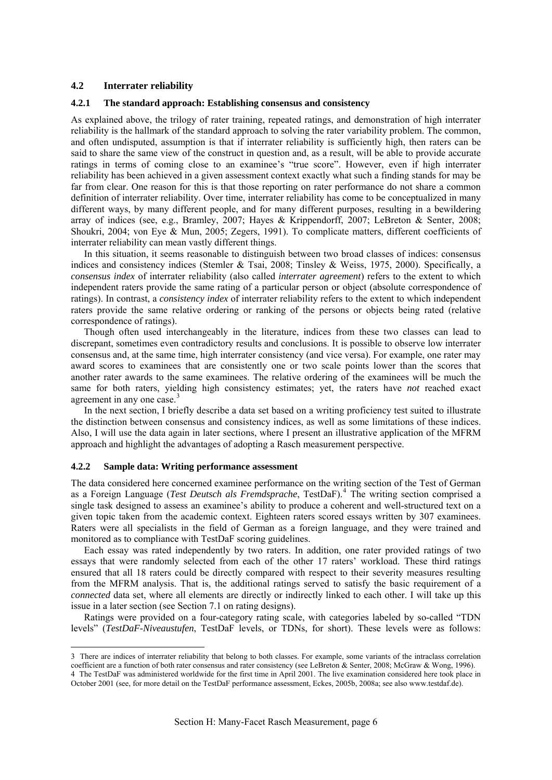## <span id="page-7-0"></span>**4.2 Interrater reliability**

#### **4.2.1 The standard approach: Establishing consensus and consistency**

As explained above, the trilogy of rater training, repeated ratings, and demonstration of high interrater reliability is the hallmark of the standard approach to solving the rater variability problem. The common, and often undisputed, assumption is that if interrater reliability is sufficiently high, then raters can be said to share the same view of the construct in question and, as a result, will be able to provide accurate ratings in terms of coming close to an examinee's "true score". However, even if high interrater reliability has been achieved in a given assessment context exactly what such a finding stands for may be far from clear. One reason for this is that those reporting on rater performance do not share a common definition of interrater reliability. Over time, interrater reliability has come to be conceptualized in many different ways, by many different people, and for many different purposes, resulting in a bewildering array of indices (see, e.g., Bramley, 2007; Hayes & Krippendorff, 2007; LeBreton & Senter, 2008; Shoukri, 2004; von Eye & Mun, 2005; Zegers, 1991). To complicate matters, different coefficients of interrater reliability can mean vastly different things.

In this situation, it seems reasonable to distinguish between two broad classes of indices: consensus indices and consistency indices (Stemler & Tsai, 2008; Tinsley & Weiss, 1975, 2000). Specifically, a *consensus index* of interrater reliability (also called *interrater agreement*) refers to the extent to which independent raters provide the same rating of a particular person or object (absolute correspondence of ratings). In contrast, a *consistency index* of interrater reliability refers to the extent to which independent raters provide the same relative ordering or ranking of the persons or objects being rated (relative correspondence of ratings).

Though often used interchangeably in the literature, indices from these two classes can lead to discrepant, sometimes even contradictory results and conclusions. It is possible to observe low interrater consensus and, at the same time, high interrater consistency (and vice versa). For example, one rater may award scores to examinees that are consistently one or two scale points lower than the scores that another rater awards to the same examinees. The relative ordering of the examinees will be much the same for both raters, yielding high consistency estimates; yet, the raters have *not* reached exact agreement in any one case.<sup>[3](#page-7-1)</sup>

In the next section, I briefly describe a data set based on a writing proficiency test suited to illustrate the distinction between consensus and consistency indices, as well as some limitations of these indices. Also, I will use the data again in later sections, where I present an illustrative application of the MFRM approach and highlight the advantages of adopting a Rasch measurement perspective.

#### **4.2.2 Sample data: Writing performance assessment**

<u>.</u>

The data considered here concerned examinee performance on the writing section of the Test of German as a Foreign Language (*Test Deutsch als Fremdsprache*, TestDaF).<sup>[4](#page-7-2)</sup> The writing section comprised a single task designed to assess an examinee's ability to produce a coherent and well-structured text on a given topic taken from the academic context. Eighteen raters scored essays written by 307 examinees. Raters were all specialists in the field of German as a foreign language, and they were trained and monitored as to compliance with TestDaF scoring guidelines.

Each essay was rated independently by two raters. In addition, one rater provided ratings of two essays that were randomly selected from each of the other 17 raters' workload. These third ratings ensured that all 18 raters could be directly compared with respect to their severity measures resulting from the MFRM analysis. That is, the additional ratings served to satisfy the basic requirement of a *connected* data set, where all elements are directly or indirectly linked to each other. I will take up this issue in a later section (see Section 7.1 on rating designs).

Ratings were provided on a four-category rating scale, with categories labeled by so-called "TDN levels" (*TestDaF-Niveaustufen*, TestDaF levels, or TDNs, for short). These levels were as follows:

<span id="page-7-2"></span><span id="page-7-1"></span><sup>3</sup> There are indices of interrater reliability that belong to both classes. For example, some variants of the intraclass correlation coefficient are a function of both rater consensus and rater consistency (see LeBreton & Senter, 2008; McGraw & Wong, 1996). 4 The TestDaF was administered worldwide for the first time in April 2001. The live examination considered here took place in October 2001 (see, for more detail on the TestDaF performance assessment, Eckes, 2005b, 2008a; see also www.testdaf.de).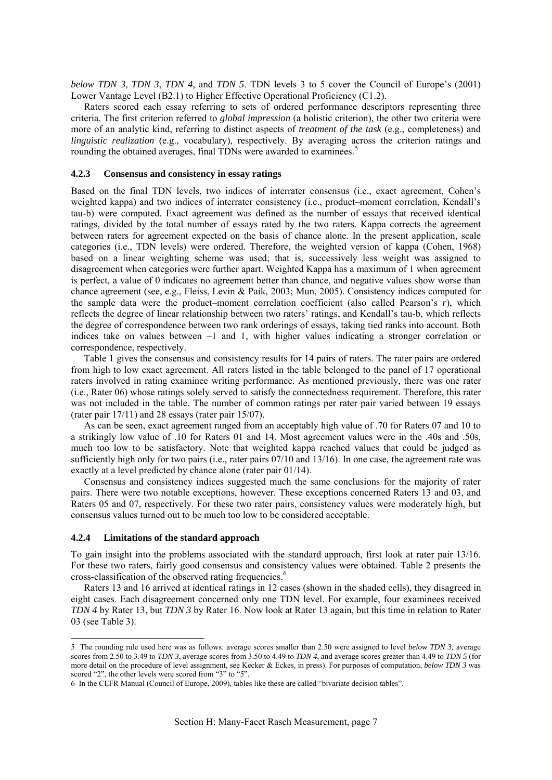<span id="page-8-0"></span>*below TDN 3*, *TDN 3*, *TDN 4*, and *TDN 5*. TDN levels 3 to 5 cover the Council of Europe's (2001) Lower Vantage Level (B2.1) to Higher Effective Operational Proficiency (C1.2).

Raters scored each essay referring to sets of ordered performance descriptors representing three criteria. The first criterion referred to *global impression* (a holistic criterion), the other two criteria were more of an analytic kind, referring to distinct aspects of *treatment of the task* (e.g., completeness) and *linguistic realization* (e.g., vocabulary), respectively. By averaging across the criterion ratings and rounding the obtained averages, final TDNs were awarded to examinees.<sup>[5](#page-8-1)</sup>

#### **4.2.3 Consensus and consistency in essay ratings**

Based on the final TDN levels, two indices of interrater consensus (i.e., exact agreement, Cohen's weighted kappa) and two indices of interrater consistency (i.e., product–moment correlation, Kendall's tau-b) were computed. Exact agreement was defined as the number of essays that received identical ratings, divided by the total number of essays rated by the two raters. Kappa corrects the agreement between raters for agreement expected on the basis of chance alone. In the present application, scale categories (i.e., TDN levels) were ordered. Therefore, the weighted version of kappa (Cohen, 1968) based on a linear weighting scheme was used; that is, successively less weight was assigned to disagreement when categories were further apart. Weighted Kappa has a maximum of 1 when agreement is perfect, a value of 0 indicates no agreement better than chance, and negative values show worse than chance agreement (see, e.g., Fleiss, Levin & Paik, 2003; Mun, 2005). Consistency indices computed for the sample data were the product–moment correlation coefficient (also called Pearson's *r*), which reflects the degree of linear relationship between two raters' ratings, and Kendall's tau-b, which reflects the degree of correspondence between two rank orderings of essays, taking tied ranks into account. Both indices take on values between  $-1$  and 1, with higher values indicating a stronger correlation or correspondence, respectively.

Table 1 gives the consensus and consistency results for 14 pairs of raters. The rater pairs are ordered from high to low exact agreement. All raters listed in the table belonged to the panel of 17 operational raters involved in rating examinee writing performance. As mentioned previously, there was one rater (i.e., Rater 06) whose ratings solely served to satisfy the connectedness requirement. Therefore, this rater was not included in the table. The number of common ratings per rater pair varied between 19 essays (rater pair 17/11) and 28 essays (rater pair 15/07).

As can be seen, exact agreement ranged from an acceptably high value of .70 for Raters 07 and 10 to a strikingly low value of .10 for Raters 01 and 14. Most agreement values were in the .40s and .50s, much too low to be satisfactory. Note that weighted kappa reached values that could be judged as sufficiently high only for two pairs (i.e., rater pairs 07/10 and 13/16). In one case, the agreement rate was exactly at a level predicted by chance alone (rater pair 01/14).

Consensus and consistency indices suggested much the same conclusions for the majority of rater pairs. There were two notable exceptions, however. These exceptions concerned Raters 13 and 03, and Raters 05 and 07, respectively. For these two rater pairs, consistency values were moderately high, but consensus values turned out to be much too low to be considered acceptable.

#### **4.2.4 Limitations of the standard approach**

<u>.</u>

To gain insight into the problems associated with the standard approach, first look at rater pair 13/16. For these two raters, fairly good consensus and consistency values were obtained. Table 2 presents the cross-classification of the observed rating frequencies.<sup>[6](#page-8-2)</sup>

Raters 13 and 16 arrived at identical ratings in 12 cases (shown in the shaded cells), they disagreed in eight cases. Each disagreement concerned only one TDN level. For example, four examinees received *TDN 4* by Rater 13, but *TDN 3* by Rater 16. Now look at Rater 13 again, but this time in relation to Rater 03 (see Table 3).

<span id="page-8-1"></span><sup>5</sup> The rounding rule used here was as follows: average scores smaller than 2.50 were assigned to level *below TDN 3*, average scores from 2.50 to 3.49 to *TDN 3*, average scores from 3.50 to 4.49 to *TDN 4*, and average scores greater than 4.49 to *TDN 5* (for more detail on the procedure of level assignment, see Kecker & Eckes, in press). For purposes of computation, *below TDN 3* was scored "2", the other levels were scored from "3" to "5".

<span id="page-8-2"></span><sup>6</sup> In the CEFR Manual (Council of Europe, 2009), tables like these are called "bivariate decision tables".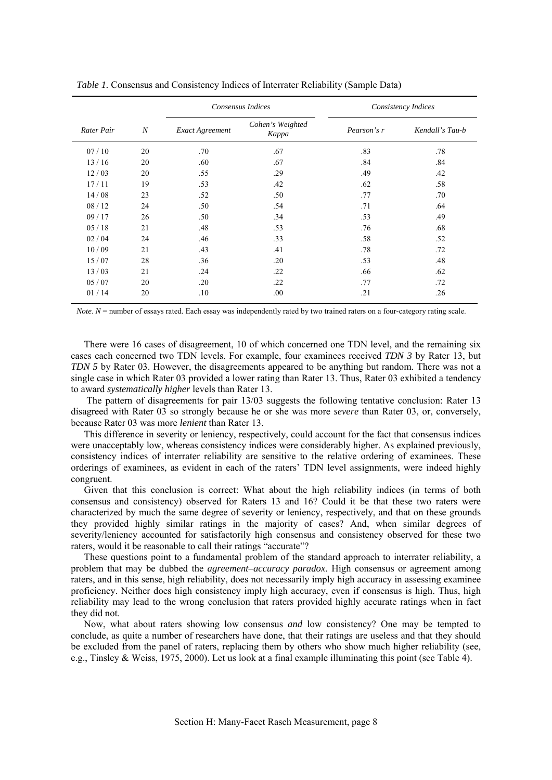|            |                  | Consensus Indices |                           |             | Consistency Indices |
|------------|------------------|-------------------|---------------------------|-------------|---------------------|
| Rater Pair | $\boldsymbol{N}$ | Exact Agreement   | Cohen's Weighted<br>Kappa | Pearson's r | Kendall's Tau-b     |
| 07/10      | 20               | .70               | .67                       | .83         | .78                 |
| 13/16      | 20               | .60               | .67                       | .84         | .84                 |
| 12/03      | 20               | .55               | .29                       | .49         | .42                 |
| 17/11      | 19               | .53               | .42                       | .62         | .58                 |
| 14/08      | 23               | .52               | .50                       | .77         | .70                 |
| 08/12      | 24               | .50               | .54                       | .71         | .64                 |
| 09/17      | 26               | .50               | .34                       | .53         | .49                 |
| 05/18      | 21               | .48               | .53                       | .76         | .68                 |
| 02/04      | 24               | .46               | .33                       | .58         | .52                 |
| 10/09      | 21               | .43               | .41                       | .78         | .72                 |
| 15/07      | 28               | .36               | .20                       | .53         | .48                 |
| 13/03      | 21               | .24               | .22                       | .66         | .62                 |
| 05/07      | 20               | .20               | .22                       | .77         | .72                 |
| 01/14      | 20               | .10               | .00.                      | .21         | .26                 |

*Table 1.* Consensus and Consistency Indices of Interrater Reliability (Sample Data)

*Note*.  $N =$  number of essays rated. Each essay was independently rated by two trained raters on a four-category rating scale.

There were 16 cases of disagreement, 10 of which concerned one TDN level, and the remaining six cases each concerned two TDN levels. For example, four examinees received *TDN 3* by Rater 13, but *TDN 5* by Rater 03. However, the disagreements appeared to be anything but random. There was not a single case in which Rater 03 provided a lower rating than Rater 13. Thus, Rater 03 exhibited a tendency to award *systematically higher* levels than Rater 13.

 The pattern of disagreements for pair 13/03 suggests the following tentative conclusion: Rater 13 disagreed with Rater 03 so strongly because he or she was more *severe* than Rater 03, or, conversely, because Rater 03 was more *lenient* than Rater 13.

This difference in severity or leniency, respectively, could account for the fact that consensus indices were unacceptably low, whereas consistency indices were considerably higher. As explained previously, consistency indices of interrater reliability are sensitive to the relative ordering of examinees. These orderings of examinees, as evident in each of the raters' TDN level assignments, were indeed highly congruent.

Given that this conclusion is correct: What about the high reliability indices (in terms of both consensus and consistency) observed for Raters 13 and 16? Could it be that these two raters were characterized by much the same degree of severity or leniency, respectively, and that on these grounds they provided highly similar ratings in the majority of cases? And, when similar degrees of severity/leniency accounted for satisfactorily high consensus and consistency observed for these two raters, would it be reasonable to call their ratings "accurate"?

These questions point to a fundamental problem of the standard approach to interrater reliability, a problem that may be dubbed the *agreement–accuracy paradox*. High consensus or agreement among raters, and in this sense, high reliability, does not necessarily imply high accuracy in assessing examinee proficiency. Neither does high consistency imply high accuracy, even if consensus is high. Thus, high reliability may lead to the wrong conclusion that raters provided highly accurate ratings when in fact they did not.

Now, what about raters showing low consensus *and* low consistency? One may be tempted to conclude, as quite a number of researchers have done, that their ratings are useless and that they should be excluded from the panel of raters, replacing them by others who show much higher reliability (see, e.g., Tinsley & Weiss, 1975, 2000). Let us look at a final example illuminating this point (see Table 4).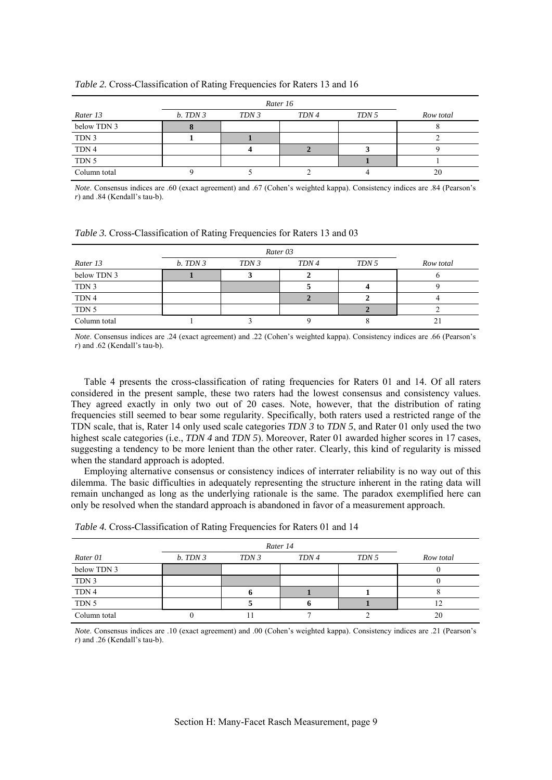|              |          | Rater 16 |       |       |           |  |  |  |  |
|--------------|----------|----------|-------|-------|-----------|--|--|--|--|
| Rater 13     | b. TDN 3 | TDN 3    | TDN 4 | TDN 5 | Row total |  |  |  |  |
| below TDN 3  |          |          |       |       |           |  |  |  |  |
| TDN 3        |          |          |       |       |           |  |  |  |  |
| TDN 4        |          |          |       |       |           |  |  |  |  |
| TDN 5        |          |          |       |       |           |  |  |  |  |
| Column total |          |          |       |       | 20        |  |  |  |  |

#### *Table 2.* Cross-Classification of Rating Frequencies for Raters 13 and 16

*Note*. Consensus indices are .60 (exact agreement) and .67 (Cohen's weighted kappa). Consistency indices are .84 (Pearson's *r*) and .84 (Kendall's tau-b).

*Table 3.* Cross-Classification of Rating Frequencies for Raters 13 and 03

|              |         | Rater 03 |       |       |           |  |  |  |  |
|--------------|---------|----------|-------|-------|-----------|--|--|--|--|
| Rater 13     | b. TDN3 | TDN 3    | TDN 4 | TDN 5 | Row total |  |  |  |  |
| below TDN 3  |         |          |       |       |           |  |  |  |  |
| TDN 3        |         |          |       |       |           |  |  |  |  |
| TDN 4        |         |          |       |       |           |  |  |  |  |
| TDN 5        |         |          |       |       |           |  |  |  |  |
| Column total |         |          |       |       |           |  |  |  |  |

*Note*. Consensus indices are .24 (exact agreement) and .22 (Cohen's weighted kappa). Consistency indices are .66 (Pearson's *r*) and .62 (Kendall's tau-b).

Table 4 presents the cross-classification of rating frequencies for Raters 01 and 14. Of all raters considered in the present sample, these two raters had the lowest consensus and consistency values. They agreed exactly in only two out of 20 cases. Note, however, that the distribution of rating frequencies still seemed to bear some regularity. Specifically, both raters used a restricted range of the TDN scale, that is, Rater 14 only used scale categories *TDN 3* to *TDN 5*, and Rater 01 only used the two highest scale categories (i.e., *TDN 4* and *TDN 5*). Moreover, Rater 01 awarded higher scores in 17 cases, suggesting a tendency to be more lenient than the other rater. Clearly, this kind of regularity is missed when the standard approach is adopted.

Employing alternative consensus or consistency indices of interrater reliability is no way out of this dilemma. The basic difficulties in adequately representing the structure inherent in the rating data will remain unchanged as long as the underlying rationale is the same. The paradox exemplified here can only be resolved when the standard approach is abandoned in favor of a measurement approach.

| Rater 01     | b. TDN 3 | TDN 3 | TDN 4 | TDN 5 | Row total |
|--------------|----------|-------|-------|-------|-----------|
| below TDN 3  |          |       |       |       |           |
| TDN 3        |          |       |       |       |           |
| TDN 4        |          |       |       |       |           |
| TDN 5        |          |       |       |       | ∍         |
| Column total |          |       |       |       | 20        |

|  |  | <i>Table 4.</i> Cross-Classification of Rating Frequencies for Raters 01 and 14 |  |
|--|--|---------------------------------------------------------------------------------|--|

*Note*. Consensus indices are .10 (exact agreement) and .00 (Cohen's weighted kappa). Consistency indices are .21 (Pearson's *r*) and .26 (Kendall's tau-b).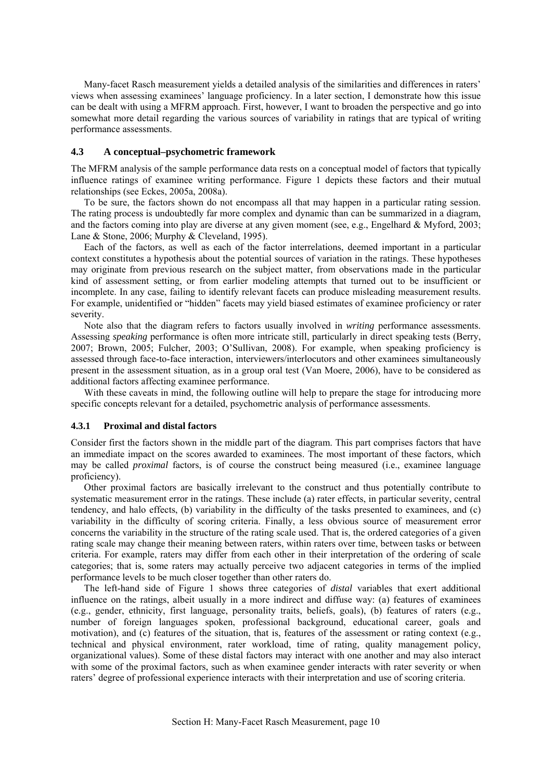<span id="page-11-0"></span>Many-facet Rasch measurement yields a detailed analysis of the similarities and differences in raters' views when assessing examinees' language proficiency. In a later section, I demonstrate how this issue can be dealt with using a MFRM approach. First, however, I want to broaden the perspective and go into somewhat more detail regarding the various sources of variability in ratings that are typical of writing performance assessments.

## **4.3 A conceptual–psychometric framework**

The MFRM analysis of the sample performance data rests on a conceptual model of factors that typically influence ratings of examinee writing performance. Figure 1 depicts these factors and their mutual relationships (see Eckes, 2005a, 2008a).

To be sure, the factors shown do not encompass all that may happen in a particular rating session. The rating process is undoubtedly far more complex and dynamic than can be summarized in a diagram, and the factors coming into play are diverse at any given moment (see, e.g., Engelhard & Myford, 2003; Lane & Stone, 2006; Murphy & Cleveland, 1995).

Each of the factors, as well as each of the factor interrelations, deemed important in a particular context constitutes a hypothesis about the potential sources of variation in the ratings. These hypotheses may originate from previous research on the subject matter, from observations made in the particular kind of assessment setting, or from earlier modeling attempts that turned out to be insufficient or incomplete. In any case, failing to identify relevant facets can produce misleading measurement results. For example, unidentified or "hidden" facets may yield biased estimates of examinee proficiency or rater severity.

Note also that the diagram refers to factors usually involved in *writing* performance assessments. Assessing *speaking* performance is often more intricate still, particularly in direct speaking tests (Berry, 2007; Brown, 2005; Fulcher, 2003; O'Sullivan, 2008). For example, when speaking proficiency is assessed through face-to-face interaction, interviewers/interlocutors and other examinees simultaneously present in the assessment situation, as in a group oral test (Van Moere, 2006), have to be considered as additional factors affecting examinee performance.

With these caveats in mind, the following outline will help to prepare the stage for introducing more specific concepts relevant for a detailed, psychometric analysis of performance assessments.

#### **4.3.1 Proximal and distal factors**

Consider first the factors shown in the middle part of the diagram. This part comprises factors that have an immediate impact on the scores awarded to examinees. The most important of these factors, which may be called *proximal* factors, is of course the construct being measured (i.e., examinee language proficiency).

Other proximal factors are basically irrelevant to the construct and thus potentially contribute to systematic measurement error in the ratings. These include (a) rater effects, in particular severity, central tendency, and halo effects, (b) variability in the difficulty of the tasks presented to examinees, and (c) variability in the difficulty of scoring criteria. Finally, a less obvious source of measurement error concerns the variability in the structure of the rating scale used. That is, the ordered categories of a given rating scale may change their meaning between raters, within raters over time, between tasks or between criteria. For example, raters may differ from each other in their interpretation of the ordering of scale categories; that is, some raters may actually perceive two adjacent categories in terms of the implied performance levels to be much closer together than other raters do.

The left-hand side of Figure 1 shows three categories of *distal* variables that exert additional influence on the ratings, albeit usually in a more indirect and diffuse way: (a) features of examinees (e.g., gender, ethnicity, first language, personality traits, beliefs, goals), (b) features of raters (e.g., number of foreign languages spoken, professional background, educational career, goals and motivation), and (c) features of the situation, that is, features of the assessment or rating context (e.g., technical and physical environment, rater workload, time of rating, quality management policy, organizational values). Some of these distal factors may interact with one another and may also interact with some of the proximal factors, such as when examinee gender interacts with rater severity or when raters' degree of professional experience interacts with their interpretation and use of scoring criteria.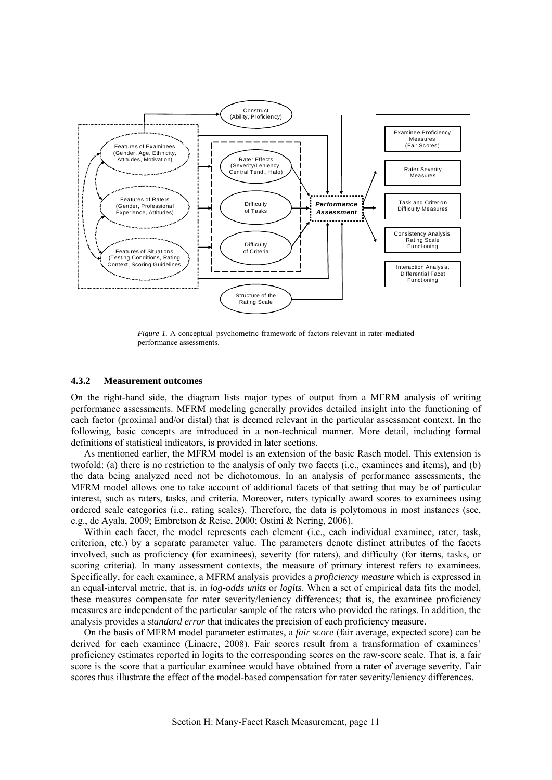<span id="page-12-0"></span>

*Figure 1.* A conceptual–psychometric framework of factors relevant in rater-mediated performance assessments.

#### **4.3.2 Measurement outcomes**

On the right-hand side, the diagram lists major types of output from a MFRM analysis of writing performance assessments. MFRM modeling generally provides detailed insight into the functioning of each factor (proximal and/or distal) that is deemed relevant in the particular assessment context. In the following, basic concepts are introduced in a non-technical manner. More detail, including formal definitions of statistical indicators, is provided in later sections.

As mentioned earlier, the MFRM model is an extension of the basic Rasch model. This extension is twofold: (a) there is no restriction to the analysis of only two facets (i.e., examinees and items), and (b) the data being analyzed need not be dichotomous. In an analysis of performance assessments, the MFRM model allows one to take account of additional facets of that setting that may be of particular interest, such as raters, tasks, and criteria. Moreover, raters typically award scores to examinees using ordered scale categories (i.e., rating scales). Therefore, the data is polytomous in most instances (see, e.g., de Ayala, 2009; Embretson & Reise, 2000; Ostini & Nering, 2006).

Within each facet, the model represents each element (i.e., each individual examinee, rater, task, criterion, etc.) by a separate parameter value. The parameters denote distinct attributes of the facets involved, such as proficiency (for examinees), severity (for raters), and difficulty (for items, tasks, or scoring criteria). In many assessment contexts, the measure of primary interest refers to examinees. Specifically, for each examinee, a MFRM analysis provides a *proficiency measure* which is expressed in an equal-interval metric, that is, in *log-odds units* or *logits*. When a set of empirical data fits the model, these measures compensate for rater severity/leniency differences; that is, the examinee proficiency measures are independent of the particular sample of the raters who provided the ratings. In addition, the analysis provides a *standard error* that indicates the precision of each proficiency measure.

On the basis of MFRM model parameter estimates, a *fair score* (fair average, expected score) can be derived for each examinee (Linacre, 2008). Fair scores result from a transformation of examinees' proficiency estimates reported in logits to the corresponding scores on the raw-score scale. That is, a fair score is the score that a particular examinee would have obtained from a rater of average severity. Fair scores thus illustrate the effect of the model-based compensation for rater severity/leniency differences.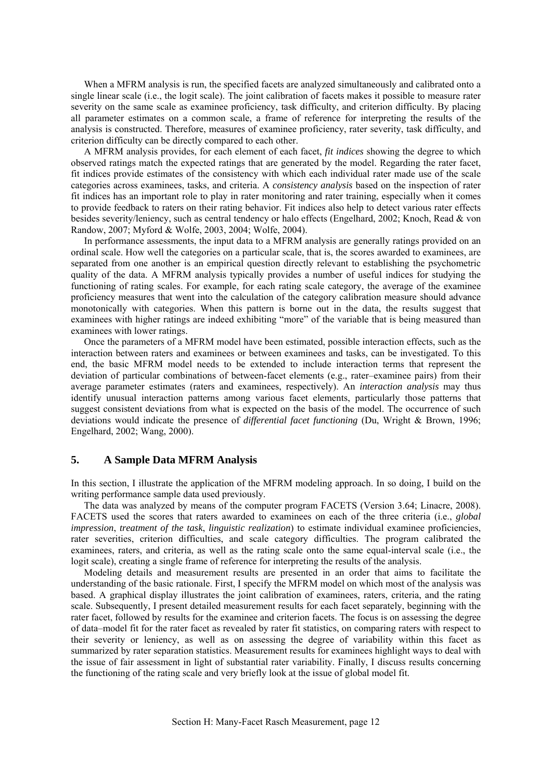<span id="page-13-0"></span>When a MFRM analysis is run, the specified facets are analyzed simultaneously and calibrated onto a single linear scale (i.e., the logit scale). The joint calibration of facets makes it possible to measure rater severity on the same scale as examinee proficiency, task difficulty, and criterion difficulty. By placing all parameter estimates on a common scale, a frame of reference for interpreting the results of the analysis is constructed. Therefore, measures of examinee proficiency, rater severity, task difficulty, and criterion difficulty can be directly compared to each other.

A MFRM analysis provides, for each element of each facet, *fit indices* showing the degree to which observed ratings match the expected ratings that are generated by the model. Regarding the rater facet, fit indices provide estimates of the consistency with which each individual rater made use of the scale categories across examinees, tasks, and criteria. A *consistency analysis* based on the inspection of rater fit indices has an important role to play in rater monitoring and rater training, especially when it comes to provide feedback to raters on their rating behavior. Fit indices also help to detect various rater effects besides severity/leniency, such as central tendency or halo effects (Engelhard, 2002; Knoch, Read & von Randow, 2007; Myford & Wolfe, 2003, 2004; Wolfe, 2004).

In performance assessments, the input data to a MFRM analysis are generally ratings provided on an ordinal scale. How well the categories on a particular scale, that is, the scores awarded to examinees, are separated from one another is an empirical question directly relevant to establishing the psychometric quality of the data. A MFRM analysis typically provides a number of useful indices for studying the functioning of rating scales. For example, for each rating scale category, the average of the examinee proficiency measures that went into the calculation of the category calibration measure should advance monotonically with categories. When this pattern is borne out in the data, the results suggest that examinees with higher ratings are indeed exhibiting "more" of the variable that is being measured than examinees with lower ratings.

Once the parameters of a MFRM model have been estimated, possible interaction effects, such as the interaction between raters and examinees or between examinees and tasks, can be investigated. To this end, the basic MFRM model needs to be extended to include interaction terms that represent the deviation of particular combinations of between-facet elements (e.g., rater–examinee pairs) from their average parameter estimates (raters and examinees, respectively). An *interaction analysis* may thus identify unusual interaction patterns among various facet elements, particularly those patterns that suggest consistent deviations from what is expected on the basis of the model. The occurrence of such deviations would indicate the presence of *differential facet functioning* (Du, Wright & Brown, 1996; Engelhard, 2002; Wang, 2000).

## **5. A Sample Data MFRM Analysis**

In this section, I illustrate the application of the MFRM modeling approach. In so doing, I build on the writing performance sample data used previously.

The data was analyzed by means of the computer program FACETS (Version 3.64; Linacre, 2008). FACETS used the scores that raters awarded to examinees on each of the three criteria (i.e., *global impression*, *treatment of the task*, *linguistic realization*) to estimate individual examinee proficiencies, rater severities, criterion difficulties, and scale category difficulties. The program calibrated the examinees, raters, and criteria, as well as the rating scale onto the same equal-interval scale (i.e., the logit scale), creating a single frame of reference for interpreting the results of the analysis.

Modeling details and measurement results are presented in an order that aims to facilitate the understanding of the basic rationale. First, I specify the MFRM model on which most of the analysis was based. A graphical display illustrates the joint calibration of examinees, raters, criteria, and the rating scale. Subsequently, I present detailed measurement results for each facet separately, beginning with the rater facet, followed by results for the examinee and criterion facets. The focus is on assessing the degree of data–model fit for the rater facet as revealed by rater fit statistics, on comparing raters with respect to their severity or leniency, as well as on assessing the degree of variability within this facet as summarized by rater separation statistics. Measurement results for examinees highlight ways to deal with the issue of fair assessment in light of substantial rater variability. Finally, I discuss results concerning the functioning of the rating scale and very briefly look at the issue of global model fit.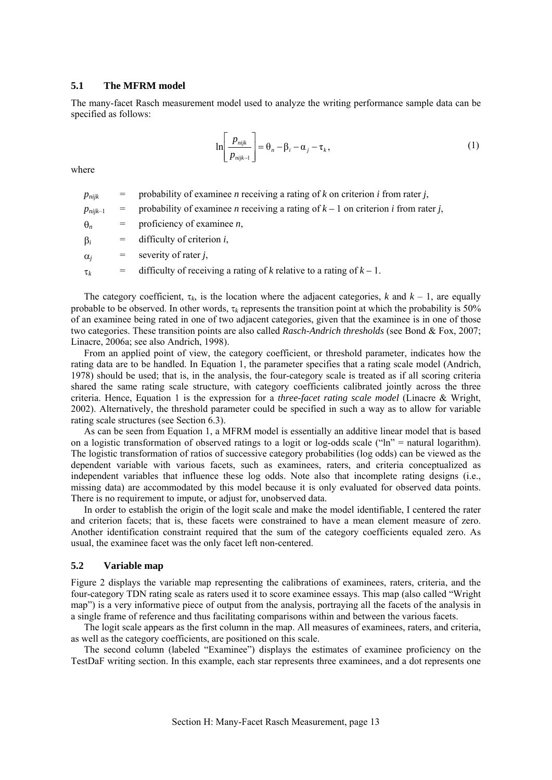## <span id="page-14-0"></span>**5.1 The MFRM model**

The many-facet Rasch measurement model used to analyze the writing performance sample data can be specified as follows:

$$
\ln\left[\frac{p_{\text{nijk}}}{p_{\text{nijk}-1}}\right] = \theta_n - \beta_i - \alpha_j - \tau_k,\tag{1}
$$

where

 $p_{nijk}$  = probability of examinee *n* receiving a rating of *k* on criterion *i* from rater *j*,

 $p_{niik-1}$  = probability of examinee *n* receiving a rating of  $k-1$  on criterion *i* from rater *j*,

θ*<sup>n</sup>* = proficiency of examinee *n*,

β*<sup>i</sup>* = difficulty of criterion *i*,

 $\alpha_i$  = severity of rater *j*,

τ*<sup>k</sup>* = difficulty of receiving a rating of *k* relative to a rating of *k –* 1.

The category coefficient,  $\tau_k$ , is the location where the adjacent categories, *k* and  $k - 1$ , are equally probable to be observed. In other words, τ*k* represents the transition point at which the probability is 50% of an examinee being rated in one of two adjacent categories, given that the examinee is in one of those two categories. These transition points are also called *Rasch-Andrich thresholds* (see Bond & Fox, 2007; Linacre, 2006a; see also Andrich, 1998).

From an applied point of view, the category coefficient, or threshold parameter, indicates how the rating data are to be handled. In Equation 1, the parameter specifies that a rating scale model (Andrich, 1978) should be used; that is, in the analysis, the four-category scale is treated as if all scoring criteria shared the same rating scale structure, with category coefficients calibrated jointly across the three criteria. Hence, Equation 1 is the expression for a *three-facet rating scale model* (Linacre & Wright, 2002). Alternatively, the threshold parameter could be specified in such a way as to allow for variable rating scale structures (see Section 6.3).

As can be seen from Equation 1, a MFRM model is essentially an additive linear model that is based on a logistic transformation of observed ratings to a logit or log-odds scale ("ln" = natural logarithm). The logistic transformation of ratios of successive category probabilities (log odds) can be viewed as the dependent variable with various facets, such as examinees, raters, and criteria conceptualized as independent variables that influence these log odds. Note also that incomplete rating designs (i.e., missing data) are accommodated by this model because it is only evaluated for observed data points. There is no requirement to impute, or adjust for, unobserved data.

In order to establish the origin of the logit scale and make the model identifiable, I centered the rater and criterion facets; that is, these facets were constrained to have a mean element measure of zero. Another identification constraint required that the sum of the category coefficients equaled zero. As usual, the examinee facet was the only facet left non-centered.

## **5.2 Variable map**

Figure 2 displays the variable map representing the calibrations of examinees, raters, criteria, and the four-category TDN rating scale as raters used it to score examinee essays. This map (also called "Wright map") is a very informative piece of output from the analysis, portraying all the facets of the analysis in a single frame of reference and thus facilitating comparisons within and between the various facets.

The logit scale appears as the first column in the map. All measures of examinees, raters, and criteria, as well as the category coefficients, are positioned on this scale.

The second column (labeled "Examinee") displays the estimates of examinee proficiency on the TestDaF writing section. In this example, each star represents three examinees, and a dot represents one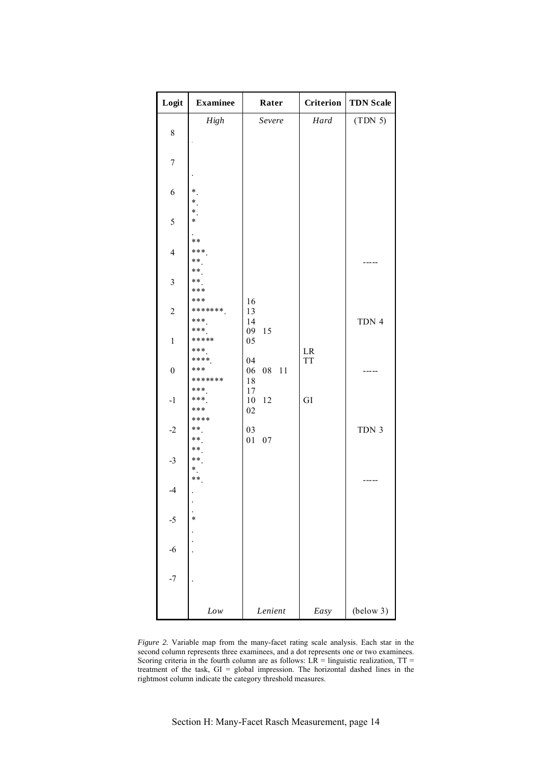| Logit            | <b>Examinee</b>                | Rater                      | Criterion | <b>TDN Scale</b> |
|------------------|--------------------------------|----------------------------|-----------|------------------|
| 8                | High                           | Severe                     | Hard      | (TDN 5)          |
| $\boldsymbol{7}$ |                                |                            |           |                  |
| 6                | $^*$ .<br>$\ast$               |                            |           |                  |
| 5                | $\ast$<br>$\ast$               |                            |           |                  |
| $\overline{4}$   | $***$<br>***<br>**<br>**       |                            |           |                  |
| $\mathfrak{Z}$   | **<br>***                      |                            |           |                  |
| $\sqrt{2}$       | ***<br>*******<br>***<br>$***$ | 16<br>13<br>14<br>09<br>15 |           | TDN 4            |
| $\mathbf{1}$     | *****<br>***                   | 05                         | $\rm LR$  |                  |
| $\boldsymbol{0}$ | ****<br>***<br>*******         | 04<br>06<br>08 11<br>18    | <b>TT</b> |                  |
| $\textbf{-1}$    | ***<br>***<br>***              | 17<br>12<br>10<br>02       | GI        |                  |
| $-2$             | ****<br>**<br>**               | 03<br>01<br>07             |           | TDN 3            |
| $-3$             | **<br>$***$<br>$^*$ .<br>$***$ |                            |           |                  |
| $-4$             |                                |                            |           |                  |
| $-5$             | $\ast$                         |                            |           |                  |
| $-6$             | $\ddot{\phantom{0}}$           |                            |           |                  |
| $-7$             |                                |                            |           |                  |
|                  | Low                            | Lenient                    | Easy      | (below 3)        |

*Figure 2.* Variable map from the many-facet rating scale analysis. Each star in the second column represents three examinees, and a dot represents one or two examinees. Scoring criteria in the fourth column are as follows:  $LR =$  linguistic realization,  $TT =$ treatment of the task,  $GI = global$  impression. The horizontal dashed lines in the rightmost column indicate the category threshold measures.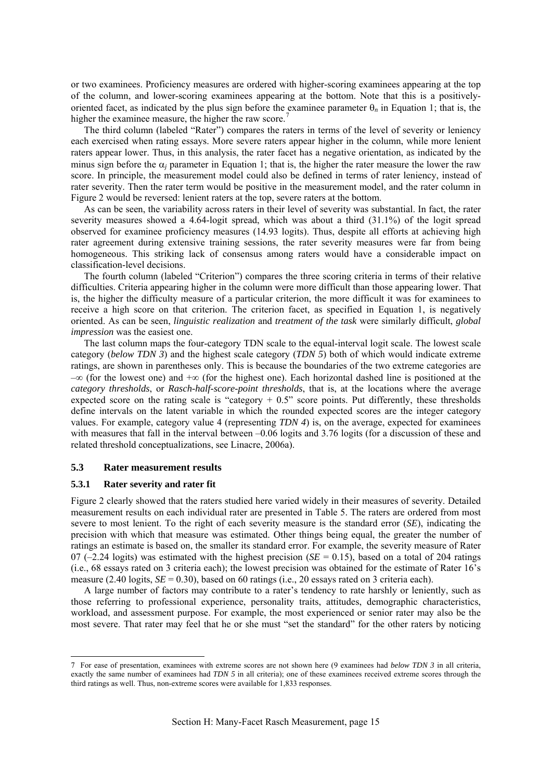<span id="page-16-0"></span>or two examinees. Proficiency measures are ordered with higher-scoring examinees appearing at the top of the column, and lower-scoring examinees appearing at the bottom. Note that this is a positivelyoriented facet, as indicated by the plus sign before the examinee parameter θ*n* in Equation 1; that is, the higher the examinee measure, the higher the raw score.<sup>[7](#page-16-1)</sup>

The third column (labeled "Rater") compares the raters in terms of the level of severity or leniency each exercised when rating essays. More severe raters appear higher in the column, while more lenient raters appear lower. Thus, in this analysis, the rater facet has a negative orientation, as indicated by the minus sign before the  $\alpha_i$  parameter in Equation 1; that is, the higher the rater measure the lower the raw score. In principle, the measurement model could also be defined in terms of rater leniency, instead of rater severity. Then the rater term would be positive in the measurement model, and the rater column in Figure 2 would be reversed: lenient raters at the top, severe raters at the bottom.

As can be seen, the variability across raters in their level of severity was substantial. In fact, the rater severity measures showed a 4.64-logit spread, which was about a third (31.1%) of the logit spread observed for examinee proficiency measures (14.93 logits). Thus, despite all efforts at achieving high rater agreement during extensive training sessions, the rater severity measures were far from being homogeneous. This striking lack of consensus among raters would have a considerable impact on classification-level decisions.

The fourth column (labeled "Criterion") compares the three scoring criteria in terms of their relative difficulties. Criteria appearing higher in the column were more difficult than those appearing lower. That is, the higher the difficulty measure of a particular criterion, the more difficult it was for examinees to receive a high score on that criterion. The criterion facet, as specified in Equation 1, is negatively oriented. As can be seen, *linguistic realization* and *treatment of the task* were similarly difficult, *global impression* was the easiest one.

The last column maps the four-category TDN scale to the equal-interval logit scale. The lowest scale category (*below TDN 3*) and the highest scale category (*TDN 5*) both of which would indicate extreme ratings, are shown in parentheses only. This is because the boundaries of the two extreme categories are –∞ (for the lowest one) and +∞ (for the highest one). Each horizontal dashed line is positioned at the *category thresholds*, or *Rasch-half-score-point thresholds*, that is, at the locations where the average expected score on the rating scale is "category  $+ 0.5$ " score points. Put differently, these thresholds define intervals on the latent variable in which the rounded expected scores are the integer category values. For example, category value 4 (representing *TDN 4*) is, on the average, expected for examinees with measures that fall in the interval between –0.06 logits and 3.76 logits (for a discussion of these and related threshold conceptualizations, see Linacre, 2006a).

## **5.3 Rater measurement results**

#### **5.3.1 Rater severity and rater fit**

-

Figure 2 clearly showed that the raters studied here varied widely in their measures of severity. Detailed measurement results on each individual rater are presented in Table 5. The raters are ordered from most severe to most lenient. To the right of each severity measure is the standard error (*SE*), indicating the precision with which that measure was estimated. Other things being equal, the greater the number of ratings an estimate is based on, the smaller its standard error. For example, the severity measure of Rater 07 ( $-2.24$  logits) was estimated with the highest precision ( $SE = 0.15$ ), based on a total of 204 ratings (i.e., 68 essays rated on 3 criteria each); the lowest precision was obtained for the estimate of Rater 16's measure  $(2.40 \text{ logits}, SE = 0.30)$ , based on 60 ratings (i.e., 20 essays rated on 3 criteria each).

A large number of factors may contribute to a rater's tendency to rate harshly or leniently, such as those referring to professional experience, personality traits, attitudes, demographic characteristics, workload, and assessment purpose. For example, the most experienced or senior rater may also be the most severe. That rater may feel that he or she must "set the standard" for the other raters by noticing

<span id="page-16-1"></span><sup>7</sup> For ease of presentation, examinees with extreme scores are not shown here (9 examinees had *below TDN 3* in all criteria, exactly the same number of examinees had *TDN 5* in all criteria); one of these examinees received extreme scores through the third ratings as well. Thus, non-extreme scores were available for 1,833 responses.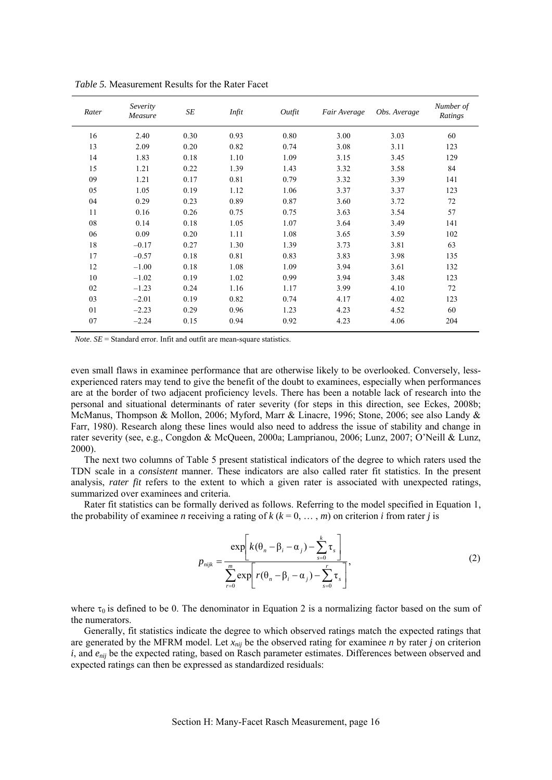| Rater | Severity<br>Measure | SE   | Infit | Outfit | Fair Average | Obs. Average | Number of<br>Ratings |
|-------|---------------------|------|-------|--------|--------------|--------------|----------------------|
| 16    | 2.40                | 0.30 | 0.93  | 0.80   | 3.00         | 3.03         | 60                   |
| 13    | 2.09                | 0.20 | 0.82  | 0.74   | 3.08         | 3.11         | 123                  |
| 14    | 1.83                | 0.18 | 1.10  | 1.09   | 3.15         | 3.45         | 129                  |
| 15    | 1.21                | 0.22 | 1.39  | 1.43   | 3.32         | 3.58         | 84                   |
| 09    | 1.21                | 0.17 | 0.81  | 0.79   | 3.32         | 3.39         | 141                  |
| 05    | 1.05                | 0.19 | 1.12  | 1.06   | 3.37         | 3.37         | 123                  |
| 04    | 0.29                | 0.23 | 0.89  | 0.87   | 3.60         | 3.72         | 72                   |
| 11    | 0.16                | 0.26 | 0.75  | 0.75   | 3.63         | 3.54         | 57                   |
| 08    | 0.14                | 0.18 | 1.05  | 1.07   | 3.64         | 3.49         | 141                  |
| 06    | 0.09                | 0.20 | 1.11  | 1.08   | 3.65         | 3.59         | 102                  |
| 18    | $-0.17$             | 0.27 | 1.30  | 1.39   | 3.73         | 3.81         | 63                   |
| 17    | $-0.57$             | 0.18 | 0.81  | 0.83   | 3.83         | 3.98         | 135                  |
| 12    | $-1.00$             | 0.18 | 1.08  | 1.09   | 3.94         | 3.61         | 132                  |
| 10    | $-1.02$             | 0.19 | 1.02  | 0.99   | 3.94         | 3.48         | 123                  |
| 02    | $-1.23$             | 0.24 | 1.16  | 1.17   | 3.99         | 4.10         | 72                   |
| 03    | $-2.01$             | 0.19 | 0.82  | 0.74   | 4.17         | 4.02         | 123                  |
| 01    | $-2.23$             | 0.29 | 0.96  | 1.23   | 4.23         | 4.52         | 60                   |
| 07    | $-2.24$             | 0.15 | 0.94  | 0.92   | 4.23         | 4.06         | 204                  |

*Table 5.* Measurement Results for the Rater Facet

*Note*. *SE* = Standard error. Infit and outfit are mean-square statistics.

even small flaws in examinee performance that are otherwise likely to be overlooked. Conversely, lessexperienced raters may tend to give the benefit of the doubt to examinees, especially when performances are at the border of two adjacent proficiency levels. There has been a notable lack of research into the personal and situational determinants of rater severity (for steps in this direction, see Eckes, 2008b; McManus, Thompson & Mollon, 2006; Myford, Marr & Linacre, 1996; Stone, 2006; see also Landy & Farr, 1980). Research along these lines would also need to address the issue of stability and change in rater severity (see, e.g., Congdon & McQueen, 2000a; Lamprianou, 2006; Lunz, 2007; O'Neill & Lunz, 2000).

The next two columns of Table 5 present statistical indicators of the degree to which raters used the TDN scale in a *consistent* manner. These indicators are also called rater fit statistics. In the present analysis, *rater fit* refers to the extent to which a given rater is associated with unexpected ratings, summarized over examinees and criteria.

Rater fit statistics can be formally derived as follows. Referring to the model specified in Equation 1, the probability of examinee *n* receiving a rating of  $k$  ( $k = 0, \ldots, m$ ) on criterion *i* from rater *j* is

$$
p_{\text{nijk}} = \frac{\exp\left[k(\theta_n - \beta_i - \alpha_j) - \sum_{s=0}^k \tau_s\right]}{\sum_{r=0}^m \exp\left[r(\theta_n - \beta_i - \alpha_j) - \sum_{s=0}^r \tau_s\right]},
$$
\n(2)

where  $\tau_0$  is defined to be 0. The denominator in Equation 2 is a normalizing factor based on the sum of the numerators.

Generally, fit statistics indicate the degree to which observed ratings match the expected ratings that are generated by the MFRM model. Let  $x_{nij}$  be the observed rating for examinee *n* by rater *j* on criterion *i*, and  $e_{ni}$  be the expected rating, based on Rasch parameter estimates. Differences between observed and expected ratings can then be expressed as standardized residuals: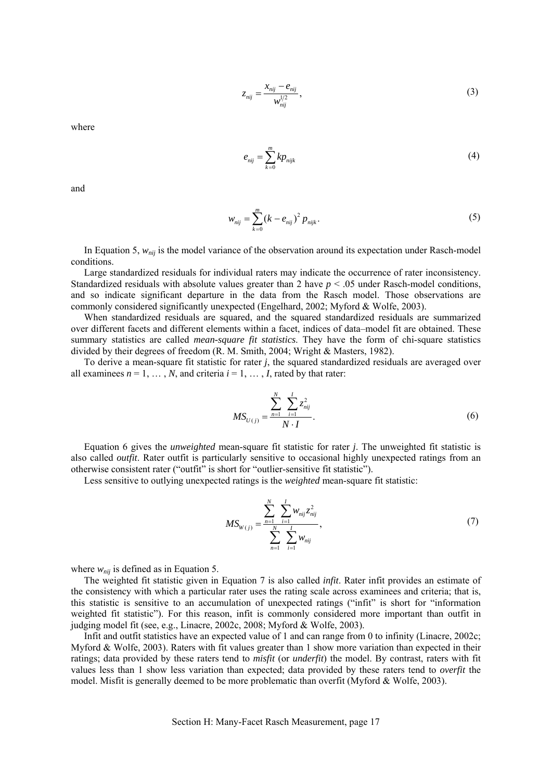$$
z_{nij} = \frac{x_{nij} - e_{nij}}{w_{nij}^{1/2}},
$$
\n(3)

where

$$
e_{nij} = \sum_{k=0}^{m} k p_{nijk} \tag{4}
$$

and

$$
w_{nij} = \sum_{k=0}^{m} (k - e_{nij})^2 p_{nijk}.
$$
 (5)

In Equation 5, *wnij* is the model variance of the observation around its expectation under Rasch-model conditions.

Large standardized residuals for individual raters may indicate the occurrence of rater inconsistency. Standardized residuals with absolute values greater than 2 have *p* < .05 under Rasch-model conditions, and so indicate significant departure in the data from the Rasch model. Those observations are commonly considered significantly unexpected (Engelhard, 2002; Myford & Wolfe, 2003).

When standardized residuals are squared, and the squared standardized residuals are summarized over different facets and different elements within a facet, indices of data–model fit are obtained. These summary statistics are called *mean-square fit statistics*. They have the form of chi-square statistics divided by their degrees of freedom (R. M. Smith, 2004; Wright & Masters, 1982).

To derive a mean-square fit statistic for rater *j*, the squared standardized residuals are averaged over all examinees  $n = 1, \ldots, N$ , and criteria  $i = 1, \ldots, I$ , rated by that rater:

$$
MS_{U(j)} = \frac{\sum_{n=1}^{N} \sum_{i=1}^{I} z_{nij}^2}{N \cdot I}.
$$
 (6)

Equation 6 gives the *unweighted* mean-square fit statistic for rater *j*. The unweighted fit statistic is also called *outfit*. Rater outfit is particularly sensitive to occasional highly unexpected ratings from an otherwise consistent rater ("outfit" is short for "outlier-sensitive fit statistic").

Less sensitive to outlying unexpected ratings is the *weighted* mean-square fit statistic:

$$
MS_{W(j)} = \frac{\sum_{n=1}^{N} \sum_{i=1}^{I} w_{nij} z_{nij}^2}{\sum_{n=1}^{N} \sum_{i=1}^{I} w_{nij}},
$$
\n(7)

where  $w_{nij}$  is defined as in Equation 5.

The weighted fit statistic given in Equation 7 is also called *infit*. Rater infit provides an estimate of the consistency with which a particular rater uses the rating scale across examinees and criteria; that is, this statistic is sensitive to an accumulation of unexpected ratings ("infit" is short for "information weighted fit statistic"). For this reason, infit is commonly considered more important than outfit in judging model fit (see, e.g., Linacre, 2002c, 2008; Myford & Wolfe, 2003).

Infit and outfit statistics have an expected value of 1 and can range from 0 to infinity (Linacre, 2002c; Myford & Wolfe, 2003). Raters with fit values greater than 1 show more variation than expected in their ratings; data provided by these raters tend to *misfit* (or *underfit*) the model. By contrast, raters with fit values less than 1 show less variation than expected; data provided by these raters tend to *overfit* the model. Misfit is generally deemed to be more problematic than overfit (Myford & Wolfe, 2003).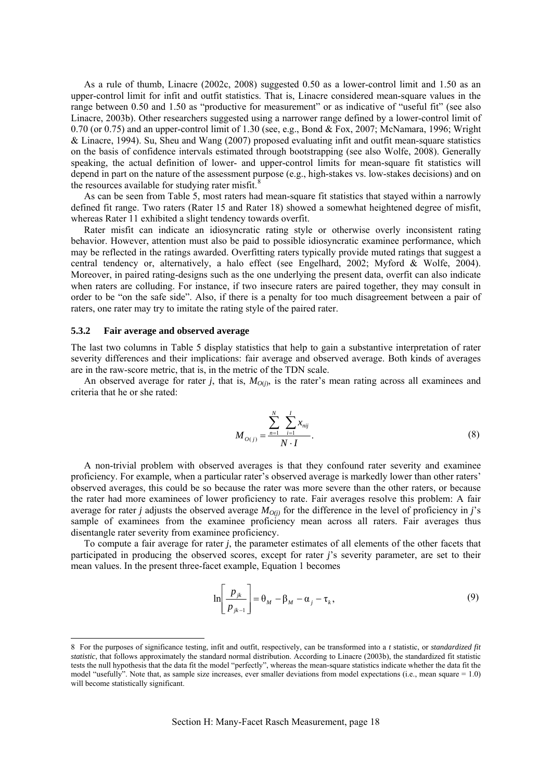<span id="page-19-0"></span>As a rule of thumb, Linacre (2002c, 2008) suggested 0.50 as a lower-control limit and 1.50 as an upper-control limit for infit and outfit statistics. That is, Linacre considered mean-square values in the range between 0.50 and 1.50 as "productive for measurement" or as indicative of "useful fit" (see also Linacre, 2003b). Other researchers suggested using a narrower range defined by a lower-control limit of 0.70 (or 0.75) and an upper-control limit of 1.30 (see, e.g., Bond & Fox, 2007; McNamara, 1996; Wright & Linacre, 1994). Su, Sheu and Wang (2007) proposed evaluating infit and outfit mean-square statistics on the basis of confidence intervals estimated through bootstrapping (see also Wolfe, 2008). Generally speaking, the actual definition of lower- and upper-control limits for mean-square fit statistics will depend in part on the nature of the assessment purpose (e.g., high-stakes vs. low-stakes decisions) and on the resources available for studying rater misfit. $\delta$ 

As can be seen from Table 5, most raters had mean-square fit statistics that stayed within a narrowly defined fit range. Two raters (Rater 15 and Rater 18) showed a somewhat heightened degree of misfit, whereas Rater 11 exhibited a slight tendency towards overfit.

Rater misfit can indicate an idiosyncratic rating style or otherwise overly inconsistent rating behavior. However, attention must also be paid to possible idiosyncratic examinee performance, which may be reflected in the ratings awarded. Overfitting raters typically provide muted ratings that suggest a central tendency or, alternatively, a halo effect (see Engelhard, 2002; Myford & Wolfe, 2004). Moreover, in paired rating-designs such as the one underlying the present data, overfit can also indicate when raters are colluding. For instance, if two insecure raters are paired together, they may consult in order to be "on the safe side". Also, if there is a penalty for too much disagreement between a pair of raters, one rater may try to imitate the rating style of the paired rater.

#### **5.3.2 Fair average and observed average**

<u>.</u>

The last two columns in Table 5 display statistics that help to gain a substantive interpretation of rater severity differences and their implications: fair average and observed average. Both kinds of averages are in the raw-score metric, that is, in the metric of the TDN scale.

An observed average for rater *j*, that is,  $M_{O(i)}$ , is the rater's mean rating across all examinees and criteria that he or she rated:

$$
M_{O(j)} = \frac{\sum_{n=1}^{N} \sum_{i=1}^{I} x_{nij}}{N \cdot I}.
$$
 (8)

A non-trivial problem with observed averages is that they confound rater severity and examinee proficiency. For example, when a particular rater's observed average is markedly lower than other raters' observed averages, this could be so because the rater was more severe than the other raters, or because the rater had more examinees of lower proficiency to rate. Fair averages resolve this problem: A fair average for rater *j* adjusts the observed average  $M_{O(i)}$  for the difference in the level of proficiency in *j*'s sample of examinees from the examinee proficiency mean across all raters. Fair averages thus disentangle rater severity from examinee proficiency.

To compute a fair average for rater *j*, the parameter estimates of all elements of the other facets that participated in producing the observed scores, except for rater *j*'s severity parameter, are set to their mean values. In the present three-facet example, Equation 1 becomes

$$
\ln\left[\frac{p_{jk}}{p_{jk-1}}\right] = \theta_M - \beta_M - \alpha_j - \tau_k,\tag{9}
$$

<span id="page-19-1"></span><sup>8</sup> For the purposes of significance testing, infit and outfit, respectively, can be transformed into a *t* statistic, or *standardized fit statistic*, that follows approximately the standard normal distribution. According to Linacre (2003b), the standardized fit statistic tests the null hypothesis that the data fit the model "perfectly", whereas the mean-square statistics indicate whether the data fit the model "usefully". Note that, as sample size increases, ever smaller deviations from model expectations (i.e., mean square = 1.0) will become statistically significant.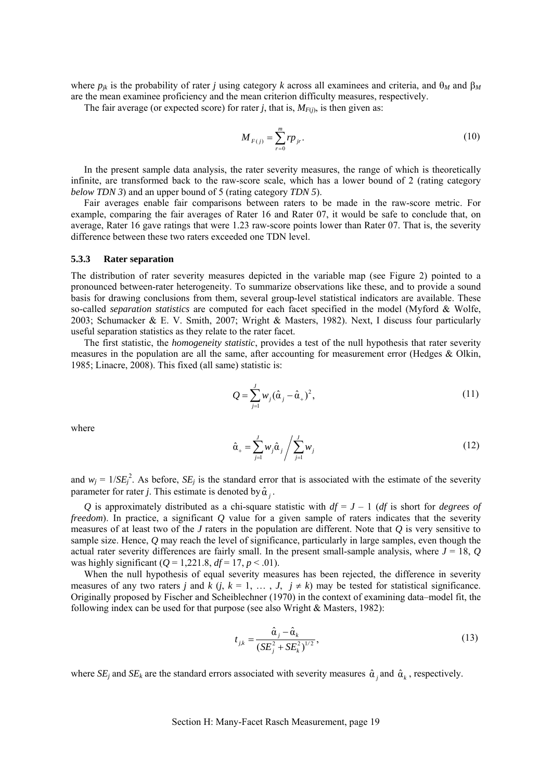<span id="page-20-0"></span>where  $p_{ik}$  is the probability of rater *j* using category *k* across all examinees and criteria, and  $\theta_M$  and  $\beta_M$ are the mean examinee proficiency and the mean criterion difficulty measures, respectively.

The fair average (or expected score) for rater *j*, that is,  $M_{F(i)}$ , is then given as:

$$
M_{F(j)} = \sum_{r=0}^{m} r p_{jr}.
$$
 (10)

In the present sample data analysis, the rater severity measures, the range of which is theoretically infinite, are transformed back to the raw-score scale, which has a lower bound of 2 (rating category *below TDN 3*) and an upper bound of 5 (rating category *TDN 5*).

Fair averages enable fair comparisons between raters to be made in the raw-score metric. For example, comparing the fair averages of Rater 16 and Rater 07, it would be safe to conclude that, on average, Rater 16 gave ratings that were 1.23 raw-score points lower than Rater 07. That is, the severity difference between these two raters exceeded one TDN level.

#### **5.3.3 Rater separation**

The distribution of rater severity measures depicted in the variable map (see Figure 2) pointed to a pronounced between-rater heterogeneity. To summarize observations like these, and to provide a sound basis for drawing conclusions from them, several group-level statistical indicators are available. These so-called *separation statistics* are computed for each facet specified in the model (Myford & Wolfe, 2003; Schumacker & E. V. Smith, 2007; Wright & Masters, 1982). Next, I discuss four particularly useful separation statistics as they relate to the rater facet.

The first statistic, the *homogeneity statistic*, provides a test of the null hypothesis that rater severity measures in the population are all the same, after accounting for measurement error (Hedges & Olkin, 1985; Linacre, 2008). This fixed (all same) statistic is:

$$
Q = \sum_{j=1}^{J} w_j (\hat{\alpha}_j - \hat{\alpha}_+)^2, \qquad (11)
$$

where

$$
\hat{\alpha}_{+} = \sum_{j=1}^{J} w_j \hat{\alpha}_j / \sum_{j=1}^{J} w_j
$$
\n(12)

and  $w_j = 1/SE_j^2$ . As before, *SE<sub>j</sub>* is the standard error that is associated with the estimate of the severity parameter for rater *j*. This estimate is denoted by  $\hat{\alpha}$ .

*Q* is approximately distributed as a chi-square statistic with  $df = J - 1$  (*df* is short for *degrees of freedom*). In practice, a significant *Q* value for a given sample of raters indicates that the severity measures of at least two of the *J* raters in the population are different. Note that *Q* is very sensitive to sample size. Hence, *Q* may reach the level of significance, particularly in large samples, even though the actual rater severity differences are fairly small. In the present small-sample analysis, where *J* = 18, *Q* was highly significant ( $Q = 1,221.8$ ,  $df = 17$ ,  $p < .01$ ).

When the null hypothesis of equal severity measures has been rejected, the difference in severity measures of any two raters *j* and *k* (*j*,  $k = 1, ..., J, j \ne k$ ) may be tested for statistical significance. Originally proposed by Fischer and Scheiblechner (1970) in the context of examining data–model fit, the following index can be used for that purpose (see also Wright & Masters, 1982):

$$
t_{j,k} = \frac{\hat{\alpha}_j - \hat{\alpha}_k}{(SE_j^2 + SE_k^2)^{1/2}},
$$
\n(13)

where  $SE_i$  and  $SE_k$  are the standard errors associated with severity measures  $\hat{\alpha}$ , and  $\hat{\alpha}_k$ , respectively.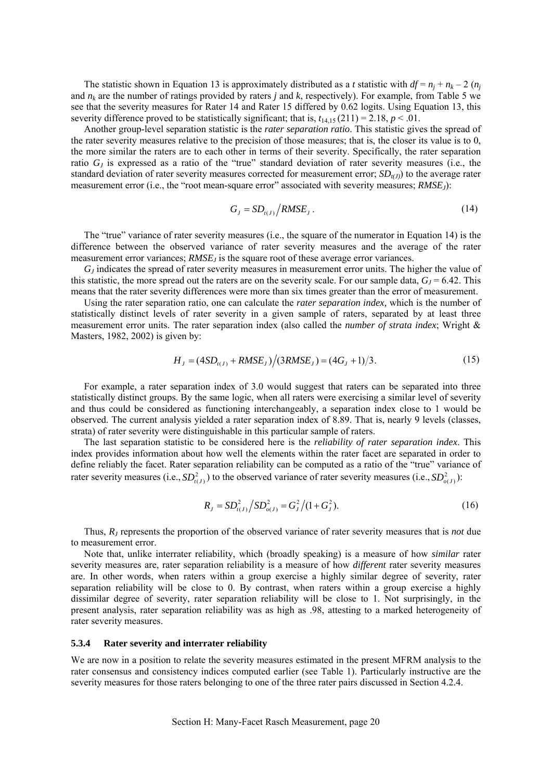<span id="page-21-0"></span>The statistic shown in Equation 13 is approximately distributed as a *t* statistic with  $df = n_i + n_k - 2$  ( $n_i$ ) and *nk* are the number of ratings provided by raters *j* and *k*, respectively). For example, from Table 5 we see that the severity measures for Rater 14 and Rater 15 differed by 0.62 logits. Using Equation 13, this severity difference proved to be statistically significant; that is,  $t_{14,15}(211) = 2.18$ ,  $p < .01$ .

Another group-level separation statistic is the *rater separation ratio*. This statistic gives the spread of the rater severity measures relative to the precision of those measures; that is, the closer its value is to 0, the more similar the raters are to each other in terms of their severity. Specifically, the rater separation ratio *GJ* is expressed as a ratio of the "true" standard deviation of rater severity measures (i.e., the standard deviation of rater severity measures corrected for measurement error;  $SD_{t(J)}$ ) to the average rater measurement error (i.e., the "root mean-square error" associated with severity measures; *RMSEJ*):

$$
G_j = SD_{i(j)} / RMSE_j. \tag{14}
$$

The "true" variance of rater severity measures (i.e., the square of the numerator in Equation 14) is the difference between the observed variance of rater severity measures and the average of the rater measurement error variances; *RMSE<sub>J</sub>* is the square root of these average error variances.

*GJ* indicates the spread of rater severity measures in measurement error units. The higher the value of this statistic, the more spread out the raters are on the severity scale. For our sample data,  $G<sub>I</sub> = 6.42$ . This means that the rater severity differences were more than six times greater than the error of measurement.

Using the rater separation ratio, one can calculate the *rater separation index,* which is the number of statistically distinct levels of rater severity in a given sample of raters, separated by at least three measurement error units. The rater separation index (also called the *number of strata index*; Wright & Masters, 1982, 2002) is given by:

$$
H_{J} = (4SD_{i(J)} + RMSE_{J})/(3RMSE_{J}) = (4G_{J} + 1)/3.
$$
 (15)

For example, a rater separation index of 3.0 would suggest that raters can be separated into three statistically distinct groups. By the same logic, when all raters were exercising a similar level of severity and thus could be considered as functioning interchangeably, a separation index close to 1 would be observed. The current analysis yielded a rater separation index of 8.89. That is, nearly 9 levels (classes, strata) of rater severity were distinguishable in this particular sample of raters.

The last separation statistic to be considered here is the *reliability of rater separation index*. This index provides information about how well the elements within the rater facet are separated in order to define reliably the facet. Rater separation reliability can be computed as a ratio of the "true" variance of rater severity measures (i.e.,  $SD_{i}(j)}^2$ ) to the observed variance of rater severity measures (i.e.,  $SD_{o}(j)}^2$ ):

$$
R_{j} = SD_{t(j)}^{2} / SD_{o(j)}^{2} = G_{j}^{2} / (1 + G_{j}^{2}).
$$
\n(16)

Thus, *RJ* represents the proportion of the observed variance of rater severity measures that is *not* due to measurement error.

Note that, unlike interrater reliability, which (broadly speaking) is a measure of how *similar* rater severity measures are, rater separation reliability is a measure of how *different* rater severity measures are. In other words, when raters within a group exercise a highly similar degree of severity, rater separation reliability will be close to 0. By contrast, when raters within a group exercise a highly dissimilar degree of severity, rater separation reliability will be close to 1. Not surprisingly, in the present analysis, rater separation reliability was as high as .98, attesting to a marked heterogeneity of rater severity measures.

#### **5.3.4 Rater severity and interrater reliability**

We are now in a position to relate the severity measures estimated in the present MFRM analysis to the rater consensus and consistency indices computed earlier (see Table 1). Particularly instructive are the severity measures for those raters belonging to one of the three rater pairs discussed in Section 4.2.4.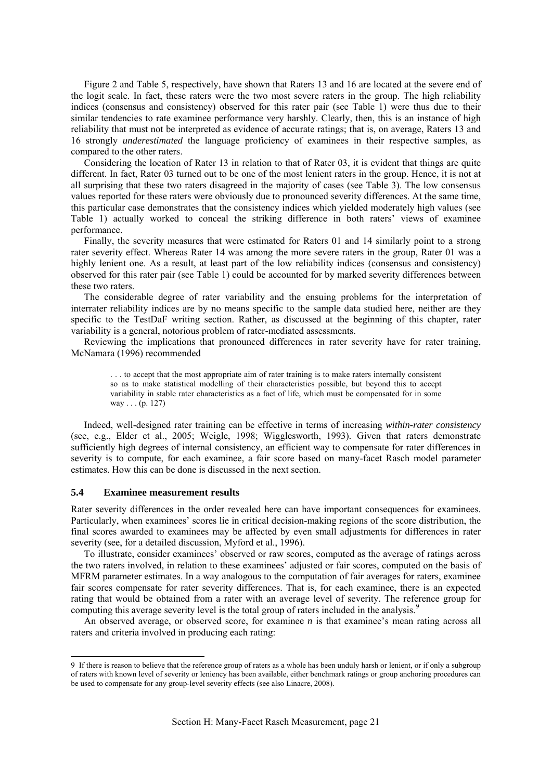<span id="page-22-0"></span>Figure 2 and Table 5, respectively, have shown that Raters 13 and 16 are located at the severe end of the logit scale. In fact, these raters were the two most severe raters in the group. The high reliability indices (consensus and consistency) observed for this rater pair (see Table 1) were thus due to their similar tendencies to rate examinee performance very harshly. Clearly, then, this is an instance of high reliability that must not be interpreted as evidence of accurate ratings; that is, on average, Raters 13 and 16 strongly *underestimated* the language proficiency of examinees in their respective samples, as compared to the other raters.

Considering the location of Rater 13 in relation to that of Rater 03, it is evident that things are quite different. In fact, Rater 03 turned out to be one of the most lenient raters in the group. Hence, it is not at all surprising that these two raters disagreed in the majority of cases (see Table 3). The low consensus values reported for these raters were obviously due to pronounced severity differences. At the same time, this particular case demonstrates that the consistency indices which yielded moderately high values (see Table 1) actually worked to conceal the striking difference in both raters' views of examinee performance.

Finally, the severity measures that were estimated for Raters 01 and 14 similarly point to a strong rater severity effect. Whereas Rater 14 was among the more severe raters in the group, Rater 01 was a highly lenient one. As a result, at least part of the low reliability indices (consensus and consistency) observed for this rater pair (see Table 1) could be accounted for by marked severity differences between these two raters.

The considerable degree of rater variability and the ensuing problems for the interpretation of interrater reliability indices are by no means specific to the sample data studied here, neither are they specific to the TestDaF writing section. Rather, as discussed at the beginning of this chapter, rater variability is a general, notorious problem of rater-mediated assessments.

Reviewing the implications that pronounced differences in rater severity have for rater training, McNamara (1996) recommended

. . . to accept that the most appropriate aim of rater training is to make raters internally consistent so as to make statistical modelling of their characteristics possible, but beyond this to accept variability in stable rater characteristics as a fact of life, which must be compensated for in some way . . . (p. 127)

Indeed, well-designed rater training can be effective in terms of increasing *within-rater consistency* (see, e.g., Elder et al., 2005; Weigle, 1998; Wigglesworth, 1993)*.* Given that raters demonstrate sufficiently high degrees of internal consistency, an efficient way to compensate for rater differences in severity is to compute, for each examinee, a fair score based on many-facet Rasch model parameter estimates. How this can be done is discussed in the next section.

## **5.4 Examinee measurement results**

-

Rater severity differences in the order revealed here can have important consequences for examinees. Particularly, when examinees' scores lie in critical decision-making regions of the score distribution, the final scores awarded to examinees may be affected by even small adjustments for differences in rater severity (see, for a detailed discussion, Myford et al., 1996).

To illustrate, consider examinees' observed or raw scores, computed as the average of ratings across the two raters involved, in relation to these examinees' adjusted or fair scores, computed on the basis of MFRM parameter estimates. In a way analogous to the computation of fair averages for raters, examinee fair scores compensate for rater severity differences. That is, for each examinee, there is an expected rating that would be obtained from a rater with an average level of severity. The reference group for computing this average severity level is the total group of raters included in the analysis.<sup>[9](#page-22-1)</sup>

An observed average, or observed score, for examinee *n* is that examinee's mean rating across all raters and criteria involved in producing each rating:

<span id="page-22-1"></span><sup>9</sup> If there is reason to believe that the reference group of raters as a whole has been unduly harsh or lenient, or if only a subgroup of raters with known level of severity or leniency has been available, either benchmark ratings or group anchoring procedures can be used to compensate for any group-level severity effects (see also Linacre, 2008).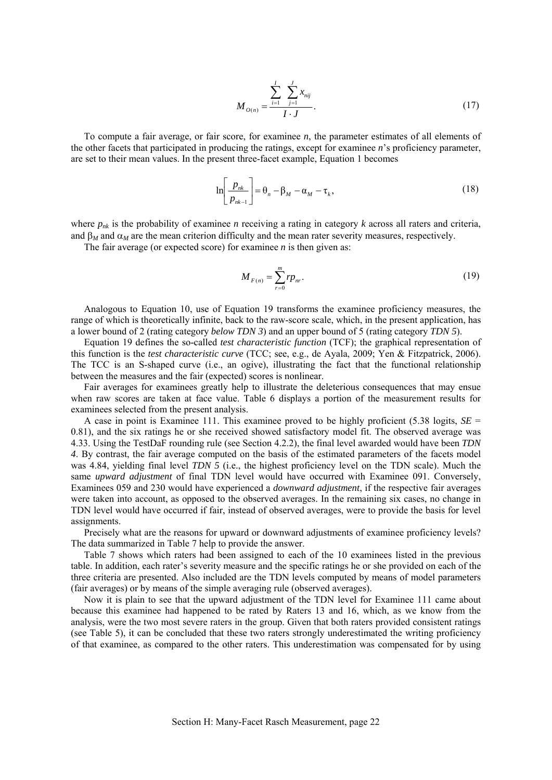$$
M_{O(n)} = \frac{\sum_{i=1}^{I} \sum_{j=1}^{J} x_{nij}}{I \cdot J}.
$$
 (17)

To compute a fair average, or fair score, for examinee *n*, the parameter estimates of all elements of the other facets that participated in producing the ratings, except for examinee *n*'s proficiency parameter, are set to their mean values. In the present three-facet example, Equation 1 becomes

$$
\ln\left[\frac{p_{nk}}{p_{nk-1}}\right] = \theta_n - \beta_M - \alpha_M - \tau_k, \qquad (18)
$$

where  $p_{nk}$  is the probability of examinee *n* receiving a rating in category *k* across all raters and criteria, and  $\beta_M$  and  $\alpha_M$  are the mean criterion difficulty and the mean rater severity measures, respectively.

The fair average (or expected score) for examinee *n* is then given as:

$$
M_{F(n)} = \sum_{r=0}^{m} r p_{nr}.
$$
 (19)

Analogous to Equation 10, use of Equation 19 transforms the examinee proficiency measures, the range of which is theoretically infinite, back to the raw-score scale, which, in the present application, has a lower bound of 2 (rating category *below TDN 3*) and an upper bound of 5 (rating category *TDN 5*).

Equation 19 defines the so-called *test characteristic function* (TCF); the graphical representation of this function is the *test characteristic curve* (TCC; see, e.g., de Ayala, 2009; Yen & Fitzpatrick, 2006). The TCC is an S-shaped curve (i.e., an ogive), illustrating the fact that the functional relationship between the measures and the fair (expected) scores is nonlinear.

Fair averages for examinees greatly help to illustrate the deleterious consequences that may ensue when raw scores are taken at face value. Table 6 displays a portion of the measurement results for examinees selected from the present analysis.

A case in point is Examinee 111. This examinee proved to be highly proficient (5.38 logits,  $SE =$ 0.81), and the six ratings he or she received showed satisfactory model fit. The observed average was 4.33. Using the TestDaF rounding rule (see Section 4.2.2), the final level awarded would have been *TDN 4*. By contrast, the fair average computed on the basis of the estimated parameters of the facets model was 4.84, yielding final level *TDN 5* (i.e., the highest proficiency level on the TDN scale). Much the same *upward adjustment* of final TDN level would have occurred with Examinee 091. Conversely, Examinees 059 and 230 would have experienced a *downward adjustment*, if the respective fair averages were taken into account, as opposed to the observed averages. In the remaining six cases, no change in TDN level would have occurred if fair, instead of observed averages, were to provide the basis for level assignments.

Precisely what are the reasons for upward or downward adjustments of examinee proficiency levels? The data summarized in Table 7 help to provide the answer.

Table 7 shows which raters had been assigned to each of the 10 examinees listed in the previous table. In addition, each rater's severity measure and the specific ratings he or she provided on each of the three criteria are presented. Also included are the TDN levels computed by means of model parameters (fair averages) or by means of the simple averaging rule (observed averages).

Now it is plain to see that the upward adjustment of the TDN level for Examinee 111 came about because this examinee had happened to be rated by Raters 13 and 16, which, as we know from the analysis, were the two most severe raters in the group. Given that both raters provided consistent ratings (see Table 5), it can be concluded that these two raters strongly underestimated the writing proficiency of that examinee, as compared to the other raters. This underestimation was compensated for by using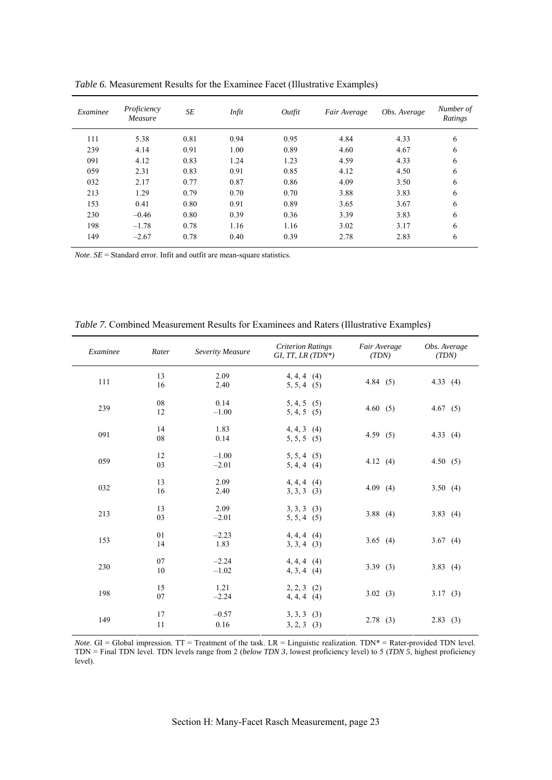| Examinee | Proficiency<br>Measure | <b>SE</b> | Infit | Outfit | Fair Average | Obs. Average | Number of<br>Ratings |
|----------|------------------------|-----------|-------|--------|--------------|--------------|----------------------|
| 111      | 5.38                   | 0.81      | 0.94  | 0.95   | 4.84         | 4.33         | 6                    |
| 239      | 4.14                   | 0.91      | 1.00  | 0.89   | 4.60         | 4.67         | 6                    |
| 091      | 4.12                   | 0.83      | 1.24  | 1.23   | 4.59         | 4.33         | 6                    |
| 059      | 2.31                   | 0.83      | 0.91  | 0.85   | 4.12         | 4.50         | 6                    |
| 032      | 2.17                   | 0.77      | 0.87  | 0.86   | 4.09         | 3.50         | 6                    |
| 213      | 1.29                   | 0.79      | 0.70  | 0.70   | 3.88         | 3.83         | 6                    |
| 153      | 0.41                   | 0.80      | 0.91  | 0.89   | 3.65         | 3.67         | 6                    |
| 230      | $-0.46$                | 0.80      | 0.39  | 0.36   | 3.39         | 3.83         | 6                    |
| 198      | $-1.78$                | 0.78      | 1.16  | 1.16   | 3.02         | 3.17         | 6                    |
| 149      | $-2.67$                | 0.78      | 0.40  | 0.39   | 2.78         | 2.83         | 6                    |

*Table 6.* Measurement Results for the Examinee Facet (Illustrative Examples)

*Note*. *SE* = Standard error. Infit and outfit are mean-square statistics.

| Examinee | Rater    | Severity Measure   | <b>Criterion Ratings</b><br>GI, TT, LR $(TDN^*)$ | Fair Average<br>(TDN) | Obs. Average<br>(TDN) |
|----------|----------|--------------------|--------------------------------------------------|-----------------------|-----------------------|
| 111      | 13<br>16 | 2.09<br>2.40       | $4, 4, 4$ (4)<br>$5, 5, 4$ (5)                   | 4.84(5)               | 4.33(4)               |
| 239      | 08<br>12 | 0.14<br>$-1.00$    | $5, 4, 5$ (5)<br>$5, 4, 5$ (5)                   | 4.60(5)               | 4.67(5)               |
| 091      | 14<br>08 | 1.83<br>0.14       | $4, 4, 3$ (4)<br>$5, 5, 5$ (5)                   | 4.59(5)               | 4.33(4)               |
| 059      | 12<br>03 | $-1.00$<br>$-2.01$ | $5, 5, 4$ (5)<br>$5, 4, 4$ (4)                   | 4.12(4)               | 4.50(5)               |
| 032      | 13<br>16 | 2.09<br>2.40       | $4, 4, 4$ (4)<br>$3, 3, 3$ (3)                   | 4.09(4)               | 3.50(4)               |
| 213      | 13<br>03 | 2.09<br>$-2.01$    | $3, 3, 3$ (3)<br>$5, 5, 4$ (5)                   | 3.88(4)               | 3.83(4)               |
| 153      | 01<br>14 | $-2.23$<br>1.83    | $4, 4, 4$ (4)<br>$3, 3, 4$ (3)                   | 3.65 $(4)$            | 3.67(4)               |
| 230      | 07<br>10 | $-2.24$<br>$-1.02$ | $4, 4, 4$ (4)<br>$4, 3, 4$ (4)                   | 3.39(3)               | 3.83(4)               |
| 198      | 15<br>07 | 1.21<br>$-2.24$    | $2, 2, 3$ (2)<br>$4, 4, 4$ (4)                   | 3.02(3)               | 3.17(3)               |
| 149      | 17<br>11 | $-0.57$<br>0.16    | $3, 3, 3$ (3)<br>$3, 2, 3$ (3)                   | 2.78(3)               | 2.83(3)               |

*Table 7.* Combined Measurement Results for Examinees and Raters (Illustrative Examples)

*Note*. GI = Global impression. TT = Treatment of the task. LR = Linguistic realization. TDN\* = Rater-provided TDN level. TDN = Final TDN level. TDN levels range from 2 (*below TDN 3*, lowest proficiency level) to 5 (*TDN 5*, highest proficiency level).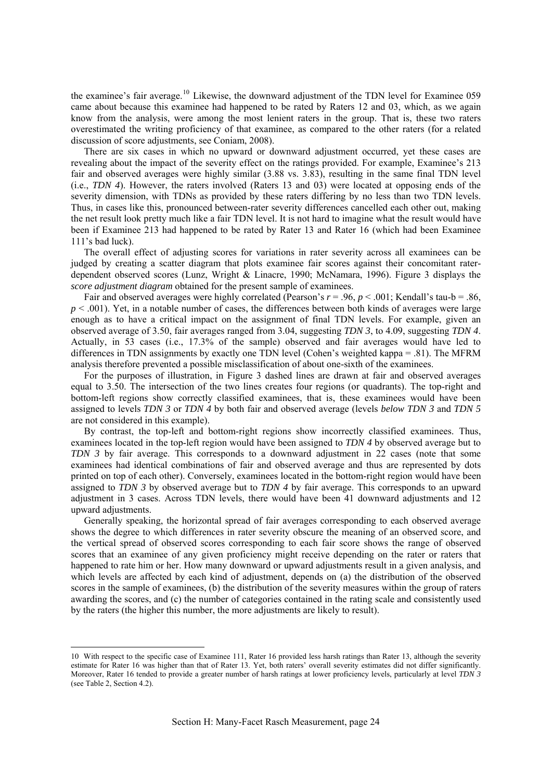the examinee's fair average.<sup>[10](#page-25-0)</sup> Likewise, the downward adjustment of the TDN level for Examinee 059 came about because this examinee had happened to be rated by Raters 12 and 03, which, as we again know from the analysis, were among the most lenient raters in the group. That is, these two raters overestimated the writing proficiency of that examinee, as compared to the other raters (for a related discussion of score adjustments, see Coniam, 2008).

There are six cases in which no upward or downward adjustment occurred, yet these cases are revealing about the impact of the severity effect on the ratings provided. For example, Examinee's 213 fair and observed averages were highly similar (3.88 vs. 3.83), resulting in the same final TDN level (i.e., *TDN 4*). However, the raters involved (Raters 13 and 03) were located at opposing ends of the severity dimension, with TDNs as provided by these raters differing by no less than two TDN levels. Thus, in cases like this, pronounced between-rater severity differences cancelled each other out, making the net result look pretty much like a fair TDN level. It is not hard to imagine what the result would have been if Examinee 213 had happened to be rated by Rater 13 and Rater 16 (which had been Examinee 111's bad luck).

The overall effect of adjusting scores for variations in rater severity across all examinees can be judged by creating a scatter diagram that plots examinee fair scores against their concomitant raterdependent observed scores (Lunz, Wright & Linacre, 1990; McNamara, 1996). Figure 3 displays the *score adjustment diagram* obtained for the present sample of examinees.

Fair and observed averages were highly correlated (Pearson's *r* = .96, *p* < .001; Kendall's tau-b = .86,  $p \leq 0.001$ ). Yet, in a notable number of cases, the differences between both kinds of averages were large enough as to have a critical impact on the assignment of final TDN levels. For example, given an observed average of 3.50, fair averages ranged from 3.04, suggesting *TDN 3*, to 4.09, suggesting *TDN 4*. Actually, in 53 cases (i.e., 17.3% of the sample) observed and fair averages would have led to differences in TDN assignments by exactly one TDN level (Cohen's weighted kappa = .81). The MFRM analysis therefore prevented a possible misclassification of about one-sixth of the examinees.

For the purposes of illustration, in Figure 3 dashed lines are drawn at fair and observed averages equal to 3.50. The intersection of the two lines creates four regions (or quadrants). The top-right and bottom-left regions show correctly classified examinees, that is, these examinees would have been assigned to levels *TDN 3* or *TDN 4* by both fair and observed average (levels *below TDN 3* and *TDN 5* are not considered in this example).

By contrast, the top-left and bottom-right regions show incorrectly classified examinees. Thus, examinees located in the top-left region would have been assigned to *TDN 4* by observed average but to *TDN 3* by fair average. This corresponds to a downward adjustment in 22 cases (note that some examinees had identical combinations of fair and observed average and thus are represented by dots printed on top of each other). Conversely, examinees located in the bottom-right region would have been assigned to *TDN 3* by observed average but to *TDN 4* by fair average. This corresponds to an upward adjustment in 3 cases. Across TDN levels, there would have been 41 downward adjustments and 12 upward adjustments.

Generally speaking, the horizontal spread of fair averages corresponding to each observed average shows the degree to which differences in rater severity obscure the meaning of an observed score, and the vertical spread of observed scores corresponding to each fair score shows the range of observed scores that an examinee of any given proficiency might receive depending on the rater or raters that happened to rate him or her. How many downward or upward adjustments result in a given analysis, and which levels are affected by each kind of adjustment, depends on (a) the distribution of the observed scores in the sample of examinees, (b) the distribution of the severity measures within the group of raters awarding the scores, and (c) the number of categories contained in the rating scale and consistently used by the raters (the higher this number, the more adjustments are likely to result).

<u>.</u>

<span id="page-25-0"></span><sup>10</sup> With respect to the specific case of Examinee 111, Rater 16 provided less harsh ratings than Rater 13, although the severity estimate for Rater 16 was higher than that of Rater 13. Yet, both raters' overall severity estimates did not differ significantly. Moreover, Rater 16 tended to provide a greater number of harsh ratings at lower proficiency levels, particularly at level *TDN 3* (see Table 2, Section 4.2).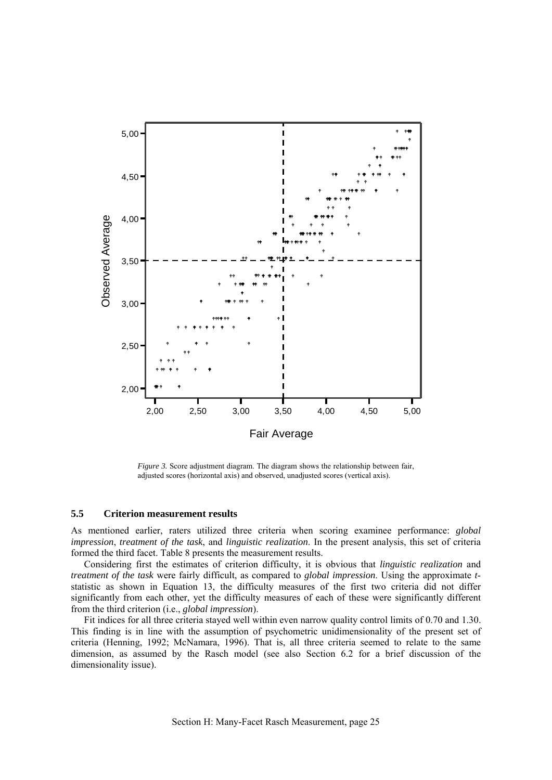<span id="page-26-0"></span>

*Figure 3.* Score adjustment diagram. The diagram shows the relationship between fair, adjusted scores (horizontal axis) and observed, unadjusted scores (vertical axis).

## **5.5 Criterion measurement results**

As mentioned earlier, raters utilized three criteria when scoring examinee performance: *global impression*, *treatment of the task*, and *linguistic realization*. In the present analysis, this set of criteria formed the third facet. Table 8 presents the measurement results.

Considering first the estimates of criterion difficulty, it is obvious that *linguistic realization* and *treatment of the task* were fairly difficult, as compared to *global impression*. Using the approximate *t*statistic as shown in Equation 13, the difficulty measures of the first two criteria did not differ significantly from each other, yet the difficulty measures of each of these were significantly different from the third criterion (i.e., *global impression*).

Fit indices for all three criteria stayed well within even narrow quality control limits of 0.70 and 1.30. This finding is in line with the assumption of psychometric unidimensionality of the present set of criteria (Henning, 1992; McNamara, 1996). That is, all three criteria seemed to relate to the same dimension, as assumed by the Rasch model (see also Section 6.2 for a brief discussion of the dimensionality issue).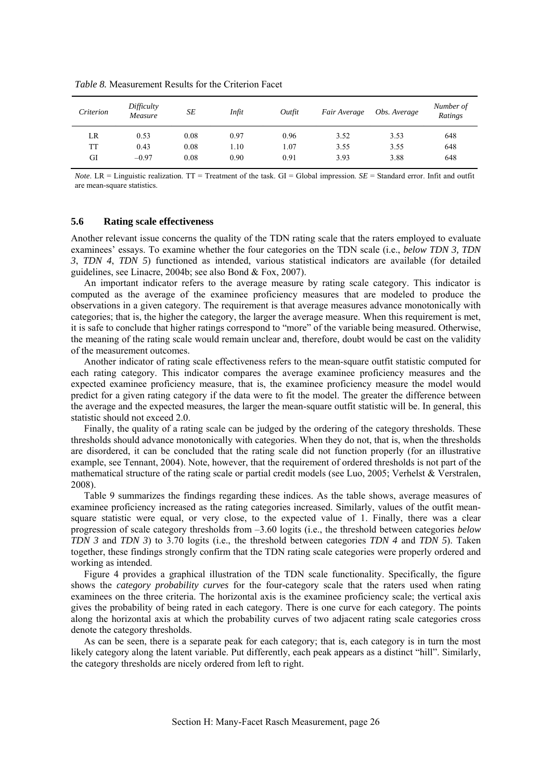| Criterion | Difficulty<br>Measure | SE   | Infit | Outfit | Fair Average | Obs. Average | Number of<br>Ratings |
|-----------|-----------------------|------|-------|--------|--------------|--------------|----------------------|
| LR        | 0.53                  | 0.08 | 0.97  | 0.96   | 3.52         | 3.53         | 648                  |
| TT        | 0.43                  | 0.08 | 1.10  | 1.07   | 3.55         | 3.55         | 648                  |
| GI        | $-0.97$               | 0.08 | 0.90  | 0.91   | 3.93         | 3.88         | 648                  |

<span id="page-27-0"></span>*Table 8.* Measurement Results for the Criterion Facet

*Note*. LR = Linguistic realization. TT = Treatment of the task. GI = Global impression. *SE* = Standard error. Infit and outfit are mean-square statistics.

## **5.6 Rating scale effectiveness**

Another relevant issue concerns the quality of the TDN rating scale that the raters employed to evaluate examinees' essays. To examine whether the four categories on the TDN scale (i.e., *below TDN 3, TDN 3*, *TDN 4*, *TDN 5*) functioned as intended, various statistical indicators are available (for detailed guidelines, see Linacre, 2004b; see also Bond & Fox, 2007).

An important indicator refers to the average measure by rating scale category. This indicator is computed as the average of the examinee proficiency measures that are modeled to produce the observations in a given category. The requirement is that average measures advance monotonically with categories; that is, the higher the category, the larger the average measure. When this requirement is met, it is safe to conclude that higher ratings correspond to "more" of the variable being measured. Otherwise, the meaning of the rating scale would remain unclear and, therefore, doubt would be cast on the validity of the measurement outcomes.

Another indicator of rating scale effectiveness refers to the mean-square outfit statistic computed for each rating category. This indicator compares the average examinee proficiency measures and the expected examinee proficiency measure, that is, the examinee proficiency measure the model would predict for a given rating category if the data were to fit the model. The greater the difference between the average and the expected measures, the larger the mean-square outfit statistic will be. In general, this statistic should not exceed 2.0.

Finally, the quality of a rating scale can be judged by the ordering of the category thresholds. These thresholds should advance monotonically with categories. When they do not, that is, when the thresholds are disordered, it can be concluded that the rating scale did not function properly (for an illustrative example, see Tennant, 2004). Note, however, that the requirement of ordered thresholds is not part of the mathematical structure of the rating scale or partial credit models (see Luo, 2005; Verhelst & Verstralen, 2008).

Table 9 summarizes the findings regarding these indices. As the table shows, average measures of examinee proficiency increased as the rating categories increased. Similarly, values of the outfit meansquare statistic were equal, or very close, to the expected value of 1. Finally, there was a clear progression of scale category thresholds from –3.60 logits (i.e., the threshold between categories *below TDN 3* and *TDN 3*) to 3.70 logits (i.e., the threshold between categories *TDN 4* and *TDN 5*). Taken together, these findings strongly confirm that the TDN rating scale categories were properly ordered and working as intended.

Figure 4 provides a graphical illustration of the TDN scale functionality. Specifically, the figure shows the *category probability curves* for the four-category scale that the raters used when rating examinees on the three criteria. The horizontal axis is the examinee proficiency scale; the vertical axis gives the probability of being rated in each category. There is one curve for each category. The points along the horizontal axis at which the probability curves of two adjacent rating scale categories cross denote the category thresholds.

As can be seen, there is a separate peak for each category; that is, each category is in turn the most likely category along the latent variable. Put differently, each peak appears as a distinct "hill". Similarly, the category thresholds are nicely ordered from left to right.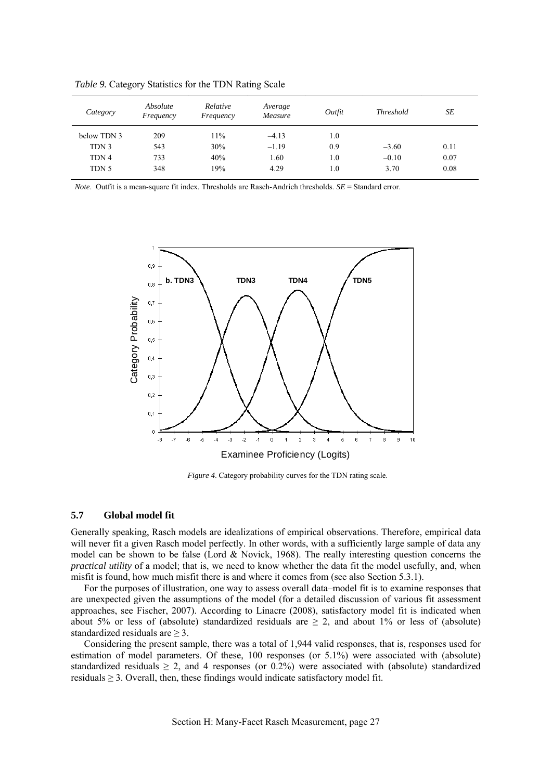| Category    | Absolute<br>Frequency | Relative<br>Frequency | Average<br>Measure | Outfit | <b>Threshold</b> | SE   |
|-------------|-----------------------|-----------------------|--------------------|--------|------------------|------|
| below TDN 3 | 209                   | 11%                   | $-4.13$            | 1.0    |                  |      |
| TDN 3       | 543                   | 30%                   | $-1.19$            | 0.9    | $-3.60$          | 0.11 |
| TDN 4       | 733                   | 40%                   | 1.60               | 1.0    | $-0.10$          | 0.07 |
| TDN 5       | 348                   | 19%                   | 4.29               | 1.0    | 3.70             | 0.08 |

<span id="page-28-0"></span>*Table 9.* Category Statistics for the TDN Rating Scale

*Note*. Outfit is a mean-square fit index. Thresholds are Rasch-Andrich thresholds. *SE* = Standard error.



*Figure 4*. Category probability curves for the TDN rating scale.

## **5.7 Global model fit**

Generally speaking, Rasch models are idealizations of empirical observations. Therefore, empirical data will never fit a given Rasch model perfectly. In other words, with a sufficiently large sample of data any model can be shown to be false (Lord & Novick, 1968). The really interesting question concerns the *practical utility* of a model; that is, we need to know whether the data fit the model usefully, and, when misfit is found, how much misfit there is and where it comes from (see also Section 5.3.1).

For the purposes of illustration, one way to assess overall data–model fit is to examine responses that are unexpected given the assumptions of the model (for a detailed discussion of various fit assessment approaches, see Fischer, 2007). According to Linacre (2008), satisfactory model fit is indicated when about 5% or less of (absolute) standardized residuals are  $\geq$  2, and about 1% or less of (absolute) standardized residuals are  $\geq$  3.

Considering the present sample, there was a total of 1,944 valid responses, that is, responses used for estimation of model parameters. Of these, 100 responses (or 5.1%) were associated with (absolute) standardized residuals  $\geq 2$ , and 4 responses (or 0.2%) were associated with (absolute) standardized residuals  $\geq 3$ . Overall, then, these findings would indicate satisfactory model fit.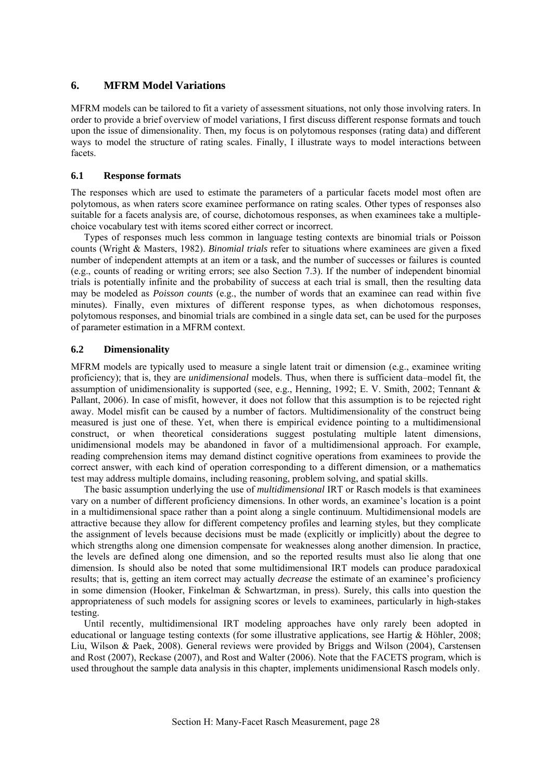## <span id="page-29-0"></span>**6. MFRM Model Variations**

MFRM models can be tailored to fit a variety of assessment situations, not only those involving raters. In order to provide a brief overview of model variations, I first discuss different response formats and touch upon the issue of dimensionality. Then, my focus is on polytomous responses (rating data) and different ways to model the structure of rating scales. Finally, I illustrate ways to model interactions between facets.

#### **6.1 Response formats**

The responses which are used to estimate the parameters of a particular facets model most often are polytomous, as when raters score examinee performance on rating scales. Other types of responses also suitable for a facets analysis are, of course, dichotomous responses, as when examinees take a multiplechoice vocabulary test with items scored either correct or incorrect.

Types of responses much less common in language testing contexts are binomial trials or Poisson counts (Wright & Masters, 1982). *Binomial trials* refer to situations where examinees are given a fixed number of independent attempts at an item or a task, and the number of successes or failures is counted (e.g., counts of reading or writing errors; see also Section 7.3). If the number of independent binomial trials is potentially infinite and the probability of success at each trial is small, then the resulting data may be modeled as *Poisson counts* (e.g., the number of words that an examinee can read within five minutes). Finally, even mixtures of different response types, as when dichotomous responses, polytomous responses, and binomial trials are combined in a single data set, can be used for the purposes of parameter estimation in a MFRM context.

## **6.2 Dimensionality**

MFRM models are typically used to measure a single latent trait or dimension (e.g., examinee writing proficiency); that is, they are *unidimensional* models. Thus, when there is sufficient data–model fit, the assumption of unidimensionality is supported (see, e.g., Henning, 1992; E. V. Smith, 2002; Tennant & Pallant, 2006). In case of misfit, however, it does not follow that this assumption is to be rejected right away. Model misfit can be caused by a number of factors. Multidimensionality of the construct being measured is just one of these. Yet, when there is empirical evidence pointing to a multidimensional construct, or when theoretical considerations suggest postulating multiple latent dimensions, unidimensional models may be abandoned in favor of a multidimensional approach. For example, reading comprehension items may demand distinct cognitive operations from examinees to provide the correct answer, with each kind of operation corresponding to a different dimension, or a mathematics test may address multiple domains, including reasoning, problem solving, and spatial skills.

The basic assumption underlying the use of *multidimensional* IRT or Rasch models is that examinees vary on a number of different proficiency dimensions. In other words, an examinee's location is a point in a multidimensional space rather than a point along a single continuum. Multidimensional models are attractive because they allow for different competency profiles and learning styles, but they complicate the assignment of levels because decisions must be made (explicitly or implicitly) about the degree to which strengths along one dimension compensate for weaknesses along another dimension. In practice, the levels are defined along one dimension, and so the reported results must also lie along that one dimension. Is should also be noted that some multidimensional IRT models can produce paradoxical results; that is, getting an item correct may actually *decrease* the estimate of an examinee's proficiency in some dimension (Hooker, Finkelman  $\&$  Schwartzman, in press). Surely, this calls into question the appropriateness of such models for assigning scores or levels to examinees, particularly in high-stakes testing.

Until recently, multidimensional IRT modeling approaches have only rarely been adopted in educational or language testing contexts (for some illustrative applications, see Hartig & Höhler, 2008; Liu, Wilson & Paek, 2008). General reviews were provided by Briggs and Wilson (2004), Carstensen and Rost (2007), Reckase (2007), and Rost and Walter (2006). Note that the FACETS program, which is used throughout the sample data analysis in this chapter, implements unidimensional Rasch models only.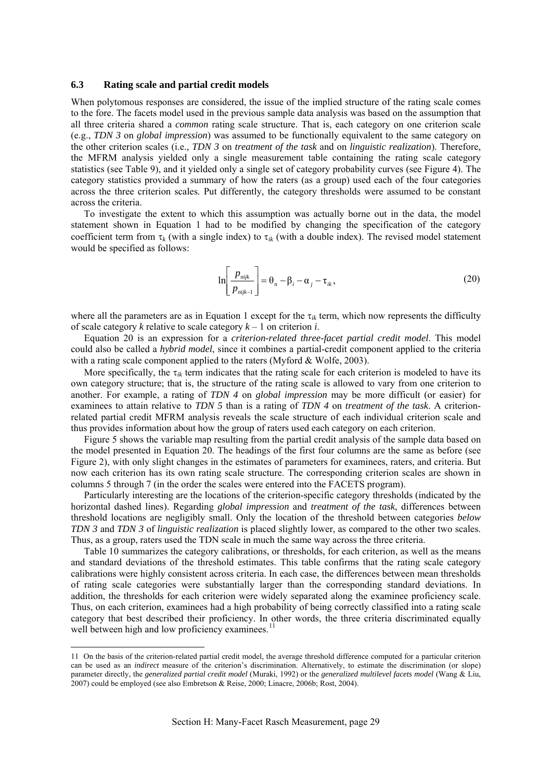#### <span id="page-30-0"></span>**6.3 Rating scale and partial credit models**

When polytomous responses are considered, the issue of the implied structure of the rating scale comes to the fore. The facets model used in the previous sample data analysis was based on the assumption that all three criteria shared a *common* rating scale structure. That is, each category on one criterion scale (e.g., *TDN 3* on *global impression*) was assumed to be functionally equivalent to the same category on the other criterion scales (i.e., *TDN 3* on *treatment of the task* and on *linguistic realization*). Therefore, the MFRM analysis yielded only a single measurement table containing the rating scale category statistics (see Table 9), and it yielded only a single set of category probability curves (see Figure 4). The category statistics provided a summary of how the raters (as a group) used each of the four categories across the three criterion scales. Put differently, the category thresholds were assumed to be constant across the criteria.

To investigate the extent to which this assumption was actually borne out in the data, the model statement shown in Equation 1 had to be modified by changing the specification of the category coefficient term from  $\tau_k$  (with a single index) to  $\tau_{ik}$  (with a double index). The revised model statement would be specified as follows:

$$
\ln\left[\frac{p_{\text{nijk}}}{p_{\text{nijk}-1}}\right] = \theta_n - \beta_i - \alpha_j - \tau_{ik},\qquad(20)
$$

where all the parameters are as in Equation 1 except for the τ*ik* term, which now represents the difficulty of scale category *k* relative to scale category *k* – 1 on criterion *i*.

Equation 20 is an expression for a *criterion-related three-facet partial credit model*. This model could also be called a *hybrid model*, since it combines a partial-credit component applied to the criteria with a rating scale component applied to the raters (Myford & Wolfe, 2003).

More specifically, the  $\tau_{ik}$  term indicates that the rating scale for each criterion is modeled to have its own category structure; that is, the structure of the rating scale is allowed to vary from one criterion to another. For example, a rating of *TDN 4* on *global impression* may be more difficult (or easier) for examinees to attain relative to *TDN 5* than is a rating of *TDN 4* on *treatment of the task*. A criterionrelated partial credit MFRM analysis reveals the scale structure of each individual criterion scale and thus provides information about how the group of raters used each category on each criterion.

Figure 5 shows the variable map resulting from the partial credit analysis of the sample data based on the model presented in Equation 20. The headings of the first four columns are the same as before (see Figure 2), with only slight changes in the estimates of parameters for examinees, raters, and criteria. But now each criterion has its own rating scale structure. The corresponding criterion scales are shown in columns 5 through 7 (in the order the scales were entered into the FACETS program).

Particularly interesting are the locations of the criterion-specific category thresholds (indicated by the horizontal dashed lines). Regarding *global impression* and *treatment of the task*, differences between threshold locations are negligibly small. Only the location of the threshold between categories *below TDN 3* and *TDN 3* of *linguistic realization* is placed slightly lower, as compared to the other two scales. Thus, as a group, raters used the TDN scale in much the same way across the three criteria.

Table 10 summarizes the category calibrations, or thresholds, for each criterion, as well as the means and standard deviations of the threshold estimates. This table confirms that the rating scale category calibrations were highly consistent across criteria. In each case, the differences between mean thresholds of rating scale categories were substantially larger than the corresponding standard deviations. In addition, the thresholds for each criterion were widely separated along the examinee proficiency scale. Thus, on each criterion, examinees had a high probability of being correctly classified into a rating scale category that best described their proficiency. In other words, the three criteria discriminated equally well between high and low proficiency examinees.<sup>[11](#page-30-1)</sup>

<u>.</u>

<span id="page-30-1"></span><sup>11</sup> On the basis of the criterion-related partial credit model, the average threshold difference computed for a particular criterion can be used as an *indirect* measure of the criterion's discrimination. Alternatively, to estimate the discrimination (or slope) parameter directly, the *generalized partial credit model* (Muraki, 1992) or the *generalized multilevel facets model* (Wang & Liu, 2007) could be employed (see also Embretson & Reise, 2000; Linacre, 2006b; Rost, 2004).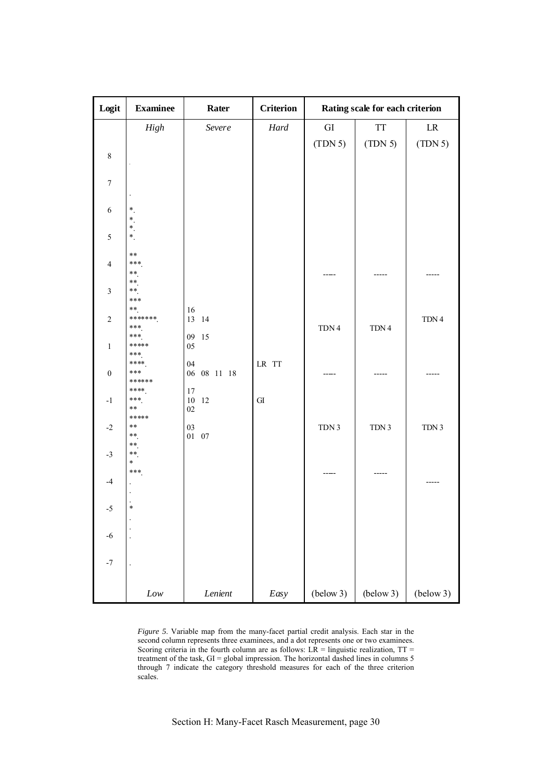| Logit            | <b>Examinee</b> | Rater             | <b>Criterion</b> |            | Rating scale for each criterion |            |  |  |  |
|------------------|-----------------|-------------------|------------------|------------|---------------------------------|------------|--|--|--|
|                  | High            | Severe            | $\it{Hard}$      | ${\rm GI}$ | <b>TT</b>                       | ${\rm LR}$ |  |  |  |
|                  |                 |                   |                  | (TDN 5)    | (TDN 5)                         | (TDN 5)    |  |  |  |
| $\,8\,$          |                 |                   |                  |            |                                 |            |  |  |  |
|                  |                 |                   |                  |            |                                 |            |  |  |  |
| $\boldsymbol{7}$ |                 |                   |                  |            |                                 |            |  |  |  |
|                  |                 |                   |                  |            |                                 |            |  |  |  |
| $\sqrt{6}$       | $^\ast$<br>$*$  |                   |                  |            |                                 |            |  |  |  |
| 5                | *<br>$\ast$     |                   |                  |            |                                 |            |  |  |  |
|                  | $***$           |                   |                  |            |                                 |            |  |  |  |
| $\overline{4}$   | ***             |                   |                  |            |                                 |            |  |  |  |
|                  | **<br>**        |                   |                  |            |                                 |            |  |  |  |
| $\mathfrak{Z}$   | **<br>***       |                   |                  |            |                                 |            |  |  |  |
|                  | **              | 16                |                  |            |                                 |            |  |  |  |
| $\sqrt{2}$       | *******<br>***  | 13 14             |                  | TDN 4      | TDN 4                           | TDN 4      |  |  |  |
| $\mathbf{1}$     | ***<br>*****    | 09<br>15<br>05    |                  |            |                                 |            |  |  |  |
|                  | ***<br>****     | 04                |                  |            |                                 |            |  |  |  |
| $\boldsymbol{0}$ | ***             | 08 11 18<br>06    | LR TT            |            |                                 |            |  |  |  |
|                  | ******<br>****  | 17                |                  |            |                                 |            |  |  |  |
| $^{\rm -1}$      | ***<br>$***$    | $10\,$<br>12      | ${\rm GI}$       |            |                                 |            |  |  |  |
|                  | *****           | 02                |                  |            |                                 |            |  |  |  |
| $-2$             | $***$<br>$***$  | 03<br>$01\quad07$ |                  | TDN 3      | TDN 3                           | TDN 3      |  |  |  |
| $-3$             | **<br>**        |                   |                  |            |                                 |            |  |  |  |
|                  | $\ast$          |                   |                  |            |                                 |            |  |  |  |
| $-4$             | ***             |                   |                  |            | ----                            |            |  |  |  |
|                  |                 |                   |                  |            |                                 |            |  |  |  |
| $-5$             | $\ast$          |                   |                  |            |                                 |            |  |  |  |
|                  |                 |                   |                  |            |                                 |            |  |  |  |
| $-6$             |                 |                   |                  |            |                                 |            |  |  |  |
|                  |                 |                   |                  |            |                                 |            |  |  |  |
| $^{\rm -7}$      |                 |                   |                  |            |                                 |            |  |  |  |
|                  | $Low$           | Lenient           | Easy             | (below 3)  | (below 3)                       | (below 3)  |  |  |  |

*Figure 5*. Variable map from the many-facet partial credit analysis. Each star in the second column represents three examinees, and a dot represents one or two examinees. Scoring criteria in the fourth column are as follows:  $LR =$  linguistic realization,  $TT =$ treatment of the task, GI = global impression. The horizontal dashed lines in columns 5 through 7 indicate the category threshold measures for each of the three criterion scales.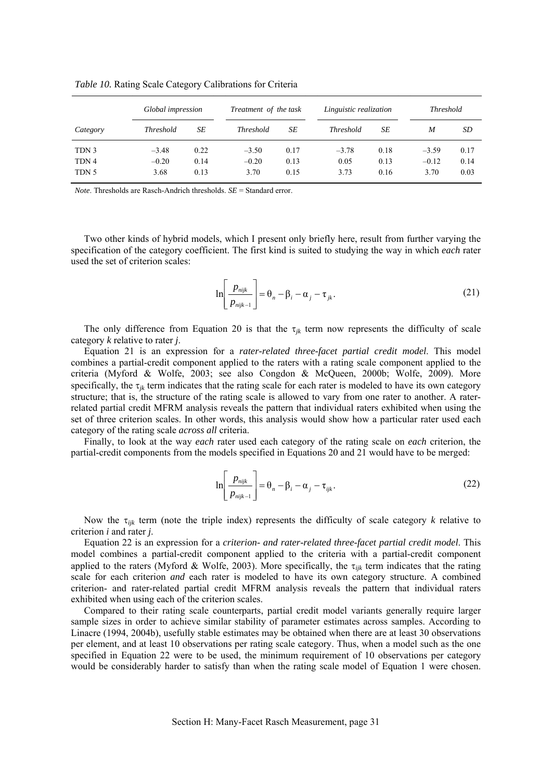|                  | Global impression |      | Treatment of the task |      | Linguistic realization |      |         | <i>Threshold</i> |  |
|------------------|-------------------|------|-----------------------|------|------------------------|------|---------|------------------|--|
| Category         | <b>Threshold</b>  | SЕ   | <b>Threshold</b>      | SE   | <b>Threshold</b>       | SЕ   | M       | SD               |  |
| TDN 3            | $-3.48$           | 0.22 | $-3.50$               | 0.17 | $-3.78$                | 0.18 | $-3.59$ | 0.17             |  |
| TDN <sub>4</sub> | $-0.20$           | 0.14 | $-0.20$               | 0.13 | 0.05                   | 0.13 | $-0.12$ | 0.14             |  |
| TDN 5            | 3.68              | 0.13 | 3.70                  | 0.15 | 3.73                   | 0.16 | 3.70    | 0.03             |  |

*Table 10.* Rating Scale Category Calibrations for Criteria

*Note*. Thresholds are Rasch-Andrich thresholds. *SE* = Standard error.

Two other kinds of hybrid models, which I present only briefly here, result from further varying the specification of the category coefficient. The first kind is suited to studying the way in which *each* rater used the set of criterion scales:

$$
\ln\left[\frac{p_{\text{nijk}}}{p_{\text{nijk}-1}}\right] = \theta_n - \beta_i - \alpha_j - \tau_{jk}.
$$
\n(21)

The only difference from Equation 20 is that the  $\tau_{ik}$  term now represents the difficulty of scale category *k* relative to rater *j*.

Equation 21 is an expression for a *rater-related three-facet partial credit model*. This model combines a partial-credit component applied to the raters with a rating scale component applied to the criteria (Myford & Wolfe, 2003; see also Congdon & McQueen, 2000b; Wolfe, 2009). More specifically, the  $\tau_{ik}$  term indicates that the rating scale for each rater is modeled to have its own category structure; that is, the structure of the rating scale is allowed to vary from one rater to another. A raterrelated partial credit MFRM analysis reveals the pattern that individual raters exhibited when using the set of three criterion scales. In other words, this analysis would show how a particular rater used each category of the rating scale *across all* criteria.

Finally, to look at the way *each* rater used each category of the rating scale on *each* criterion, the partial-credit components from the models specified in Equations 20 and 21 would have to be merged:

$$
\ln\left[\frac{p_{\text{nijk}}}{p_{\text{nijk}-1}}\right] = \theta_n - \beta_i - \alpha_j - \tau_{ijk}.
$$
\n(22)

Now the τ*ijk* term (note the triple index) represents the difficulty of scale category *k* relative to criterion *i* and rater *j*.

Equation 22 is an expression for a *criterion- and rater-related three-facet partial credit model*. This model combines a partial-credit component applied to the criteria with a partial-credit component applied to the raters (Myford & Wolfe, 2003). More specifically, the τ*ijk* term indicates that the rating scale for each criterion *and* each rater is modeled to have its own category structure. A combined criterion- and rater-related partial credit MFRM analysis reveals the pattern that individual raters exhibited when using each of the criterion scales.

Compared to their rating scale counterparts, partial credit model variants generally require larger sample sizes in order to achieve similar stability of parameter estimates across samples. According to Linacre (1994, 2004b), usefully stable estimates may be obtained when there are at least 30 observations per element, and at least 10 observations per rating scale category. Thus, when a model such as the one specified in Equation 22 were to be used, the minimum requirement of 10 observations per category would be considerably harder to satisfy than when the rating scale model of Equation 1 were chosen.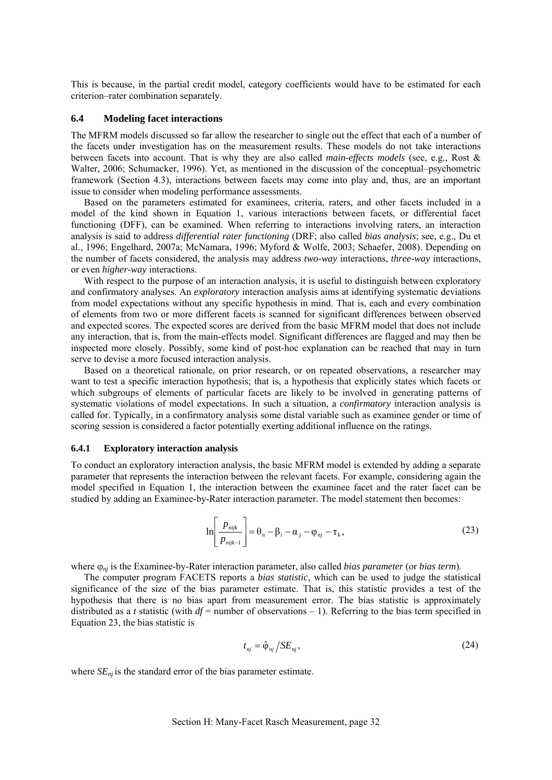<span id="page-33-0"></span>This is because, in the partial credit model, category coefficients would have to be estimated for each criterion–rater combination separately.

#### **6.4 Modeling facet interactions**

The MFRM models discussed so far allow the researcher to single out the effect that each of a number of the facets under investigation has on the measurement results. These models do not take interactions between facets into account. That is why they are also called *main-effects models* (see, e.g., Rost & Walter, 2006; Schumacker, 1996). Yet, as mentioned in the discussion of the conceptual–psychometric framework (Section 4.3), interactions between facets may come into play and, thus, are an important issue to consider when modeling performance assessments.

Based on the parameters estimated for examinees, criteria, raters, and other facets included in a model of the kind shown in Equation 1, various interactions between facets, or differential facet functioning (DFF), can be examined. When referring to interactions involving raters, an interaction analysis is said to address *differential rater functioning* (DRF; also called *bias analysis*; see, e.g., Du et al., 1996; Engelhard, 2007a; McNamara, 1996; Myford & Wolfe, 2003; Schaefer, 2008). Depending on the number of facets considered, the analysis may address *two-way* interactions, *three-way* interactions, or even *higher-way* interactions.

With respect to the purpose of an interaction analysis, it is useful to distinguish between exploratory and confirmatory analyses. An *exploratory* interaction analysis aims at identifying systematic deviations from model expectations without any specific hypothesis in mind. That is, each and every combination of elements from two or more different facets is scanned for significant differences between observed and expected scores. The expected scores are derived from the basic MFRM model that does not include any interaction, that is, from the main-effects model. Significant differences are flagged and may then be inspected more closely. Possibly, some kind of post-hoc explanation can be reached that may in turn serve to devise a more focused interaction analysis.

Based on a theoretical rationale, on prior research, or on repeated observations, a researcher may want to test a specific interaction hypothesis; that is, a hypothesis that explicitly states which facets or which subgroups of elements of particular facets are likely to be involved in generating patterns of systematic violations of model expectations. In such a situation, a *confirmatory* interaction analysis is called for. Typically, in a confirmatory analysis some distal variable such as examinee gender or time of scoring session is considered a factor potentially exerting additional influence on the ratings.

#### **6.4.1 Exploratory interaction analysis**

To conduct an exploratory interaction analysis, the basic MFRM model is extended by adding a separate parameter that represents the interaction between the relevant facets. For example, considering again the model specified in Equation 1, the interaction between the examinee facet and the rater facet can be studied by adding an Examinee-by-Rater interaction parameter. The model statement then becomes:

$$
\ln\left[\frac{p_{\text{nijk}}}{p_{\text{nijk}-1}}\right] = \theta_n - \beta_i - \alpha_j - \varphi_{\text{nj}} - \tau_k,\tag{23}
$$

where ϕ*nj* is the Examinee-by-Rater interaction parameter, also called *bias parameter* (or *bias term*).

The computer program FACETS reports a *bias statistic*, which can be used to judge the statistical significance of the size of the bias parameter estimate. That is, this statistic provides a test of the hypothesis that there is no bias apart from measurement error. The bias statistic is approximately distributed as a *t* statistic (with  $df =$  number of observations  $-1$ ). Referring to the bias term specified in Equation 23, the bias statistic is

$$
t_{nj} = \hat{\varphi}_{nj} / SE_{nj},\tag{24}
$$

where  $SE_{nj}$  is the standard error of the bias parameter estimate.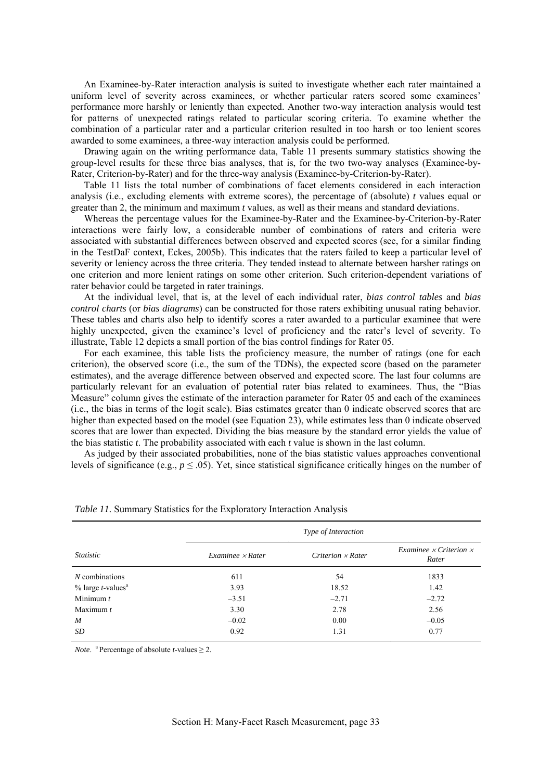An Examinee-by-Rater interaction analysis is suited to investigate whether each rater maintained a uniform level of severity across examinees, or whether particular raters scored some examinees' performance more harshly or leniently than expected. Another two-way interaction analysis would test for patterns of unexpected ratings related to particular scoring criteria. To examine whether the combination of a particular rater and a particular criterion resulted in too harsh or too lenient scores awarded to some examinees, a three-way interaction analysis could be performed.

Drawing again on the writing performance data, Table 11 presents summary statistics showing the group-level results for these three bias analyses, that is, for the two two-way analyses (Examinee-by-Rater, Criterion-by-Rater) and for the three-way analysis (Examinee-by-Criterion-by-Rater).

Table 11 lists the total number of combinations of facet elements considered in each interaction analysis (i.e., excluding elements with extreme scores), the percentage of (absolute) *t* values equal or greater than 2, the minimum and maximum *t* values, as well as their means and standard deviations.

Whereas the percentage values for the Examinee-by-Rater and the Examinee-by-Criterion-by-Rater interactions were fairly low, a considerable number of combinations of raters and criteria were associated with substantial differences between observed and expected scores (see, for a similar finding in the TestDaF context, Eckes, 2005b). This indicates that the raters failed to keep a particular level of severity or leniency across the three criteria. They tended instead to alternate between harsher ratings on one criterion and more lenient ratings on some other criterion. Such criterion-dependent variations of rater behavior could be targeted in rater trainings.

At the individual level, that is, at the level of each individual rater, *bias control tables* and *bias control charts* (or *bias diagrams*) can be constructed for those raters exhibiting unusual rating behavior. These tables and charts also help to identify scores a rater awarded to a particular examinee that were highly unexpected, given the examinee's level of proficiency and the rater's level of severity. To illustrate, Table 12 depicts a small portion of the bias control findings for Rater 05.

For each examinee, this table lists the proficiency measure, the number of ratings (one for each criterion), the observed score (i.e., the sum of the TDNs), the expected score (based on the parameter estimates), and the average difference between observed and expected score. The last four columns are particularly relevant for an evaluation of potential rater bias related to examinees. Thus, the "Bias Measure" column gives the estimate of the interaction parameter for Rater 05 and each of the examinees (i.e., the bias in terms of the logit scale). Bias estimates greater than 0 indicate observed scores that are higher than expected based on the model (see Equation 23), while estimates less than 0 indicate observed scores that are lower than expected. Dividing the bias measure by the standard error yields the value of the bias statistic *t*. The probability associated with each *t* value is shown in the last column.

As judged by their associated probabilities, none of the bias statistic values approaches conventional levels of significance (e.g.,  $p \le 0.05$ ). Yet, since statistical significance critically hinges on the number of

|                                         | Type of Interaction    |                   |                                               |  |  |  |  |  |
|-----------------------------------------|------------------------|-------------------|-----------------------------------------------|--|--|--|--|--|
| <i>Statistic</i>                        | $Example \times Rater$ | Criterion x Rater | Examinee $\times$ Criterion $\times$<br>Rater |  |  |  |  |  |
| $N$ combinations                        | 611                    | 54                | 1833                                          |  |  |  |  |  |
| $%$ large <i>t</i> -values <sup>a</sup> | 3.93                   | 18.52             | 1.42                                          |  |  |  |  |  |
| Minimum $t$                             | $-3.51$                | $-2.71$           | $-2.72$                                       |  |  |  |  |  |
| Maximum $t$                             | 3.30                   | 2.78              | 2.56                                          |  |  |  |  |  |
| $\boldsymbol{M}$                        | $-0.02$                | 0.00              | $-0.05$                                       |  |  |  |  |  |
| SD                                      | 0.92                   | 1.31              | 0.77                                          |  |  |  |  |  |

*Table 11.* Summary Statistics for the Exploratory Interaction Analysis

*Note*. <sup>a</sup> Percentage of absolute *t*-values  $\geq$  2.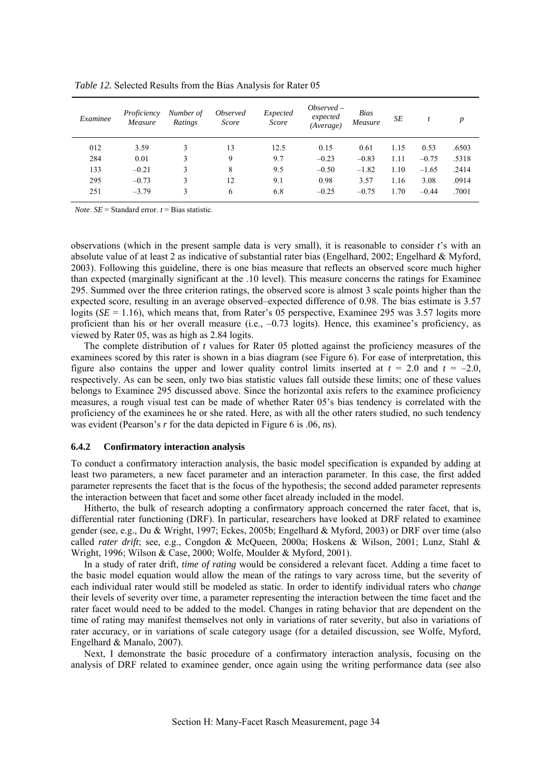| Examinee | Proficiency<br>Measure | Number of<br>Ratings | <i><b>Observed</b></i><br>Score | Expected<br>Score | $Observed -$<br>expected<br>(Average) | Bias<br>Measure | SE   | $\star$<br>$\iota$ | $\boldsymbol{p}$ |
|----------|------------------------|----------------------|---------------------------------|-------------------|---------------------------------------|-----------------|------|--------------------|------------------|
| 012      | 3.59                   |                      | 13                              | 12.5              | 0.15                                  | 0.61            | 1.15 | 0.53               | .6503            |
| 284      | 0.01                   |                      | 9                               | 9.7               | $-0.23$                               | $-0.83$         | 1.11 | $-0.75$            | .5318            |
| 133      | $-0.21$                | 3                    | 8                               | 9.5               | $-0.50$                               | $-1.82$         | 1.10 | $-1.65$            | .2414            |
| 295      | $-0.73$                | 3                    | 12                              | 9.1               | 0.98                                  | 3.57            | 1.16 | 3.08               | .0914            |
| 251      | $-3.79$                | 3                    | 6                               | 6.8               | $-0.25$                               | $-0.75$         | 1.70 | $-0.44$            | .7001            |

<span id="page-35-0"></span>*Table 12.* Selected Results from the Bias Analysis for Rater 05

*Note*.  $SE =$  Standard error.  $t =$  Bias statistic.

 observations (which in the present sample data is very small), it is reasonable to consider *t*'s with an absolute value of at least 2 as indicative of substantial rater bias (Engelhard, 2002; Engelhard & Myford, 2003). Following this guideline, there is one bias measure that reflects an observed score much higher than expected (marginally significant at the .10 level). This measure concerns the ratings for Examinee 295. Summed over the three criterion ratings, the observed score is almost 3 scale points higher than the expected score, resulting in an average observed–expected difference of 0.98. The bias estimate is 3.57 logits (*SE* = 1.16), which means that, from Rater's 05 perspective, Examinee 295 was 3.57 logits more proficient than his or her overall measure (i.e., –0.73 logits). Hence, this examinee's proficiency, as viewed by Rater 05, was as high as 2.84 logits.

The complete distribution of *t* values for Rater 05 plotted against the proficiency measures of the examinees scored by this rater is shown in a bias diagram (see Figure 6). For ease of interpretation, this figure also contains the upper and lower quality control limits inserted at  $t = 2.0$  and  $t = -2.0$ , respectively. As can be seen, only two bias statistic values fall outside these limits; one of these values belongs to Examinee 295 discussed above. Since the horizontal axis refers to the examinee proficiency measures, a rough visual test can be made of whether Rater 05's bias tendency is correlated with the proficiency of the examinees he or she rated. Here, as with all the other raters studied, no such tendency was evident (Pearson's *r* for the data depicted in Figure 6 is .06, *ns*).

#### **6.4.2 Confirmatory interaction analysis**

To conduct a confirmatory interaction analysis, the basic model specification is expanded by adding at least two parameters, a new facet parameter and an interaction parameter. In this case, the first added parameter represents the facet that is the focus of the hypothesis; the second added parameter represents the interaction between that facet and some other facet already included in the model.

Hitherto, the bulk of research adopting a confirmatory approach concerned the rater facet, that is, differential rater functioning (DRF). In particular, researchers have looked at DRF related to examinee gender (see, e.g., Du & Wright, 1997; Eckes, 2005b; Engelhard & Myford, 2003) or DRF over time (also called *rater drift*; see, e.g., Congdon & McQueen, 2000a; Hoskens & Wilson, 2001; Lunz, Stahl & Wright, 1996; Wilson & Case, 2000; Wolfe, Moulder & Myford, 2001).

In a study of rater drift, *time of rating* would be considered a relevant facet. Adding a time facet to the basic model equation would allow the mean of the ratings to vary across time, but the severity of each individual rater would still be modeled as static. In order to identify individual raters who *change* their levels of severity over time, a parameter representing the interaction between the time facet and the rater facet would need to be added to the model. Changes in rating behavior that are dependent on the time of rating may manifest themselves not only in variations of rater severity, but also in variations of rater accuracy, or in variations of scale category usage (for a detailed discussion, see Wolfe, Myford, Engelhard & Manalo, 2007).

Next, I demonstrate the basic procedure of a confirmatory interaction analysis, focusing on the analysis of DRF related to examinee gender, once again using the writing performance data (see also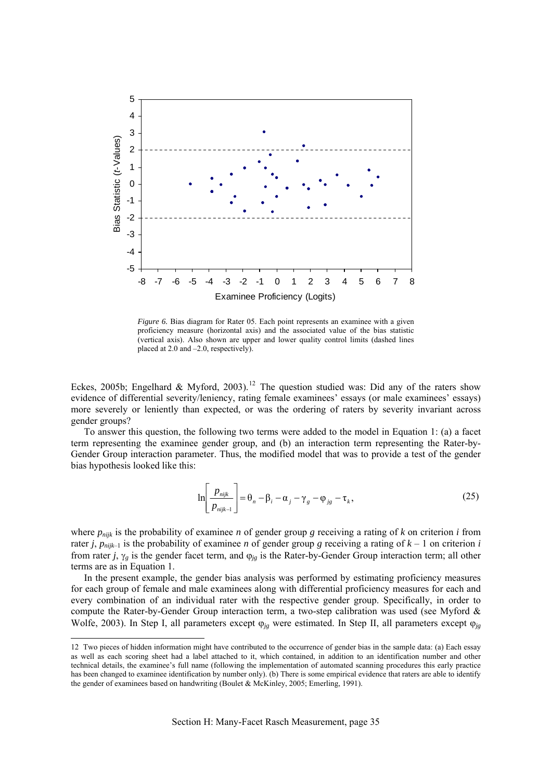

*Figure 6.* Bias diagram for Rater 05. Each point represents an examinee with a given proficiency measure (horizontal axis) and the associated value of the bias statistic (vertical axis). Also shown are upper and lower quality control limits (dashed lines placed at 2.0 and –2.0, respectively).

Eckes, 2005b; Engelhard & Myford, 2003).<sup>[12](#page-36-0)</sup> The question studied was: Did any of the raters show evidence of differential severity/leniency, rating female examinees' essays (or male examinees' essays) more severely or leniently than expected, or was the ordering of raters by severity invariant across gender groups?

To answer this question, the following two terms were added to the model in Equation 1: (a) a facet term representing the examinee gender group, and (b) an interaction term representing the Rater-by-Gender Group interaction parameter. Thus, the modified model that was to provide a test of the gender bias hypothesis looked like this:

$$
\ln\left[\frac{p_{\text{nijk}}}{p_{\text{nijk}-1}}\right] = \theta_n - \beta_i - \alpha_j - \gamma_g - \varphi_{\text{js}} - \tau_k,\tag{25}
$$

where  $p_{nik}$  is the probability of examinee *n* of gender group *g* receiving a rating of *k* on criterion *i* from rater *j*,  $p_{ni|k-1}$  is the probability of examinee *n* of gender group *g* receiving a rating of  $k-1$  on criterion *i* from rater *j*,  $\gamma_g$  is the gender facet term, and  $\varphi_{jg}$  is the Rater-by-Gender Group interaction term; all other terms are as in Equation 1.

In the present example, the gender bias analysis was performed by estimating proficiency measures for each group of female and male examinees along with differential proficiency measures for each and every combination of an individual rater with the respective gender group. Specifically, in order to compute the Rater-by-Gender Group interaction term, a two-step calibration was used (see Myford & Wolfe, 2003). In Step I, all parameters except ϕ*jg* were estimated. In Step II, all parameters except ϕ*jg*

<u>.</u>

<span id="page-36-0"></span><sup>12</sup> Two pieces of hidden information might have contributed to the occurrence of gender bias in the sample data: (a) Each essay as well as each scoring sheet had a label attached to it, which contained, in addition to an identification number and other technical details, the examinee's full name (following the implementation of automated scanning procedures this early practice has been changed to examinee identification by number only). (b) There is some empirical evidence that raters are able to identify the gender of examinees based on handwriting (Boulet & McKinley, 2005; Emerling, 1991).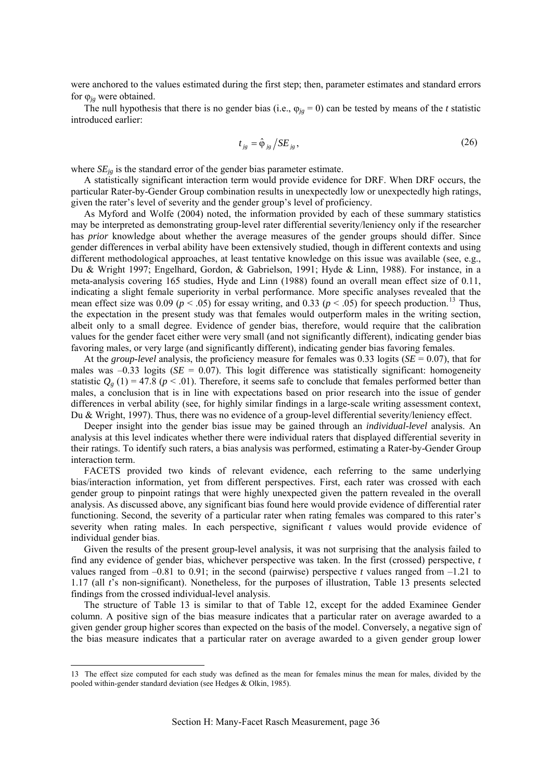were anchored to the values estimated during the first step; then, parameter estimates and standard errors for  $\varphi_{ig}$  were obtained.

The null hypothesis that there is no gender bias (i.e.,  $\varphi_{ig} = 0$ ) can be tested by means of the *t* statistic introduced earlier:

$$
t_{jg} = \hat{\varphi}_{jg} / SE_{jg},\tag{26}
$$

where  $SE_{ig}$  is the standard error of the gender bias parameter estimate.

A statistically significant interaction term would provide evidence for DRF. When DRF occurs, the particular Rater-by-Gender Group combination results in unexpectedly low or unexpectedly high ratings, given the rater's level of severity and the gender group's level of proficiency.

As Myford and Wolfe (2004) noted, the information provided by each of these summary statistics may be interpreted as demonstrating group-level rater differential severity/leniency only if the researcher has *prior* knowledge about whether the average measures of the gender groups should differ. Since gender differences in verbal ability have been extensively studied, though in different contexts and using different methodological approaches, at least tentative knowledge on this issue was available (see, e.g., Du & Wright 1997; Engelhard, Gordon, & Gabrielson, 1991; Hyde & Linn, 1988). For instance, in a meta-analysis covering 165 studies, Hyde and Linn (1988) found an overall mean effect size of 0.11, indicating a slight female superiority in verbal performance. More specific analyses revealed that the mean effect size was 0.09 ( $p < .05$ ) for essay writing, and 0.33 ( $p < .05$ ) for speech production.<sup>[13](#page-37-0)</sup> Thus, the expectation in the present study was that females would outperform males in the writing section, albeit only to a small degree. Evidence of gender bias, therefore, would require that the calibration values for the gender facet either were very small (and not significantly different), indicating gender bias favoring males, or very large (and significantly different), indicating gender bias favoring females.

At the *group-level* analysis, the proficiency measure for females was 0.33 logits (*SE* = 0.07), that for males was  $-0.33$  logits ( $SE = 0.07$ ). This logit difference was statistically significant: homogeneity statistic  $Q_{\varrho}(1) = 47.8$  ( $p < .01$ ). Therefore, it seems safe to conclude that females performed better than males, a conclusion that is in line with expectations based on prior research into the issue of gender differences in verbal ability (see, for highly similar findings in a large-scale writing assessment context, Du & Wright, 1997). Thus, there was no evidence of a group-level differential severity/leniency effect.

Deeper insight into the gender bias issue may be gained through an *individual-level* analysis. An analysis at this level indicates whether there were individual raters that displayed differential severity in their ratings. To identify such raters, a bias analysis was performed, estimating a Rater-by-Gender Group interaction term.

FACETS provided two kinds of relevant evidence, each referring to the same underlying bias/interaction information, yet from different perspectives. First, each rater was crossed with each gender group to pinpoint ratings that were highly unexpected given the pattern revealed in the overall analysis. As discussed above, any significant bias found here would provide evidence of differential rater functioning. Second, the severity of a particular rater when rating females was compared to this rater's severity when rating males. In each perspective, significant *t* values would provide evidence of individual gender bias.

Given the results of the present group-level analysis, it was not surprising that the analysis failed to find any evidence of gender bias, whichever perspective was taken. In the first (crossed) perspective, *t* values ranged from  $-0.81$  to 0.91; in the second (pairwise) perspective *t* values ranged from  $-1.21$  to 1.17 (all *t*'s non-significant). Nonetheless, for the purposes of illustration, Table 13 presents selected findings from the crossed individual-level analysis.

The structure of Table 13 is similar to that of Table 12, except for the added Examinee Gender column. A positive sign of the bias measure indicates that a particular rater on average awarded to a given gender group higher scores than expected on the basis of the model. Conversely, a negative sign of the bias measure indicates that a particular rater on average awarded to a given gender group lower

<u>.</u>

<span id="page-37-0"></span><sup>13</sup> The effect size computed for each study was defined as the mean for females minus the mean for males, divided by the pooled within-gender standard deviation (see Hedges & Olkin, 1985).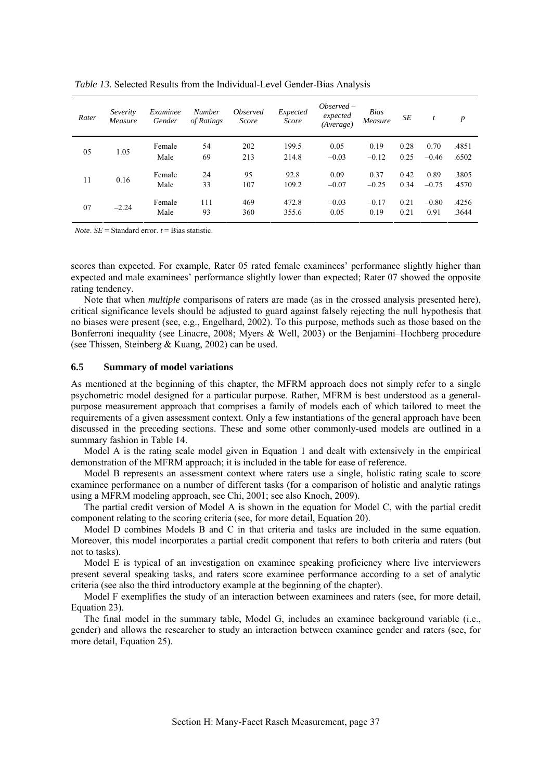| Rater | Severity<br>Measure | Examinee<br>Gender | <b>Number</b><br>of Ratings | <i><b>Observed</b></i><br>Score | Expected<br>Score | $Observed -$<br>expected<br>(Average) | <b>Bias</b><br>Measure | SE           | t               | $\boldsymbol{p}$ |
|-------|---------------------|--------------------|-----------------------------|---------------------------------|-------------------|---------------------------------------|------------------------|--------------|-----------------|------------------|
| 05    | 1.05                | Female<br>Male     | 54<br>69                    | 202<br>213                      | 199.5<br>214.8    | 0.05<br>$-0.03$                       | 0.19<br>$-0.12$        | 0.28<br>0.25 | 0.70<br>$-0.46$ | .4851<br>.6502   |
| 11    | 0.16                | Female<br>Male     | 24<br>33                    | 95<br>107                       | 92.8<br>109.2     | 0.09<br>$-0.07$                       | 0.37<br>$-0.25$        | 0.42<br>0.34 | 0.89<br>$-0.75$ | .3805<br>.4570   |
| 07    | $-2.24$             | Female<br>Male     | 111<br>93                   | 469<br>360                      | 472.8<br>355.6    | $-0.03$<br>0.05                       | $-0.17$<br>0.19        | 0.21<br>0.21 | $-0.80$<br>0.91 | .4256<br>.3644   |

<span id="page-38-0"></span>*Table 13.* Selected Results from the Individual-Level Gender-Bias Analysis

*Note*.  $SE =$  Standard error.  $t =$  Bias statistic.

scores than expected. For example, Rater 05 rated female examinees' performance slightly higher than expected and male examinees' performance slightly lower than expected; Rater 07 showed the opposite rating tendency.

Note that when *multiple* comparisons of raters are made (as in the crossed analysis presented here), critical significance levels should be adjusted to guard against falsely rejecting the null hypothesis that no biases were present (see, e.g., Engelhard, 2002). To this purpose, methods such as those based on the Bonferroni inequality (see Linacre, 2008; Myers & Well, 2003) or the Benjamini–Hochberg procedure (see Thissen, Steinberg & Kuang, 2002) can be used.

### **6.5 Summary of model variations**

As mentioned at the beginning of this chapter, the MFRM approach does not simply refer to a single psychometric model designed for a particular purpose. Rather, MFRM is best understood as a generalpurpose measurement approach that comprises a family of models each of which tailored to meet the requirements of a given assessment context. Only a few instantiations of the general approach have been discussed in the preceding sections. These and some other commonly-used models are outlined in a summary fashion in Table 14.

Model A is the rating scale model given in Equation 1 and dealt with extensively in the empirical demonstration of the MFRM approach; it is included in the table for ease of reference.

Model B represents an assessment context where raters use a single, holistic rating scale to score examinee performance on a number of different tasks (for a comparison of holistic and analytic ratings using a MFRM modeling approach, see Chi, 2001; see also Knoch, 2009).

The partial credit version of Model A is shown in the equation for Model C, with the partial credit component relating to the scoring criteria (see, for more detail, Equation 20).

Model D combines Models B and C in that criteria and tasks are included in the same equation. Moreover, this model incorporates a partial credit component that refers to both criteria and raters (but not to tasks).

Model E is typical of an investigation on examinee speaking proficiency where live interviewers present several speaking tasks, and raters score examinee performance according to a set of analytic criteria (see also the third introductory example at the beginning of the chapter).

Model F exemplifies the study of an interaction between examinees and raters (see, for more detail, Equation 23).

The final model in the summary table, Model G, includes an examinee background variable (i.e., gender) and allows the researcher to study an interaction between examinee gender and raters (see, for more detail, Equation 25).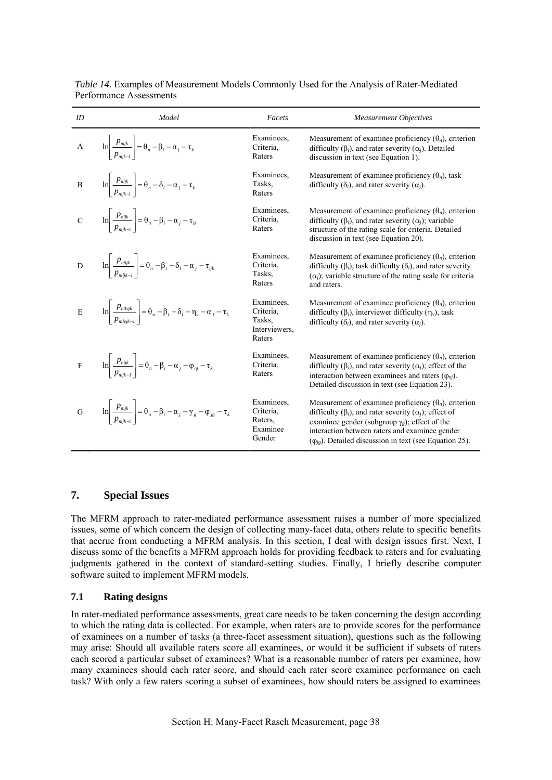| ID                      | Model                                                                                                                      | Facets                                                       | <b>Measurement Objectives</b>                                                                                                                                                                                                                                                                                               |
|-------------------------|----------------------------------------------------------------------------------------------------------------------------|--------------------------------------------------------------|-----------------------------------------------------------------------------------------------------------------------------------------------------------------------------------------------------------------------------------------------------------------------------------------------------------------------------|
| $\mathbf{A}$            | $\ln\left \frac{p_{nijk}}{p_{nijk-1}}\right  = \theta_n - \beta_i - \alpha_j - \tau_k$                                     | Examinees.<br>Criteria.<br>Raters                            | Measurement of examinee proficiency $(\theta_n)$ , criterion<br>difficulty $(\beta_i)$ , and rater severity $(\alpha_i)$ . Detailed<br>discussion in text (see Equation 1).                                                                                                                                                 |
| $\, {\bf B}$            | $\ln \left  \frac{p_{nljk}}{p_{nlik-1}} \right  = \theta_n - \delta_l - \alpha_j - \tau_k$                                 | Examinees.<br>Tasks.<br>Raters                               | Measurement of examinee proficiency $(\theta_n)$ , task<br>difficulty $(\delta_l)$ , and rater severity $(\alpha_i)$ .                                                                                                                                                                                                      |
|                         | C $\ln \left  \frac{p_{nijk}}{p_{nijk}} \right  = \theta_n - \beta_i - \alpha_j - \tau_{ik}$                               | Examinees.<br>Criteria,<br>Raters                            | Measurement of examinee proficiency $(\theta_n)$ , criterion<br>difficulty ( $\beta_i$ ), and rater severity ( $\alpha_i$ ); variable<br>structure of the rating scale for criteria. Detailed<br>discussion in text (see Equation 20).                                                                                      |
| $\overline{D}$          | $\ln \left  \frac{p_{\text{niljk}}}{p_{\text{niljk}}}\right  = \theta_n - \beta_i - \delta_l - \alpha_j - \tau_{ijk}$      | Examinees.<br>Criteria,<br>Tasks,<br>Raters                  | Measurement of examinee proficiency $(\theta_n)$ , criterion<br>difficulty ( $\beta_i$ ), task difficulty ( $\delta_i$ ), and rater severity<br>$(\alpha_i)$ ; variable structure of the rating scale for criteria<br>and raters.                                                                                           |
| $\overline{\mathrm{E}}$ | $\ln\left \frac{p_{\text{mhyk}}}{p_{\text{mhyk}}}\right  = \theta_n - \beta_i - \delta_l - \eta_v - \alpha_j - \tau_k$     | Examinees.<br>Criteria.<br>Tasks.<br>Interviewers.<br>Raters | Measurement of examinee proficiency $(\theta_n)$ , criterion<br>difficulty ( $\beta_i$ ), interviewer difficulty ( $\eta_{\nu}$ ), task<br>difficulty $(\delta_l)$ , and rater severity $(\alpha_i)$ .                                                                                                                      |
| $\rm F$                 | $\ln \left  \frac{p_{\text{mijk}}}{p_{\text{mijk}}}\right  = \theta_n - \beta_i - \alpha_j - \varphi_{\text{nj}} - \tau_k$ | Examinees.<br>Criteria,<br>Raters                            | Measurement of examinee proficiency $(\theta_n)$ , criterion<br>difficulty ( $\beta_i$ ), and rater severity ( $\alpha_i$ ); effect of the<br>interaction between examinees and raters $(\varphi_{ni})$ .<br>Detailed discussion in text (see Equation 23).                                                                 |
| G                       | $\ln\left \frac{p_{nijk}}{p_{nijk}}\right  = \theta_n - \beta_i - \alpha_j - \gamma_g - \varphi_{js} - \tau_k$             | Examinees.<br>Criteria,<br>Raters,<br>Examinee<br>Gender     | Measurement of examinee proficiency $(\theta_n)$ , criterion<br>difficulty ( $\beta_i$ ), and rater severity ( $\alpha_i$ ); effect of<br>examinee gender (subgroup $\gamma_e$ ); effect of the<br>interaction between raters and examinee gender<br>$(\varphi_{i\alpha})$ . Detailed discussion in text (see Equation 25). |

<span id="page-39-0"></span>*Table 14.* Examples of Measurement Models Commonly Used for the Analysis of Rater-Mediated Performance Assessments

# **7. Special Issues**

The MFRM approach to rater-mediated performance assessment raises a number of more specialized issues, some of which concern the design of collecting many-facet data, others relate to specific benefits that accrue from conducting a MFRM analysis. In this section, I deal with design issues first. Next, I discuss some of the benefits a MFRM approach holds for providing feedback to raters and for evaluating judgments gathered in the context of standard-setting studies. Finally, I briefly describe computer software suited to implement MFRM models.

## **7.1 Rating designs**

In rater-mediated performance assessments, great care needs to be taken concerning the design according to which the rating data is collected. For example, when raters are to provide scores for the performance of examinees on a number of tasks (a three-facet assessment situation), questions such as the following may arise: Should all available raters score all examinees, or would it be sufficient if subsets of raters each scored a particular subset of examinees? What is a reasonable number of raters per examinee, how many examinees should each rater score, and should each rater score examinee performance on each task? With only a few raters scoring a subset of examinees, how should raters be assigned to examinees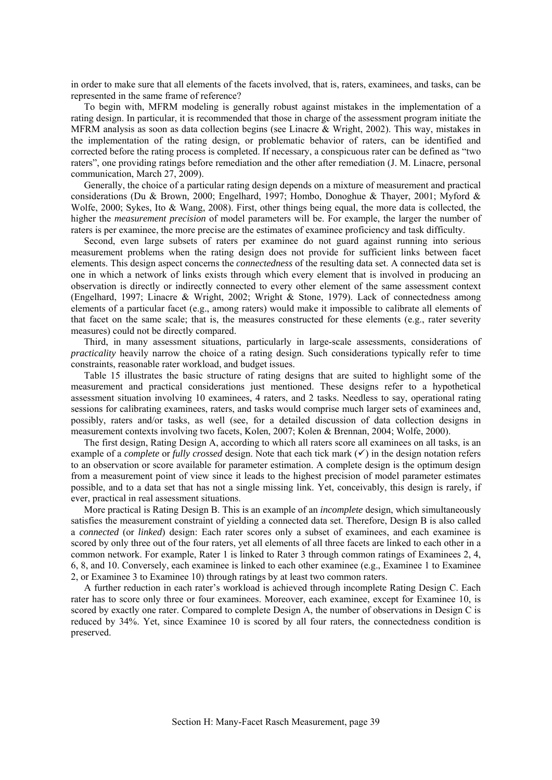in order to make sure that all elements of the facets involved, that is, raters, examinees, and tasks, can be represented in the same frame of reference?

To begin with, MFRM modeling is generally robust against mistakes in the implementation of a rating design. In particular, it is recommended that those in charge of the assessment program initiate the MFRM analysis as soon as data collection begins (see Linacre & Wright, 2002). This way, mistakes in the implementation of the rating design, or problematic behavior of raters, can be identified and corrected before the rating process is completed. If necessary, a conspicuous rater can be defined as "two raters", one providing ratings before remediation and the other after remediation (J. M. Linacre, personal communication, March 27, 2009).

Generally, the choice of a particular rating design depends on a mixture of measurement and practical considerations (Du & Brown, 2000; Engelhard, 1997; Hombo, Donoghue & Thayer, 2001; Myford & Wolfe, 2000; Sykes, Ito & Wang, 2008). First, other things being equal, the more data is collected, the higher the *measurement precision* of model parameters will be. For example, the larger the number of raters is per examinee, the more precise are the estimates of examinee proficiency and task difficulty.

Second, even large subsets of raters per examinee do not guard against running into serious measurement problems when the rating design does not provide for sufficient links between facet elements. This design aspect concerns the *connectedness* of the resulting data set. A connected data set is one in which a network of links exists through which every element that is involved in producing an observation is directly or indirectly connected to every other element of the same assessment context (Engelhard, 1997; Linacre & Wright, 2002; Wright & Stone, 1979). Lack of connectedness among elements of a particular facet (e.g., among raters) would make it impossible to calibrate all elements of that facet on the same scale; that is, the measures constructed for these elements (e.g., rater severity measures) could not be directly compared.

Third, in many assessment situations, particularly in large-scale assessments, considerations of *practicality* heavily narrow the choice of a rating design. Such considerations typically refer to time constraints, reasonable rater workload, and budget issues.

Table 15 illustrates the basic structure of rating designs that are suited to highlight some of the measurement and practical considerations just mentioned. These designs refer to a hypothetical assessment situation involving 10 examinees, 4 raters, and 2 tasks. Needless to say, operational rating sessions for calibrating examinees, raters, and tasks would comprise much larger sets of examinees and, possibly, raters and/or tasks, as well (see, for a detailed discussion of data collection designs in measurement contexts involving two facets, Kolen, 2007; Kolen & Brennan, 2004; Wolfe, 2000).

The first design, Rating Design A, according to which all raters score all examinees on all tasks, is an example of a *complete* or *fully crossed* design. Note that each tick mark  $(\checkmark)$  in the design notation refers to an observation or score available for parameter estimation. A complete design is the optimum design from a measurement point of view since it leads to the highest precision of model parameter estimates possible, and to a data set that has not a single missing link. Yet, conceivably, this design is rarely, if ever, practical in real assessment situations.

More practical is Rating Design B. This is an example of an *incomplete* design, which simultaneously satisfies the measurement constraint of yielding a connected data set. Therefore, Design B is also called a *connected* (or *linked*) design: Each rater scores only a subset of examinees, and each examinee is scored by only three out of the four raters, yet all elements of all three facets are linked to each other in a common network. For example, Rater 1 is linked to Rater 3 through common ratings of Examinees 2, 4, 6, 8, and 10. Conversely, each examinee is linked to each other examinee (e.g., Examinee 1 to Examinee 2, or Examinee 3 to Examinee 10) through ratings by at least two common raters.

A further reduction in each rater's workload is achieved through incomplete Rating Design C. Each rater has to score only three or four examinees. Moreover, each examinee, except for Examinee 10, is scored by exactly one rater. Compared to complete Design A, the number of observations in Design C is reduced by 34%. Yet, since Examinee 10 is scored by all four raters, the connectedness condition is preserved.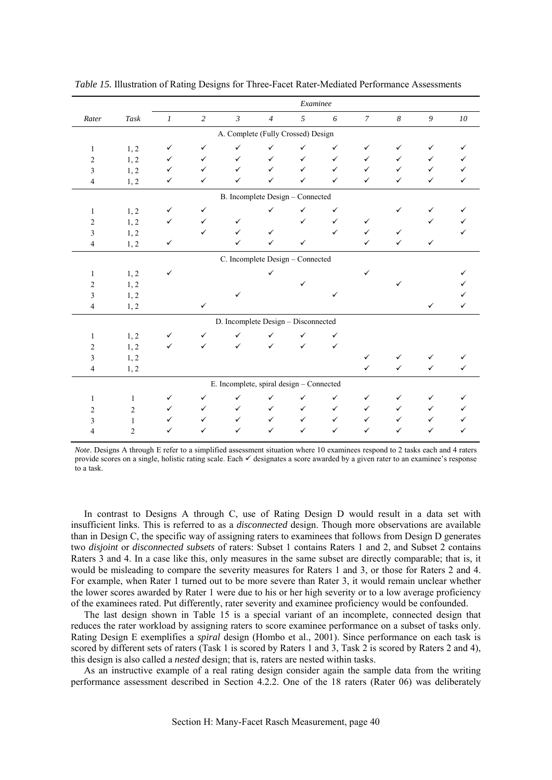|                |                                    |                  |                |                                          |                | Examinee     |              |                |                  |               |              |
|----------------|------------------------------------|------------------|----------------|------------------------------------------|----------------|--------------|--------------|----------------|------------------|---------------|--------------|
| Rater          | $\mathit{Task}$                    | $\boldsymbol{l}$ | $\overline{c}$ | $\mathfrak{Z}$                           | $\overline{4}$ | 5            | 6            | $\overline{7}$ | $\boldsymbol{8}$ | $\mathfrak g$ | ${\it 10}$   |
|                | A. Complete (Fully Crossed) Design |                  |                |                                          |                |              |              |                |                  |               |              |
| $\mathbf{1}$   | 1, 2                               | ✓                | $\checkmark$   | ✓                                        | ✓              | ✓            | ✓            | ✓              | ✓                | ✓             | ✓            |
| $\overline{c}$ | 1, 2                               | ✓                | $\checkmark$   | $\checkmark$                             | $\checkmark$   | $\checkmark$ | $\checkmark$ | $\checkmark$   | $\checkmark$     | ✓             | ✓            |
| 3              | 1, 2                               | ✓                | $\checkmark$   | $\checkmark$                             | $\checkmark$   | $\checkmark$ | $\checkmark$ | $\checkmark$   | $\checkmark$     | $\checkmark$  |              |
| 4              | 1, 2                               | ✓                | $\checkmark$   | ✓                                        | $\checkmark$   | $\checkmark$ | $\checkmark$ | $\checkmark$   | $\checkmark$     | $\checkmark$  | $\checkmark$ |
|                |                                    |                  |                | B. Incomplete Design - Connected         |                |              |              |                |                  |               |              |
| 1              | 1, 2                               | $\checkmark$     | $\checkmark$   |                                          | $\checkmark$   | $\checkmark$ | $\checkmark$ |                | ✓                | ✓             |              |
| $\overline{c}$ | 1, 2                               | ✓                | $\checkmark$   | ✓                                        |                | ✓            | $\checkmark$ | $\checkmark$   |                  | ✓             |              |
| 3              | 1, 2                               |                  | $\checkmark$   | $\checkmark$                             | $\checkmark$   |              | $\checkmark$ | $\checkmark$   | $\checkmark$     |               |              |
| 4              | 1, 2                               | $\checkmark$     |                | $\checkmark$                             | $\checkmark$   | $\checkmark$ |              | $\checkmark$   | $\checkmark$     | $\checkmark$  |              |
|                |                                    |                  |                | C. Incomplete Design - Connected         |                |              |              |                |                  |               |              |
| $\mathbf{1}$   | 1, 2                               | $\checkmark$     |                |                                          | ✓              |              |              | $\checkmark$   |                  |               | ✓            |
| 2              | 1, 2                               |                  |                |                                          |                |              |              |                | ✓                |               |              |
| 3              | 1, 2                               |                  |                | $\checkmark$                             |                |              | $\checkmark$ |                |                  |               |              |
| 4              | 1, 2                               |                  | $\checkmark$   |                                          |                |              |              |                |                  | $\checkmark$  | $\checkmark$ |
|                |                                    |                  |                | D. Incomplete Design - Disconnected      |                |              |              |                |                  |               |              |
| $\mathbf{1}$   | 1, 2                               | ✓                | $\checkmark$   | ✓                                        | $\checkmark$   | $\checkmark$ | $\checkmark$ |                |                  |               |              |
| $\overline{c}$ | 1, 2                               | $\checkmark$     | $\checkmark$   | $\checkmark$                             | $\checkmark$   | $\checkmark$ | $\checkmark$ |                |                  |               |              |
| 3              | 1, 2                               |                  |                |                                          |                |              |              | $\checkmark$   | ✓                |               |              |
| 4              | 1, 2                               |                  |                |                                          |                |              |              | $\checkmark$   | $\checkmark$     | $\checkmark$  | $\checkmark$ |
|                |                                    |                  |                | E. Incomplete, spiral design - Connected |                |              |              |                |                  |               |              |
| 1              | 1                                  | $\checkmark$     | $\checkmark$   | $\checkmark$                             | $\checkmark$   | $\checkmark$ | $\checkmark$ | $\checkmark$   | $\checkmark$     | ✓             |              |
| $\overline{2}$ | $\overline{2}$                     | ✓                | $\checkmark$   | ✓                                        | $\checkmark$   | $\checkmark$ | $\checkmark$ | $\checkmark$   | $\checkmark$     | ✓             |              |
| 3              | $\mathbf{1}$                       | $\checkmark$     | $\checkmark$   | $\checkmark$                             | $\checkmark$   | $\checkmark$ | $\checkmark$ | $\checkmark$   | ✓                | ✓             |              |
| 4              | $\overline{2}$                     | ✓                | $\checkmark$   | ✓                                        | $\checkmark$   | $\checkmark$ | $\checkmark$ | $\checkmark$   | $\checkmark$     | ✓             | ✓            |

*Table 15.* Illustration of Rating Designs for Three-Facet Rater-Mediated Performance Assessments

*Note*. Designs A through E refer to a simplified assessment situation where 10 examinees respond to 2 tasks each and 4 raters provide scores on a single, holistic rating scale. Each 9 designates a score awarded by a given rater to an examinee's response to a task.

In contrast to Designs A through C, use of Rating Design D would result in a data set with insufficient links. This is referred to as a *disconnected* design. Though more observations are available than in Design C, the specific way of assigning raters to examinees that follows from Design D generates two *disjoint* or *disconnected subsets* of raters: Subset 1 contains Raters 1 and 2, and Subset 2 contains Raters 3 and 4. In a case like this, only measures in the same subset are directly comparable; that is, it would be misleading to compare the severity measures for Raters 1 and 3, or those for Raters 2 and 4. For example, when Rater 1 turned out to be more severe than Rater 3, it would remain unclear whether the lower scores awarded by Rater 1 were due to his or her high severity or to a low average proficiency of the examinees rated. Put differently, rater severity and examinee proficiency would be confounded.

The last design shown in Table 15 is a special variant of an incomplete, connected design that reduces the rater workload by assigning raters to score examinee performance on a subset of tasks only. Rating Design E exemplifies a *spiral* design (Hombo et al., 2001). Since performance on each task is scored by different sets of raters (Task 1 is scored by Raters 1 and 3, Task 2 is scored by Raters 2 and 4), this design is also called a *nested* design; that is, raters are nested within tasks.

As an instructive example of a real rating design consider again the sample data from the writing performance assessment described in Section 4.2.2. One of the 18 raters (Rater 06) was deliberately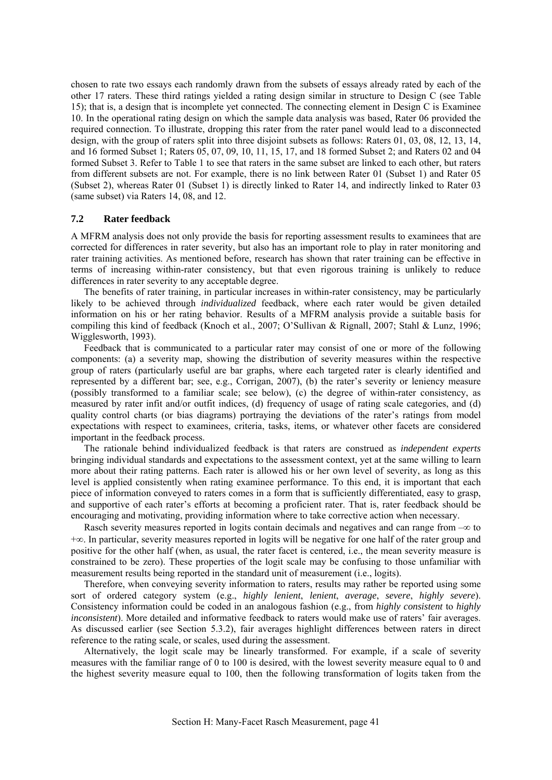<span id="page-42-0"></span>chosen to rate two essays each randomly drawn from the subsets of essays already rated by each of the other 17 raters. These third ratings yielded a rating design similar in structure to Design C (see Table 15); that is, a design that is incomplete yet connected. The connecting element in Design C is Examinee 10. In the operational rating design on which the sample data analysis was based, Rater 06 provided the required connection. To illustrate, dropping this rater from the rater panel would lead to a disconnected design, with the group of raters split into three disjoint subsets as follows: Raters 01, 03, 08, 12, 13, 14, and 16 formed Subset 1; Raters 05, 07, 09, 10, 11, 15, 17, and 18 formed Subset 2; and Raters 02 and 04 formed Subset 3. Refer to Table 1 to see that raters in the same subset are linked to each other, but raters from different subsets are not. For example, there is no link between Rater 01 (Subset 1) and Rater 05 (Subset 2), whereas Rater 01 (Subset 1) is directly linked to Rater 14, and indirectly linked to Rater 03 (same subset) via Raters 14, 08, and 12.

## **7.2 Rater feedback**

A MFRM analysis does not only provide the basis for reporting assessment results to examinees that are corrected for differences in rater severity, but also has an important role to play in rater monitoring and rater training activities. As mentioned before, research has shown that rater training can be effective in terms of increasing within-rater consistency, but that even rigorous training is unlikely to reduce differences in rater severity to any acceptable degree.

The benefits of rater training, in particular increases in within-rater consistency, may be particularly likely to be achieved through *individualized* feedback, where each rater would be given detailed information on his or her rating behavior. Results of a MFRM analysis provide a suitable basis for compiling this kind of feedback (Knoch et al., 2007; O'Sullivan & Rignall, 2007; Stahl & Lunz, 1996; Wigglesworth, 1993).

Feedback that is communicated to a particular rater may consist of one or more of the following components: (a) a severity map, showing the distribution of severity measures within the respective group of raters (particularly useful are bar graphs, where each targeted rater is clearly identified and represented by a different bar; see, e.g., Corrigan, 2007), (b) the rater's severity or leniency measure (possibly transformed to a familiar scale; see below), (c) the degree of within-rater consistency, as measured by rater infit and/or outfit indices, (d) frequency of usage of rating scale categories, and (d) quality control charts (or bias diagrams) portraying the deviations of the rater's ratings from model expectations with respect to examinees, criteria, tasks, items, or whatever other facets are considered important in the feedback process.

The rationale behind individualized feedback is that raters are construed as *independent experts* bringing individual standards and expectations to the assessment context, yet at the same willing to learn more about their rating patterns. Each rater is allowed his or her own level of severity, as long as this level is applied consistently when rating examinee performance. To this end, it is important that each piece of information conveyed to raters comes in a form that is sufficiently differentiated, easy to grasp, and supportive of each rater's efforts at becoming a proficient rater. That is, rater feedback should be encouraging and motivating, providing information where to take corrective action when necessary.

Rasch severity measures reported in logits contain decimals and negatives and can range from  $-\infty$  to +∞. In particular, severity measures reported in logits will be negative for one half of the rater group and positive for the other half (when, as usual, the rater facet is centered, i.e., the mean severity measure is constrained to be zero). These properties of the logit scale may be confusing to those unfamiliar with measurement results being reported in the standard unit of measurement (i.e., logits).

Therefore, when conveying severity information to raters, results may rather be reported using some sort of ordered category system (e.g., *highly lenient*, *lenient*, *average*, *severe*, *highly severe*). Consistency information could be coded in an analogous fashion (e.g., from *highly consistent* to *highly inconsistent*). More detailed and informative feedback to raters would make use of raters' fair averages. As discussed earlier (see Section 5.3.2), fair averages highlight differences between raters in direct reference to the rating scale, or scales, used during the assessment.

Alternatively, the logit scale may be linearly transformed. For example, if a scale of severity measures with the familiar range of 0 to 100 is desired, with the lowest severity measure equal to 0 and the highest severity measure equal to 100, then the following transformation of logits taken from the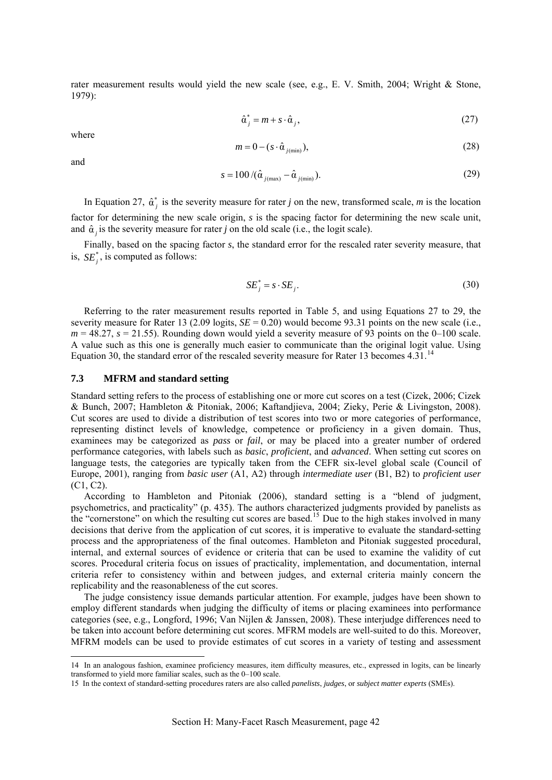<span id="page-43-0"></span>rater measurement results would yield the new scale (see, e.g., E. V. Smith, 2004; Wright & Stone, 1979):

$$
\hat{\alpha}_j^* = m + s \cdot \hat{\alpha}_j,\tag{27}
$$

where

$$
m = 0 - (s \cdot \hat{\alpha}_{j(\text{min})}), \tag{28}
$$

and

-

$$
s = 100 / (\hat{\alpha}_{j(\text{max})} - \hat{\alpha}_{j(\text{min})}). \tag{29}
$$

In Equation 27,  $\hat{\alpha}_j^*$  is the severity measure for rater *j* on the new, transformed scale, *m* is the location factor for determining the new scale origin, *s* is the spacing factor for determining the new scale unit, and  $\hat{\alpha}_j$  is the severity measure for rater *j* on the old scale (i.e., the logit scale).

Finally, based on the spacing factor *s*, the standard error for the rescaled rater severity measure, that is,  $SE_i^*$ , is computed as follows:

$$
SE_j^* = s \cdot SE_j. \tag{30}
$$

Referring to the rater measurement results reported in Table 5, and using Equations 27 to 29, the severity measure for Rater 13 (2.09 logits,  $SE = 0.20$ ) would become 93.31 points on the new scale (i.e.,  $m = 48.27$ ,  $s = 21.55$ ). Rounding down would yield a severity measure of 93 points on the 0–100 scale. A value such as this one is generally much easier to communicate than the original logit value. Using Equation 30, the standard error of the rescaled severity measure for Rater 13 becomes  $4.31$ .<sup>[14](#page-43-1)</sup>

#### **7.3 MFRM and standard setting**

Standard setting refers to the process of establishing one or more cut scores on a test (Cizek, 2006; Cizek & Bunch, 2007; Hambleton & Pitoniak, 2006; Kaftandjieva, 2004; Zieky, Perie & Livingston, 2008). Cut scores are used to divide a distribution of test scores into two or more categories of performance, representing distinct levels of knowledge, competence or proficiency in a given domain. Thus, examinees may be categorized as *pass* or *fail*, or may be placed into a greater number of ordered performance categories, with labels such as *basic*, *proficient*, and *advanced*. When setting cut scores on language tests, the categories are typically taken from the CEFR six-level global scale (Council of Europe, 2001), ranging from *basic user* (A1, A2) through *intermediate user* (B1, B2) to *proficient user* (C1, C2).

According to Hambleton and Pitoniak (2006), standard setting is a "blend of judgment, psychometrics, and practicality" (p. 435). The authors characterized judgments provided by panelists as the "cornerstone" on which the resulting cut scores are based.<sup>[15](#page-43-2)</sup> Due to the high stakes involved in many decisions that derive from the application of cut scores, it is imperative to evaluate the standard-setting process and the appropriateness of the final outcomes. Hambleton and Pitoniak suggested procedural, internal, and external sources of evidence or criteria that can be used to examine the validity of cut scores. Procedural criteria focus on issues of practicality, implementation, and documentation, internal criteria refer to consistency within and between judges, and external criteria mainly concern the replicability and the reasonableness of the cut scores.

The judge consistency issue demands particular attention. For example, judges have been shown to employ different standards when judging the difficulty of items or placing examinees into performance categories (see, e.g., Longford, 1996; Van Nijlen & Janssen, 2008). These interjudge differences need to be taken into account before determining cut scores. MFRM models are well-suited to do this. Moreover, MFRM models can be used to provide estimates of cut scores in a variety of testing and assessment

<span id="page-43-1"></span><sup>14</sup> In an analogous fashion, examinee proficiency measures, item difficulty measures, etc., expressed in logits, can be linearly transformed to yield more familiar scales, such as the 0–100 scale.

<span id="page-43-2"></span><sup>15</sup> In the context of standard-setting procedures raters are also called *panelists*, *judges*, or *subject matter experts* (SMEs).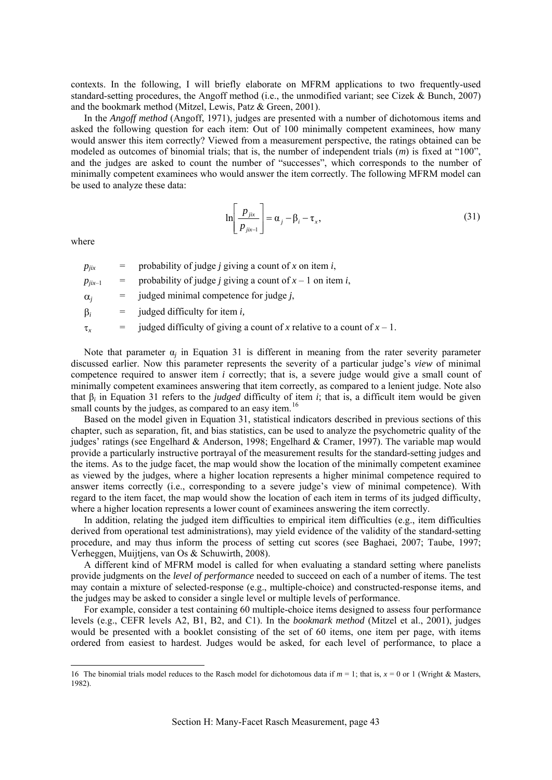contexts. In the following, I will briefly elaborate on MFRM applications to two frequently-used standard-setting procedures, the Angoff method (i.e., the unmodified variant; see Cizek & Bunch, 2007) and the bookmark method (Mitzel, Lewis, Patz & Green, 2001).

In the *Angoff method* (Angoff, 1971), judges are presented with a number of dichotomous items and asked the following question for each item: Out of 100 minimally competent examinees, how many would answer this item correctly? Viewed from a measurement perspective, the ratings obtained can be modeled as outcomes of binomial trials; that is, the number of independent trials (*m*) is fixed at "100", and the judges are asked to count the number of "successes", which corresponds to the number of minimally competent examinees who would answer the item correctly. The following MFRM model can be used to analyze these data:

$$
\ln\left[\frac{p_{jix}}{p_{jix-1}}\right] = \alpha_j - \beta_i - \tau_x, \tag{31}
$$

where

<u>.</u>

 $p_{iix}$  = probability of judge *j* giving a count of *x* on item *i*,

 $p_{jix-1}$  = probability of judge *j* giving a count of  $x - 1$  on item *i*,

 $\alpha_i$  = judged minimal competence for judge *j*,

β*<sup>i</sup>* = judged difficulty for item *i,*

 $\tau_x$  = judged difficulty of giving a count of *x* relative to a count of  $x - 1$ .

Note that parameter  $\alpha_i$  in Equation 31 is different in meaning from the rater severity parameter discussed earlier. Now this parameter represents the severity of a particular judge's *view* of minimal competence required to answer item *i* correctly; that is, a severe judge would give a small count of minimally competent examinees answering that item correctly, as compared to a lenient judge. Note also that β*i* in Equation 31 refers to the *judged* difficulty of item *i*; that is, a difficult item would be given small counts by the judges, as compared to an easy item.<sup>[16](#page-44-0)</sup>

Based on the model given in Equation 31, statistical indicators described in previous sections of this chapter, such as separation, fit, and bias statistics, can be used to analyze the psychometric quality of the judges' ratings (see Engelhard & Anderson, 1998; Engelhard & Cramer, 1997). The variable map would provide a particularly instructive portrayal of the measurement results for the standard-setting judges and the items. As to the judge facet, the map would show the location of the minimally competent examinee as viewed by the judges, where a higher location represents a higher minimal competence required to answer items correctly (i.e., corresponding to a severe judge's view of minimal competence). With regard to the item facet, the map would show the location of each item in terms of its judged difficulty, where a higher location represents a lower count of examinees answering the item correctly.

In addition, relating the judged item difficulties to empirical item difficulties (e.g., item difficulties derived from operational test administrations), may yield evidence of the validity of the standard-setting procedure, and may thus inform the process of setting cut scores (see Baghaei, 2007; Taube, 1997; Verheggen, Muijtjens, van Os & Schuwirth, 2008).

A different kind of MFRM model is called for when evaluating a standard setting where panelists provide judgments on the *level of performance* needed to succeed on each of a number of items. The test may contain a mixture of selected-response (e.g., multiple-choice) and constructed-response items, and the judges may be asked to consider a single level or multiple levels of performance.

For example, consider a test containing 60 multiple-choice items designed to assess four performance levels (e.g., CEFR levels A2, B1, B2, and C1). In the *bookmark method* (Mitzel et al., 2001), judges would be presented with a booklet consisting of the set of 60 items, one item per page, with items ordered from easiest to hardest. Judges would be asked, for each level of performance, to place a

<span id="page-44-0"></span><sup>16</sup> The binomial trials model reduces to the Rasch model for dichotomous data if *m* = 1; that is, *x* = 0 or 1 (Wright & Masters, 1982).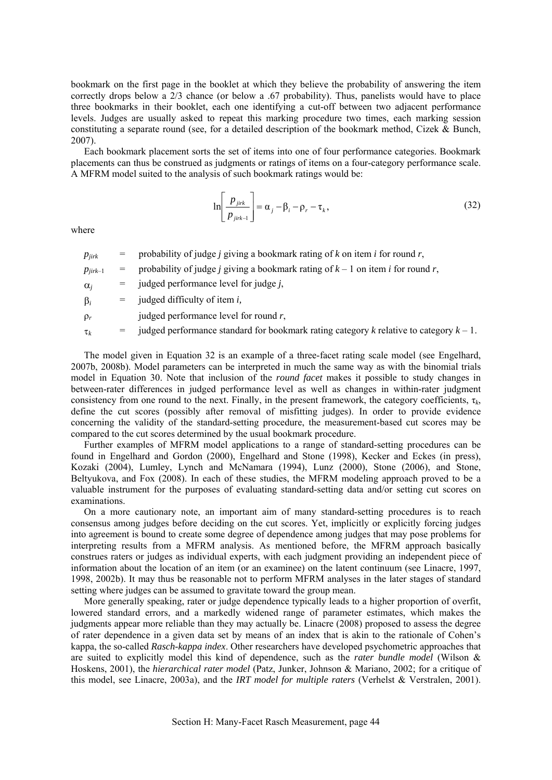bookmark on the first page in the booklet at which they believe the probability of answering the item correctly drops below a 2/3 chance (or below a .67 probability). Thus, panelists would have to place three bookmarks in their booklet, each one identifying a cut-off between two adjacent performance levels. Judges are usually asked to repeat this marking procedure two times, each marking session constituting a separate round (see, for a detailed description of the bookmark method, Cizek & Bunch, 2007).

Each bookmark placement sorts the set of items into one of four performance categories. Bookmark placements can thus be construed as judgments or ratings of items on a four-category performance scale. A MFRM model suited to the analysis of such bookmark ratings would be:

$$
\ln\left[\frac{p_{jirk}}{p_{jirk-1}}\right] = \alpha_j - \beta_i - \rho_r - \tau_k,\tag{32}
$$

where

| $p_{jirk}$   |     | probability of judge <i>j</i> giving a bookmark rating of $k$ on item $i$ for round $r$ ,               |
|--------------|-----|---------------------------------------------------------------------------------------------------------|
| $P_{iirk-1}$ |     | probability of judge <i>j</i> giving a bookmark rating of $k - 1$ on item <i>i</i> for round <i>r</i> , |
| $\alpha_i$   |     | judged performance level for judge <i>j</i> ,                                                           |
| $\beta_i$    | $=$ | judged difficulty of item <i>i</i> ,                                                                    |
| $\rho_r$     |     | judged performance level for round $r$ ,                                                                |

τ*<sup>k</sup>* = judged performance standard for bookmark rating category *k* relative to category *k* – 1.

The model given in Equation 32 is an example of a three-facet rating scale model (see Engelhard, 2007b, 2008b). Model parameters can be interpreted in much the same way as with the binomial trials model in Equation 30. Note that inclusion of the *round facet* makes it possible to study changes in between-rater differences in judged performance level as well as changes in within-rater judgment consistency from one round to the next. Finally, in the present framework, the category coefficients, τ*k*, define the cut scores (possibly after removal of misfitting judges). In order to provide evidence concerning the validity of the standard-setting procedure, the measurement-based cut scores may be compared to the cut scores determined by the usual bookmark procedure.

Further examples of MFRM model applications to a range of standard-setting procedures can be found in Engelhard and Gordon (2000), Engelhard and Stone (1998), Kecker and Eckes (in press), Kozaki (2004), Lumley, Lynch and McNamara (1994), Lunz (2000), Stone (2006), and Stone, Beltyukova, and Fox (2008). In each of these studies, the MFRM modeling approach proved to be a valuable instrument for the purposes of evaluating standard-setting data and/or setting cut scores on examinations.

On a more cautionary note, an important aim of many standard-setting procedures is to reach consensus among judges before deciding on the cut scores. Yet, implicitly or explicitly forcing judges into agreement is bound to create some degree of dependence among judges that may pose problems for interpreting results from a MFRM analysis. As mentioned before, the MFRM approach basically construes raters or judges as individual experts, with each judgment providing an independent piece of information about the location of an item (or an examinee) on the latent continuum (see Linacre, 1997, 1998, 2002b). It may thus be reasonable not to perform MFRM analyses in the later stages of standard setting where judges can be assumed to gravitate toward the group mean.

More generally speaking, rater or judge dependence typically leads to a higher proportion of overfit, lowered standard errors, and a markedly widened range of parameter estimates, which makes the judgments appear more reliable than they may actually be. Linacre (2008) proposed to assess the degree of rater dependence in a given data set by means of an index that is akin to the rationale of Cohen's kappa, the so-called *Rasch-kappa index*. Other researchers have developed psychometric approaches that are suited to explicitly model this kind of dependence, such as the *rater bundle model* (Wilson & Hoskens, 2001), the *hierarchical rater model* (Patz, Junker, Johnson & Mariano, 2002; for a critique of this model, see Linacre, 2003a), and the *IRT model for multiple raters* (Verhelst & Verstralen, 2001).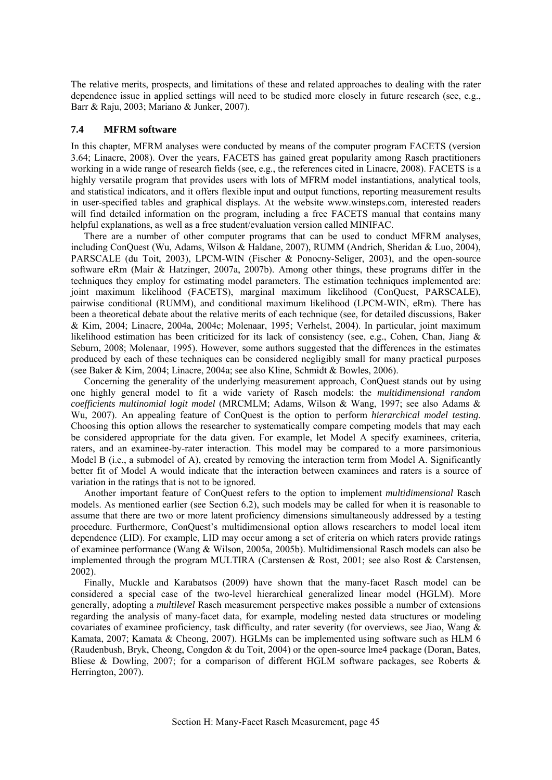<span id="page-46-0"></span>The relative merits, prospects, and limitations of these and related approaches to dealing with the rater dependence issue in applied settings will need to be studied more closely in future research (see, e.g., Barr & Raju, 2003; Mariano & Junker, 2007).

## **7.4 MFRM software**

In this chapter, MFRM analyses were conducted by means of the computer program FACETS (version 3.64; Linacre, 2008). Over the years, FACETS has gained great popularity among Rasch practitioners working in a wide range of research fields (see, e.g., the references cited in Linacre, 2008). FACETS is a highly versatile program that provides users with lots of MFRM model instantiations, analytical tools, and statistical indicators, and it offers flexible input and output functions, reporting measurement results in user-specified tables and graphical displays. At the website www.winsteps.com, interested readers will find detailed information on the program, including a free FACETS manual that contains many helpful explanations, as well as a free student/evaluation version called MINIFAC.

There are a number of other computer programs that can be used to conduct MFRM analyses, including ConQuest (Wu, Adams, Wilson & Haldane, 2007), RUMM (Andrich, Sheridan & Luo, 2004), PARSCALE (du Toit, 2003), LPCM-WIN (Fischer & Ponocny-Seliger, 2003), and the open-source software eRm (Mair & Hatzinger, 2007a, 2007b). Among other things, these programs differ in the techniques they employ for estimating model parameters. The estimation techniques implemented are: joint maximum likelihood (FACETS), marginal maximum likelihood (ConQuest, PARSCALE), pairwise conditional (RUMM), and conditional maximum likelihood (LPCM-WIN, eRm). There has been a theoretical debate about the relative merits of each technique (see, for detailed discussions, Baker & Kim, 2004; Linacre, 2004a, 2004c; Molenaar, 1995; Verhelst, 2004). In particular, joint maximum likelihood estimation has been criticized for its lack of consistency (see, e.g., Cohen, Chan, Jiang & Seburn, 2008; Molenaar, 1995). However, some authors suggested that the differences in the estimates produced by each of these techniques can be considered negligibly small for many practical purposes (see Baker & Kim, 2004; Linacre, 2004a; see also Kline, Schmidt & Bowles, 2006).

Concerning the generality of the underlying measurement approach, ConQuest stands out by using one highly general model to fit a wide variety of Rasch models: the *multidimensional random coefficients multinomial logit model* (MRCMLM; Adams, Wilson & Wang, 1997; see also Adams & Wu, 2007). An appealing feature of ConQuest is the option to perform *hierarchical model testing*. Choosing this option allows the researcher to systematically compare competing models that may each be considered appropriate for the data given. For example, let Model A specify examinees, criteria, raters, and an examinee-by-rater interaction. This model may be compared to a more parsimonious Model B (i.e., a submodel of A), created by removing the interaction term from Model A. Significantly better fit of Model A would indicate that the interaction between examinees and raters is a source of variation in the ratings that is not to be ignored.

Another important feature of ConQuest refers to the option to implement *multidimensional* Rasch models. As mentioned earlier (see Section 6.2), such models may be called for when it is reasonable to assume that there are two or more latent proficiency dimensions simultaneously addressed by a testing procedure. Furthermore, ConQuest's multidimensional option allows researchers to model local item dependence (LID). For example, LID may occur among a set of criteria on which raters provide ratings of examinee performance (Wang & Wilson, 2005a, 2005b). Multidimensional Rasch models can also be implemented through the program MULTIRA (Carstensen & Rost, 2001; see also Rost & Carstensen, 2002).

Finally, Muckle and Karabatsos (2009) have shown that the many-facet Rasch model can be considered a special case of the two-level hierarchical generalized linear model (HGLM). More generally, adopting a *multilevel* Rasch measurement perspective makes possible a number of extensions regarding the analysis of many-facet data, for example, modeling nested data structures or modeling covariates of examinee proficiency, task difficulty, and rater severity (for overviews, see Jiao, Wang & Kamata, 2007; Kamata & Cheong, 2007). HGLMs can be implemented using software such as HLM 6 (Raudenbush, Bryk, Cheong, Congdon & du Toit, 2004) or the open-source lme4 package (Doran, Bates, Bliese & Dowling, 2007; for a comparison of different HGLM software packages, see Roberts & Herrington, 2007).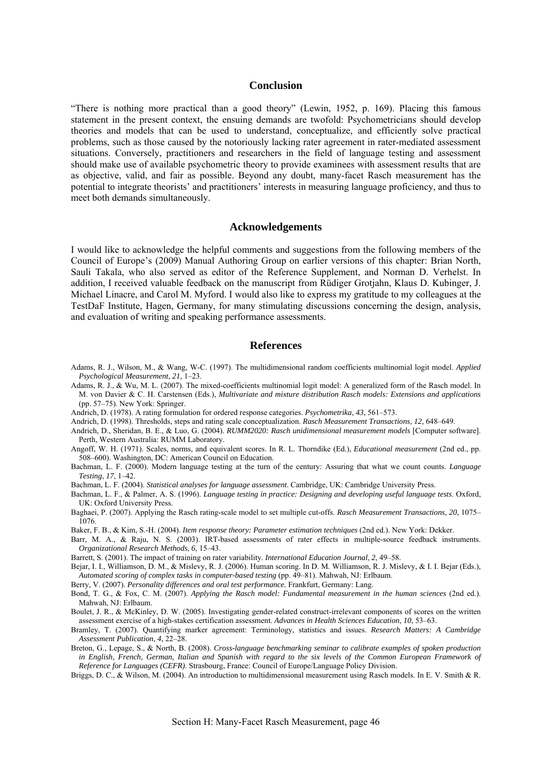## **Conclusion**

<span id="page-47-0"></span>"There is nothing more practical than a good theory" (Lewin, 1952, p. 169). Placing this famous statement in the present context, the ensuing demands are twofold: Psychometricians should develop theories and models that can be used to understand, conceptualize, and efficiently solve practical problems, such as those caused by the notoriously lacking rater agreement in rater-mediated assessment situations. Conversely, practitioners and researchers in the field of language testing and assessment should make use of available psychometric theory to provide examinees with assessment results that are as objective, valid, and fair as possible. Beyond any doubt, many-facet Rasch measurement has the potential to integrate theorists' and practitioners' interests in measuring language proficiency, and thus to meet both demands simultaneously.

## **Acknowledgements**

I would like to acknowledge the helpful comments and suggestions from the following members of the Council of Europe's (2009) Manual Authoring Group on earlier versions of this chapter: Brian North, Sauli Takala, who also served as editor of the Reference Supplement, and Norman D. Verhelst. In addition, I received valuable feedback on the manuscript from Rüdiger Grotjahn, Klaus D. Kubinger, J. Michael Linacre, and Carol M. Myford. I would also like to express my gratitude to my colleagues at the TestDaF Institute, Hagen, Germany, for many stimulating discussions concerning the design, analysis, and evaluation of writing and speaking performance assessments.

#### **References**

- Adams, R. J., Wilson, M., & Wang, W-C. (1997). The multidimensional random coefficients multinomial logit model. *Applied Psychological Measurement*, *21*, 1–23.
- Adams, R. J., & Wu, M. L. (2007). The mixed-coefficients multinomial logit model: A generalized form of the Rasch model. In M. von Davier & C. H. Carstensen (Eds.), *Multivariate and mixture distribution Rasch models: Extensions and applications* (pp. 57–75). New York: Springer.
- Andrich, D. (1978). A rating formulation for ordered response categories. *Psychometrika*, *43*, 561–573.

Andrich, D. (1998). Thresholds, steps and rating scale conceptualization. *Rasch Measurement Transactions*, *12*, 648–649.

- Andrich, D., Sheridan, B. E., & Luo, G. (2004). *RUMM2020: Rasch unidimensional measurement models* [Computer software]. Perth, Western Australia: RUMM Laboratory.
- Angoff, W. H. (1971). Scales, norms, and equivalent scores. In R. L. Thorndike (Ed.), *Educational measurement* (2nd ed., pp. 508–600). Washington, DC: American Council on Education.
- Bachman, L. F. (2000). Modern language testing at the turn of the century: Assuring that what we count counts. *Language Testing*, *17*, 1–42.

Bachman, L. F. (2004). *Statistical analyses for language assessment*. Cambridge, UK: Cambridge University Press.

- Bachman, L. F., & Palmer, A. S. (1996). *Language testing in practice: Designing and developing useful language tests*. Oxford, UK: Oxford University Press.
- Baghaei, P. (2007). Applying the Rasch rating-scale model to set multiple cut-offs. *Rasch Measurement Transactions*, *20*, 1075– 1076.
- Baker, F. B., & Kim, S.-H. (2004). *Item response theory: Parameter estimation techniques* (2nd ed.). New York: Dekker.
- Barr, M. A., & Raju, N. S. (2003). IRT-based assessments of rater effects in multiple-source feedback instruments. *Organizational Research Methods*, *6*, 15–43.
- Barrett, S. (2001). The impact of training on rater variability. *International Education Journal*, *2*, 49–58.
- Bejar, I. I., Williamson, D. M., & Mislevy, R. J. (2006). Human scoring. In D. M. Williamson, R. J. Mislevy, & I. I. Bejar (Eds.), *Automated scoring of complex tasks in computer-based testing* (pp. 49–81). Mahwah, NJ: Erlbaum.
- Berry, V. (2007). *Personality differences and oral test performance.* Frankfurt, Germany: Lang.
- Bond, T. G., & Fox, C. M. (2007). *Applying the Rasch model: Fundamental measurement in the human sciences* (2nd ed.). Mahwah, NJ: Erlbaum.
- Boulet, J. R., & McKinley, D. W. (2005). Investigating gender-related construct-irrelevant components of scores on the written assessment exercise of a high-stakes certification assessment. *Advances in Health Sciences Education*, *10*, 53–63.
- Bramley, T. (2007). Quantifying marker agreement: Terminology, statistics and issues. *Research Matters: A Cambridge Assessment Publication*, *4*, 22–28.
- Breton, G., Lepage, S., & North, B. (2008). *Cross-language benchmarking seminar to calibrate examples of spoken production*  in English, French, German, Italian and Spanish with regard to the six levels of the Common European Framework of *Reference for Languages (CEFR)*. Strasbourg, France: Council of Europe/Language Policy Division.
- Briggs, D. C., & Wilson, M. (2004). An introduction to multidimensional measurement using Rasch models. In E. V. Smith & R.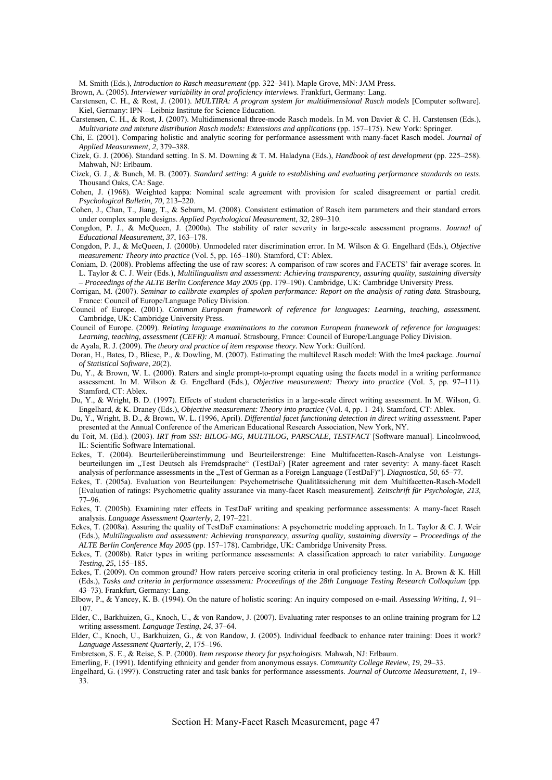M. Smith (Eds.), *Introduction to Rasch measurement* (pp. 322–341). Maple Grove, MN: JAM Press.

Brown, A. (2005). *Interviewer variability in oral proficiency interviews*. Frankfurt, Germany: Lang.

- Carstensen, C. H., & Rost, J. (2001). *MULTIRA: A program system for multidimensional Rasch models* [Computer software]. Kiel, Germany: IPN—Leibniz Institute for Science Education.
- Carstensen, C. H., & Rost, J. (2007). Multidimensional three-mode Rasch models. In M. von Davier & C. H. Carstensen (Eds.), *Multivariate and mixture distribution Rasch models: Extensions and applications* (pp. 157–175). New York: Springer.
- Chi, E. (2001). Comparing holistic and analytic scoring for performance assessment with many-facet Rasch model. *Journal of Applied Measurement*, *2*, 379–388.
- Cizek, G. J. (2006). Standard setting. In S. M. Downing & T. M. Haladyna (Eds.), *Handbook of test development* (pp. 225–258). Mahwah, NJ: Erlbaum.
- Cizek, G. J., & Bunch, M. B. (2007). *Standard setting: A guide to establishing and evaluating performance standards on tests*. Thousand Oaks, CA: Sage.
- Cohen, J. (1968). Weighted kappa: Nominal scale agreement with provision for scaled disagreement or partial credit. *Psychological Bulletin*, *70*, 213–220.
- Cohen, J., Chan, T., Jiang, T., & Seburn, M. (2008). Consistent estimation of Rasch item parameters and their standard errors under complex sample designs. *Applied Psychological Measurement*, *32*, 289–310.
- Congdon, P. J., & McQueen, J. (2000a). The stability of rater severity in large-scale assessment programs. *Journal of Educational Measurement*, *37*, 163–178.
- Congdon, P. J., & McQueen, J. (2000b). Unmodeled rater discrimination error. In M. Wilson & G. Engelhard (Eds.), *Objective measurement: Theory into practice* (Vol. 5, pp. 165–180). Stamford, CT: Ablex.
- Coniam, D. (2008). Problems affecting the use of raw scores: A comparison of raw scores and FACETS' fair average scores. In L. Taylor & C. J. Weir (Eds.), *Multilingualism and assessment: Achieving transparency, assuring quality, sustaining diversity – Proceedings of the ALTE Berlin Conference May 2005* (pp. 179–190). Cambridge, UK: Cambridge University Press.
- Corrigan, M. (2007). *Seminar to calibrate examples of spoken performance: Report on the analysis of rating data.* Strasbourg, France: Council of Europe/Language Policy Division.
- Council of Europe. (2001). *Common European framework of reference for languages: Learning, teaching, assessment.* Cambridge, UK: Cambridge University Press.
- Council of Europe. (2009). *Relating language examinations to the common European framework of reference for languages: Learning, teaching, assessment (CEFR): A manual.* Strasbourg, France: Council of Europe/Language Policy Division.
- de Ayala, R. J. (2009). *The theory and practice of item response theory.* New York: Guilford.
- Doran, H., Bates, D., Bliese, P., & Dowling, M. (2007). Estimating the multilevel Rasch model: With the lme4 package. *Journal of Statistical Software*, *20*(2).
- Du, Y., & Brown, W. L. (2000). Raters and single prompt-to-prompt equating using the facets model in a writing performance assessment. In M. Wilson & G. Engelhard (Eds.), *Objective measurement: Theory into practice* (Vol. 5, pp. 97–111). Stamford, CT: Ablex.
- Du, Y., & Wright, B. D. (1997). Effects of student characteristics in a large-scale direct writing assessment. In M. Wilson, G. Engelhard, & K. Draney (Eds.), *Objective measurement: Theory into practice* (Vol. 4, pp. 1–24). Stamford, CT: Ablex.
- Du, Y., Wright, B. D., & Brown, W. L. (1996, April). *Differential facet functioning detection in direct writing assessment*. Paper presented at the Annual Conference of the American Educational Research Association, New York, NY.
- du Toit, M. (Ed.). (2003). *IRT from SSI: BILOG-MG, MULTILOG, PARSCALE, TESTFACT* [Software manual]. Lincolnwood, IL: Scientific Software International.
- Eckes, T. (2004). Beurteilerübereinstimmung und Beurteilerstrenge: Eine Multifacetten-Rasch-Analyse von Leistungsbeurteilungen im "Test Deutsch als Fremdsprache" (TestDaF) [Rater agreement and rater severity: A many-facet Rasch analysis of performance assessments in the "Test of German as a Foreign Language (TestDaF)"]. *Diagnostica*, 50, 65–77.
- Eckes, T. (2005a). Evaluation von Beurteilungen: Psychometrische Qualitätssicherung mit dem Multifacetten-Rasch-Modell [Evaluation of ratings: Psychometric quality assurance via many-facet Rasch measurement]. *Zeitschrift für Psychologie*, *213*, 77–96.
- Eckes, T. (2005b). Examining rater effects in TestDaF writing and speaking performance assessments: A many-facet Rasch analysis. *Language Assessment Quarterly*, *2*, 197–221.
- Eckes, T. (2008a). Assuring the quality of TestDaF examinations: A psychometric modeling approach. In L. Taylor & C. J. Weir (Eds.), *Multilingualism and assessment: Achieving transparency, assuring quality, sustaining diversity – Proceedings of the ALTE Berlin Conference May 2005* (pp. 157–178). Cambridge, UK: Cambridge University Press.
- Eckes, T. (2008b). Rater types in writing performance assessments: A classification approach to rater variability. *Language Testing*, *25*, 155–185.
- Eckes, T. (2009). On common ground? How raters perceive scoring criteria in oral proficiency testing. In A. Brown & K. Hill (Eds.), *Tasks and criteria in performance assessment: Proceedings of the 28th Language Testing Research Colloquium* (pp. 43–73). Frankfurt, Germany: Lang.
- Elbow, P., & Yancey, K. B. (1994). On the nature of holistic scoring: An inquiry composed on e-mail. *Assessing Writing*, *1*, 91– 107.
- Elder, C., Barkhuizen, G., Knoch, U., & von Randow, J. (2007). Evaluating rater responses to an online training program for L2 writing assessment. *Language Testing*, *24*, 37–64.
- Elder, C., Knoch, U., Barkhuizen, G., & von Randow, J. (2005). Individual feedback to enhance rater training: Does it work? *Language Assessment Quarterly*, *2*, 175–196.
- Embretson, S. E., & Reise, S. P. (2000). *Item response theory for psychologists*. Mahwah, NJ: Erlbaum.
- Emerling, F. (1991). Identifying ethnicity and gender from anonymous essays. *Community College Review*, *19*, 29–33.
- Engelhard, G. (1997). Constructing rater and task banks for performance assessments. *Journal of Outcome Measurement*, *1*, 19– 33.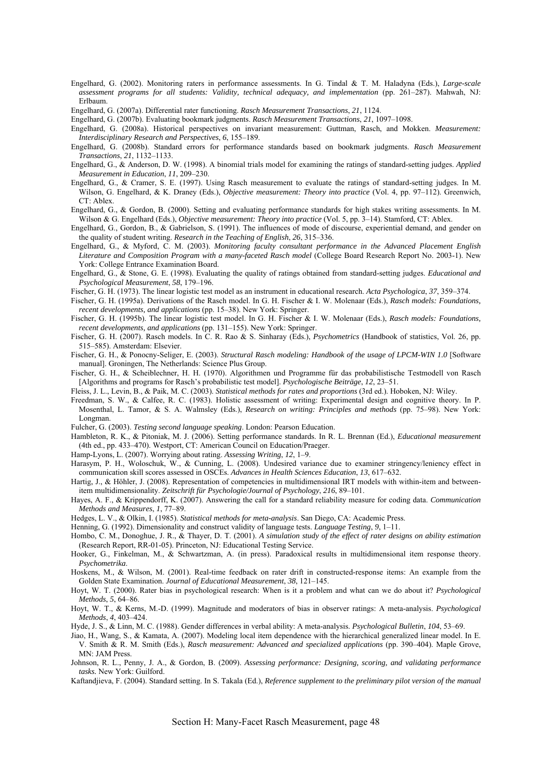- Engelhard, G. (2002). Monitoring raters in performance assessments. In G. Tindal & T. M. Haladyna (Eds.), *Large-scale assessment programs for all students: Validity, technical adequacy, and implementation* (pp. 261–287). Mahwah, NJ: Erlbaum.
- Engelhard, G. (2007a). Differential rater functioning. *Rasch Measurement Transactions*, *21*, 1124.
- Engelhard, G. (2007b). Evaluating bookmark judgments. *Rasch Measurement Transactions*, *21*, 1097–1098.
- Engelhard, G. (2008a). Historical perspectives on invariant measurement: Guttman, Rasch, and Mokken. *Measurement: Interdisciplinary Research and Perspectives*, *6*, 155–189.
- Engelhard, G. (2008b). Standard errors for performance standards based on bookmark judgments. *Rasch Measurement Transactions*, *21*, 1132–1133.
- Engelhard, G., & Anderson, D. W. (1998). A binomial trials model for examining the ratings of standard-setting judges. *Applied Measurement in Education*, *11*, 209–230.
- Engelhard, G., & Cramer, S. E. (1997). Using Rasch measurement to evaluate the ratings of standard-setting judges. In M. Wilson, G. Engelhard, & K. Draney (Eds.), *Objective measurement: Theory into practice* (Vol. 4, pp. 97–112). Greenwich,  $CT:$  Ablex.
- Engelhard, G., & Gordon, B. (2000). Setting and evaluating performance standards for high stakes writing assessments. In M. Wilson & G. Engelhard (Eds.), *Objective measurement: Theory into practice* (Vol. 5, pp. 3–14). Stamford, CT: Ablex.
- Engelhard, G., Gordon, B., & Gabrielson, S. (1991). The influences of mode of discourse, experiential demand, and gender on the quality of student writing. *Research in the Teaching of English*, *26*, 315–336.
- Engelhard, G., & Myford, C. M. (2003). *Monitoring faculty consultant performance in the Advanced Placement English Literature and Composition Program with a many-faceted Rasch model* (College Board Research Report No. 2003-1). New York: College Entrance Examination Board.
- Engelhard, G., & Stone, G. E. (1998). Evaluating the quality of ratings obtained from standard-setting judges. *Educational and Psychological Measurement*, *58*, 179–196.
- Fischer, G. H. (1973). The linear logistic test model as an instrument in educational research. *Acta Psychologica*, *37*, 359–374.
- Fischer, G. H. (1995a). Derivations of the Rasch model. In G. H. Fischer & I. W. Molenaar (Eds.), *Rasch models: Foundations,*
- *recent developments, and applications* (pp. 15–38). New York: Springer.
- Fischer, G. H. (1995b). The linear logistic test model. In G. H. Fischer & I. W. Molenaar (Eds.), *Rasch models: Foundations, recent developments, and applications* (pp. 131–155). New York: Springer.
- Fischer, G. H. (2007). Rasch models. In C. R. Rao & S. Sinharay (Eds.), *Psychometrics* (Handbook of statistics, Vol. 26, pp. 515–585). Amsterdam: Elsevier.
- Fischer, G. H., & Ponocny-Seliger, E. (2003). *Structural Rasch modeling: Handbook of the usage of LPCM-WIN 1.0* [Software manual]. Groningen, The Netherlands: Science Plus Group.
- Fischer, G. H., & Scheiblechner, H. H. (1970). Algorithmen und Programme für das probabilistische Testmodell von Rasch [Algorithms and programs for Rasch's probabilistic test model]. *Psychologische Beiträge*, *12*, 23–51.
- Fleiss, J. L., Levin, B., & Paik, M. C. (2003). *Statistical methods for rates and proportions* (3rd ed.). Hoboken, NJ: Wiley.
- Freedman, S. W., & Calfee, R. C. (1983). Holistic assessment of writing: Experimental design and cognitive theory. In P. Mosenthal, L. Tamor, & S. A. Walmsley (Eds.), *Research on writing: Principles and methods* (pp. 75–98). New York: Longman.
- Fulcher, G. (2003). *Testing second language speaking*. London: Pearson Education.
- Hambleton, R. K., & Pitoniak, M. J. (2006). Setting performance standards. In R. L. Brennan (Ed.), *Educational measurement* (4th ed., pp. 433–470). Westport, CT: American Council on Education/Praeger.
- Hamp-Lyons, L. (2007). Worrying about rating. *Assessing Writing*, *12*, 1–9.
- Harasym, P. H., Woloschuk, W., & Cunning, L. (2008). Undesired variance due to examiner stringency/leniency effect in communication skill scores assessed in OSCEs. *Advances in Health Sciences Education*, *13*, 617–632.
- Hartig, J., & Höhler, J. (2008). Representation of competencies in multidimensional IRT models with within-item and betweenitem multidimensionality. *Zeitschrift für Psychologie/Journal of Psychology*, *216*, 89–101.
- Hayes, A. F., & Krippendorff, K. (2007). Answering the call for a standard reliability measure for coding data. *Communication Methods and Measures*, *1*, 77–89.
- Hedges, L. V., & Olkin, I. (1985). *Statistical methods for meta-analysis*. San Diego, CA: Academic Press.
- Henning, G. (1992). Dimensionality and construct validity of language tests. *Language Testing*, *9*, 1–11.
- Hombo, C. M., Donoghue, J. R., & Thayer, D. T. (2001). *A simulation study of the effect of rater designs on ability estimation* (Research Report, RR-01-05). Princeton, NJ: Educational Testing Service.
- Hooker, G., Finkelman, M., & Schwartzman, A. (in press). Paradoxical results in multidimensional item response theory. *Psychometrika*.
- Hoskens, M., & Wilson, M. (2001). Real-time feedback on rater drift in constructed-response items: An example from the Golden State Examination. *Journal of Educational Measurement*, *38*, 121–145.
- Hoyt, W. T. (2000). Rater bias in psychological research: When is it a problem and what can we do about it? *Psychological Methods*, *5*, 64–86.
- Hoyt, W. T., & Kerns, M.-D. (1999). Magnitude and moderators of bias in observer ratings: A meta-analysis. *Psychological Methods*, *4*, 403–424.
- Hyde, J. S., & Linn, M. C. (1988). Gender differences in verbal ability: A meta-analysis. *Psychological Bulletin*, *104*, 53–69.
- Jiao, H., Wang, S., & Kamata, A. (2007). Modeling local item dependence with the hierarchical generalized linear model. In E. V. Smith & R. M. Smith (Eds.), *Rasch measurement: Advanced and specialized applications* (pp. 390–404). Maple Grove, MN: JAM Press.
- Johnson, R. L., Penny, J. A., & Gordon, B. (2009). *Assessing performance: Designing, scoring, and validating performance tasks.* New York: Guilford.
- Kaftandjieva, F. (2004). Standard setting. In S. Takala (Ed.), *Reference supplement to the preliminary pilot version of the manual*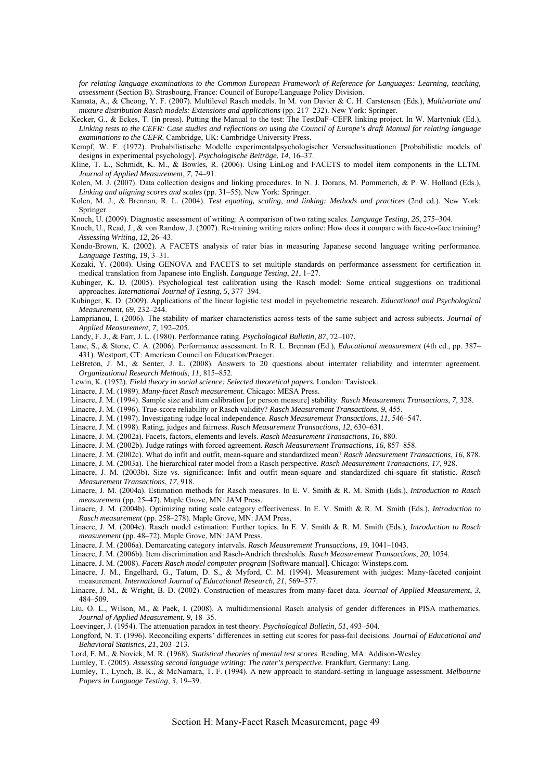*for relating language examinations to the Common European Framework of Reference for Languages: Learning, teaching, assessment* (Section B). Strasbourg, France: Council of Europe/Language Policy Division.

- Kamata, A., & Cheong, Y. F. (2007). Multilevel Rasch models. In M. von Davier & C. H. Carstensen (Eds.), *Multivariate and mixture distribution Rasch models: Extensions and applications* (pp. 217–232). New York: Springer.
- Kecker, G., & Eckes, T. (in press). Putting the Manual to the test: The TestDaF–CEFR linking project. In W. Martyniuk (Ed.), *Linking tests to the CEFR: Case studies and reflections on using the Council of Europe's draft Manual for relating language examinations to the CEFR.* Cambridge, UK: Cambridge University Press.
- Kempf, W. F. (1972). Probabilistische Modelle experimentalpsychologischer Versuchssituationen [Probabilistic models of designs in experimental psychology]. *Psychologische Beiträge*, *14*, 16–37.
- Kline, T. L., Schmidt, K. M., & Bowles, R. (2006). Using LinLog and FACETS to model item components in the LLTM. *Journal of Applied Measurement*, *7*, 74–91.
- Kolen, M. J. (2007). Data collection designs and linking procedures. In N. J. Dorans, M. Pommerich, & P. W. Holland (Eds.), *Linking and aligning scores and scales* (pp. 31–55). New York: Springer.
- Kolen, M. J., & Brennan, R. L. (2004). *Test equating, scaling, and linking: Methods and practices* (2nd ed.). New York: Springer.
- Knoch, U. (2009). Diagnostic assessment of writing: A comparison of two rating scales. *Language Testing*, *26*, 275–304.
- Knoch, U., Read, J., & von Randow, J. (2007). Re-training writing raters online: How does it compare with face-to-face training? *Assessing Writing*, *12*, 26–43.
- Kondo-Brown, K. (2002). A FACETS analysis of rater bias in measuring Japanese second language writing performance. *Language Testing*, *19*, 3–31.
- Kozaki, Y. (2004). Using GENOVA and FACETS to set multiple standards on performance assessment for certification in medical translation from Japanese into English. *Language Testing*, *21*, 1–27.
- Kubinger, K. D. (2005). Psychological test calibration using the Rasch model: Some critical suggestions on traditional approaches. *International Journal of Testing*, *5*, 377–394.
- Kubinger, K. D. (2009). Applications of the linear logistic test model in psychometric research. *Educational and Psychological Measurement*, *69*, 232–244.
- Lamprianou, I. (2006). The stability of marker characteristics across tests of the same subject and across subjects. *Journal of Applied Measurement*, *7*, 192–205.
- Landy, F. J., & Farr, J. L. (1980). Performance rating. *Psychological Bulletin*, *87*, 72–107.
- Lane, S., & Stone, C. A. (2006). Performance assessment. In R. L. Brennan (Ed.), *Educational measurement* (4th ed., pp. 387– 431). Westport, CT: American Council on Education/Praeger.
- LeBreton, J. M., & Senter, J. L. (2008). Answers to 20 questions about interrater reliability and interrater agreement. *Organizational Research Methods*, *11*, 815–852.
- Lewin, K. (1952). *Field theory in social science: Selected theoretical papers.* London: Tavistock.
- Linacre, J. M. (1989). *Many-facet Rasch measurement*. Chicago: MESA Press.
- Linacre, J. M. (1994). Sample size and item calibration [or person measure] stability. *Rasch Measurement Transactions*, *7*, 328.
- Linacre, J. M. (1996). True-score reliability or Rasch validity? *Rasch Measurement Transactions*, *9*, 455.
- Linacre, J. M. (1997). Investigating judge local independence. *Rasch Measurement Transactions*, *11*, 546–547.
- Linacre, J. M. (1998). Rating, judges and fairness. *Rasch Measurement Transactions*, *12*, 630–631.
- Linacre, J. M. (2002a). Facets, factors, elements and levels. *Rasch Measurement Transactions*, *16*, 880.
- Linacre, J. M. (2002b). Judge ratings with forced agreement. *Rasch Measurement Transactions*, *16*, 857–858.

Linacre, J. M. (2002c). What do infit and outfit, mean-square and standardized mean? *Rasch Measurement Transactions*, *16*, 878.

- Linacre, J. M. (2003a). The hierarchical rater model from a Rasch perspective. *Rasch Measurement Transactions*, *17*, 928.
- Linacre, J. M. (2003b). Size vs. significance: Infit and outfit mean-square and standardized chi-square fit statistic. *Rasch Measurement Transactions*, *17*, 918.
- Linacre, J. M. (2004a). Estimation methods for Rasch measures. In E. V. Smith & R. M. Smith (Eds.), *Introduction to Rasch measurement* (pp. 25–47). Maple Grove, MN: JAM Press.
- Linacre, J. M. (2004b). Optimizing rating scale category effectiveness. In E. V. Smith & R. M. Smith (Eds.), *Introduction to Rasch measurement* (pp. 258–278). Maple Grove, MN: JAM Press.
- Linacre, J. M. (2004c). Rasch model estimation: Further topics. In E. V. Smith & R. M. Smith (Eds.), *Introduction to Rasch measurement* (pp. 48–72). Maple Grove, MN: JAM Press.
- Linacre, J. M. (2006a). Demarcating category intervals. *Rasch Measurement Transactions*, *19*, 1041–1043.
- Linacre, J. M. (2006b). Item discrimination and Rasch-Andrich thresholds. *Rasch Measurement Transactions*, *20*, 1054.
- Linacre, J. M. (2008). *Facets Rasch model computer program* [Software manual]. Chicago: Winsteps.com.
- Linacre, J. M., Engelhard, G., Tatum, D. S., & Myford, C. M. (1994). Measurement with judges: Many-faceted conjoint measurement. *International Journal of Educational Research*, *21*, 569–577.
- Linacre, J. M., & Wright, B. D. (2002). Construction of measures from many-facet data. *Journal of Applied Measurement*, *3*, 484–509.
- Liu, O. L., Wilson, M., & Paek, I. (2008). A multidimensional Rasch analysis of gender differences in PISA mathematics. *Journal of Applied Measurement*, *9*, 18–35.
- Loevinger, J. (1954). The attenuation paradox in test theory. *Psychological Bulletin*, *51*, 493–504.
- Longford, N. T. (1996). Reconciling experts' differences in setting cut scores for pass-fail decisions. *Journal of Educational and Behavioral Statistics*, *21*, 203–213.
- Lord, F. M., & Novick, M. R. (1968). *Statistical theories of mental test scores*. Reading, MA: Addison-Wesley.
- Lumley, T. (2005). *Assessing second language writing: The rater's perspective.* Frankfurt, Germany: Lang.
- Lumley, T., Lynch, B. K., & McNamara, T. F. (1994). A new approach to standard-setting in language assessment. *Melbourne Papers in Language Testing*, *3*, 19–39.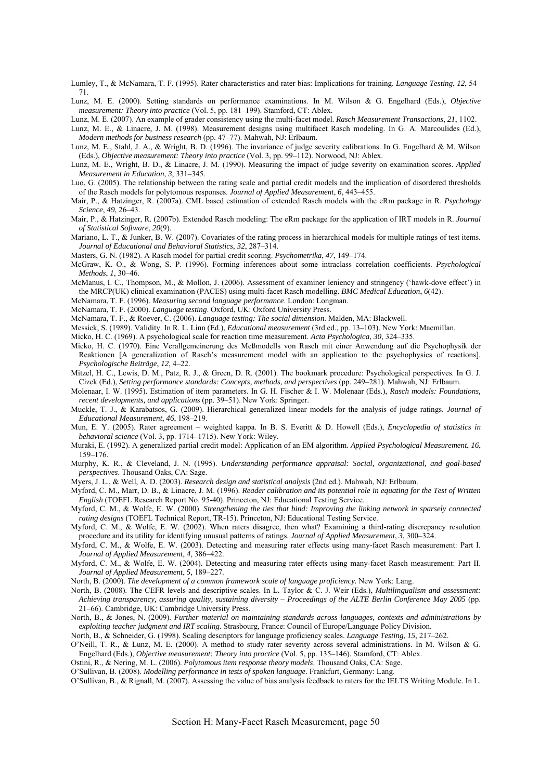Lumley, T., & McNamara, T. F. (1995). Rater characteristics and rater bias: Implications for training. *Language Testing*, *12*, 54– 71.

Lunz, M. E. (2000). Setting standards on performance examinations. In M. Wilson & G. Engelhard (Eds.), *Objective measurement: Theory into practice* (Vol. 5, pp. 181–199). Stamford, CT: Ablex.

Lunz, M. E. (2007). An example of grader consistency using the multi-facet model. *Rasch Measurement Transactions*, *21*, 1102.

Lunz, M. E., & Linacre, J. M. (1998). Measurement designs using multifacet Rasch modeling. In G. A. Marcoulides (Ed.), *Modern methods for business research* (pp. 47–77). Mahwah, NJ: Erlbaum.

Lunz, M. E., Stahl, J. A., & Wright, B. D. (1996). The invariance of judge severity calibrations. In G. Engelhard & M. Wilson (Eds.), *Objective measurement: Theory into practice* (Vol. 3, pp. 99–112). Norwood, NJ: Ablex.

Lunz, M. E., Wright, B. D., & Linacre, J. M. (1990). Measuring the impact of judge severity on examination scores. *Applied Measurement in Education*, *3*, 331–345.

Luo, G. (2005). The relationship between the rating scale and partial credit models and the implication of disordered thresholds of the Rasch models for polytomous responses. *Journal of Applied Measurement*, *6*, 443–455.

Mair, P., & Hatzinger, R. (2007a). CML based estimation of extended Rasch models with the eRm package in R. *Psychology Science*, *49*, 26–43.

Mair, P., & Hatzinger, R. (2007b). Extended Rasch modeling: The eRm package for the application of IRT models in R. *Journal of Statistical Software*, *20*(9).

Mariano, L. T., & Junker, B. W. (2007). Covariates of the rating process in hierarchical models for multiple ratings of test items. *Journal of Educational and Behavioral Statistics*, *32*, 287–314.

Masters, G. N. (1982). A Rasch model for partial credit scoring. *Psychometrika*, *47*, 149–174.

McGraw, K. O., & Wong, S. P. (1996). Forming inferences about some intraclass correlation coefficients. *Psychological Methods*, *1*, 30–46.

McManus, I. C., Thompson, M., & Mollon, J. (2006). Assessment of examiner leniency and stringency ('hawk-dove effect') in the MRCP(UK) clinical examination (PACES) using multi-facet Rasch modelling. *BMC Medical Education*, *6*(42).

McNamara, T. F. (1996). *Measuring second language performance*. London: Longman.

McNamara, T. F. (2000). *Language testing*. Oxford, UK: Oxford University Press.

McNamara, T. F., & Roever, C. (2006). *Language testing: The social dimension*. Malden, MA: Blackwell.

Messick, S. (1989). Validity. In R. L. Linn (Ed.), *Educational measurement* (3rd ed., pp. 13–103). New York: Macmillan.

Micko, H. C. (1969). A psychological scale for reaction time measurement. *Acta Psychologica*, *30*, 324–335.

Micko, H. C. (1970). Eine Verallgemeinerung des Meßmodells von Rasch mit einer Anwendung auf die Psychophysik der Reaktionen [A generalization of Rasch's measurement model with an application to the psychophysics of reactions]. *Psychologische Beiträge*, *12*, 4–22.

Mitzel, H. C., Lewis, D. M., Patz, R. J., & Green, D. R. (2001). The bookmark procedure: Psychological perspectives. In G. J. Cizek (Ed.), *Setting performance standards: Concepts, methods, and perspectives* (pp. 249–281). Mahwah, NJ: Erlbaum.

Molenaar, I. W. (1995). Estimation of item parameters. In G. H. Fischer & I. W. Molenaar (Eds.), *Rasch models: Foundations, recent developments, and applications* (pp. 39–51). New York: Springer.

Muckle, T. J., & Karabatsos, G. (2009). Hierarchical generalized linear models for the analysis of judge ratings. *Journal of Educational Measurement*, *46*, 198–219.

Mun, E. Y. (2005). Rater agreement – weighted kappa. In B. S. Everitt & D. Howell (Eds.), *Encyclopedia of statistics in behavioral science* (Vol. 3, pp. 1714–1715). New York: Wiley.

Muraki, E. (1992). A generalized partial credit model: Application of an EM algorithm. *Applied Psychological Measurement*, *16*, 159–176.

Murphy, K. R., & Cleveland, J. N. (1995). *Understanding performance appraisal: Social, organizational, and goal-based perspectives*. Thousand Oaks, CA: Sage.

Myers, J. L., & Well, A. D. (2003). *Research design and statistical analysis* (2nd ed.). Mahwah, NJ: Erlbaum.

Myford, C. M., Marr, D. B., & Linacre, J. M. (1996). *Reader calibration and its potential role in equating for the Test of Written English* (TOEFL Research Report No. 95-40). Princeton, NJ: Educational Testing Service.

Myford, C. M., & Wolfe, E. W. (2000). *Strengthening the ties that bind: Improving the linking network in sparsely connected rating designs* (TOEFL Technical Report, TR-15). Princeton, NJ: Educational Testing Service.

Myford, C. M., & Wolfe, E. W. (2002). When raters disagree, then what? Examining a third-rating discrepancy resolution procedure and its utility for identifying unusual patterns of ratings. *Journal of Applied Measurement*, *3*, 300–324.

Myford, C. M., & Wolfe, E. W. (2003). Detecting and measuring rater effects using many-facet Rasch measurement: Part I. *Journal of Applied Measurement*, *4*, 386–422.

Myford, C. M., & Wolfe, E. W. (2004). Detecting and measuring rater effects using many-facet Rasch measurement: Part II. *Journal of Applied Measurement*, *5*, 189–227.

North, B. (2000). *The development of a common framework scale of language proficiency.* New York: Lang.

North, B. (2008). The CEFR levels and descriptive scales. In L. Taylor & C. J. Weir (Eds.), *Multilingualism and assessment: Achieving transparency, assuring quality, sustaining diversity – Proceedings of the ALTE Berlin Conference May 2005* (pp. 21–66). Cambridge, UK: Cambridge University Press.

North, B., & Jones, N. (2009). *Further material on maintaining standards across languages, contexts and administrations by exploiting teacher judgment and IRT scaling.* Strasbourg, France: Council of Europe/Language Policy Division.

North, B., & Schneider, G. (1998). Scaling descriptors for language proficiency scales. *Language Testing*, *15*, 217–262.

O'Neill, T. R., & Lunz, M. E. (2000). A method to study rater severity across several administrations. In M. Wilson & G. Engelhard (Eds.), *Objective measurement: Theory into practice* (Vol. 5, pp. 135–146). Stamford, CT: Ablex.

Ostini, R., & Nering, M. L. (2006). *Polytomous item response theory models*. Thousand Oaks, CA: Sage.

O'Sullivan, B. (2008). *Modelling performance in tests of spoken language.* Frankfurt, Germany: Lang.

O'Sullivan, B., & Rignall, M. (2007). Assessing the value of bias analysis feedback to raters for the IELTS Writing Module. In L.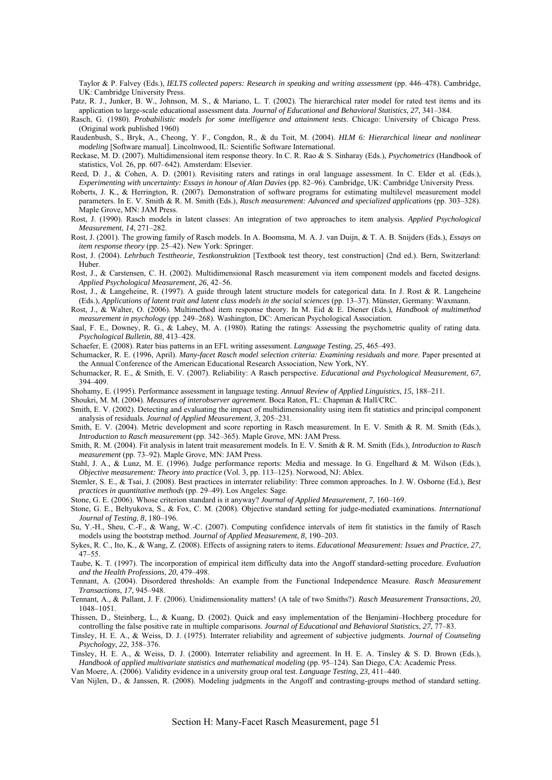Taylor & P. Falvey (Eds.), *IELTS collected papers: Research in speaking and writing assessment* (pp. 446–478). Cambridge, UK: Cambridge University Press.

Patz, R. J., Junker, B. W., Johnson, M. S., & Mariano, L. T. (2002). The hierarchical rater model for rated test items and its application to large-scale educational assessment data. *Journal of Educational and Behavioral Statistics*, *27*, 341–384.

Rasch, G. (1980). *Probabilistic models for some intelligence and attainment tests*. Chicago: University of Chicago Press. (Original work published 1960)

Raudenbush, S., Bryk, A., Cheong, Y. F., Congdon, R., & du Toit, M. (2004). *HLM 6: Hierarchical linear and nonlinear modeling* [Software manual]. Lincolnwood, IL: Scientific Software International.

- Reckase, M. D. (2007). Multidimensional item response theory. In C. R. Rao & S. Sinharay (Eds.), *Psychometrics* (Handbook of statistics, Vol. 26, pp. 607–642). Amsterdam: Elsevier.
- Reed, D. J., & Cohen, A. D. (2001). Revisiting raters and ratings in oral language assessment. In C. Elder et al. (Eds.), *Experimenting with uncertainty: Essays in honour of Alan Davies* (pp. 82–96). Cambridge, UK: Cambridge University Press.
- Roberts, J. K., & Herrington, R. (2007). Demonstration of software programs for estimating multilevel measurement model parameters. In E. V. Smith & R. M. Smith (Eds.), *Rasch measurement: Advanced and specialized applications* (pp. 303–328). Maple Grove, MN: JAM Press.
- Rost, J. (1990). Rasch models in latent classes: An integration of two approaches to item analysis. *Applied Psychological Measurement*, *14*, 271–282.
- Rost, J. (2001). The growing family of Rasch models. In A. Boomsma, M. A. J. van Duijn, & T. A. B. Snijders (Eds.), *Essays on item response theory* (pp. 25–42). New York: Springer.
- Rost, J. (2004). *Lehrbuch Testtheorie, Testkonstruktion* [Textbook test theory, test construction] (2nd ed.). Bern, Switzerland: Huber.
- Rost, J., & Carstensen, C. H. (2002). Multidimensional Rasch measurement via item component models and faceted designs. *Applied Psychological Measurement*, *26*, 42–56.
- Rost, J., & Langeheine, R. (1997). A guide through latent structure models for categorical data. In J. Rost & R. Langeheine (Eds.), *Applications of latent trait and latent class models in the social sciences* (pp. 13–37). Münster, Germany: Waxmann.
- Rost, J., & Walter, O. (2006). Multimethod item response theory. In M. Eid & E. Diener (Eds.), *Handbook of multimethod measurement in psychology* (pp. 249–268). Washington, DC: American Psychological Association.
- Saal, F. E., Downey, R. G., & Lahey, M. A. (1980). Rating the ratings: Assessing the psychometric quality of rating data. *Psychological Bulletin*, *88*, 413–428.

Schaefer, E. (2008). Rater bias patterns in an EFL writing assessment. *Language Testing*, *25*, 465–493.

- Schumacker, R. E. (1996, April). *Many-facet Rasch model selection criteria: Examining residuals and more*. Paper presented at the Annual Conference of the American Educational Research Association, New York, NY.
- Schumacker, R. E., & Smith, E. V. (2007). Reliability: A Rasch perspective. *Educational and Psychological Measurement*, *67*, 394–409.

Shohamy, E. (1995). Performance assessment in language testing. *Annual Review of Applied Linguistics*, *15*, 188–211.

Shoukri, M. M. (2004). *Measures of interobserver agreement*. Boca Raton, FL: Chapman & Hall/CRC.

- Smith, E. V. (2002). Detecting and evaluating the impact of multidimensionality using item fit statistics and principal component analysis of residuals. *Journal of Applied Measurement*, *3*, 205–231.
- Smith, E. V. (2004). Metric development and score reporting in Rasch measurement. In E. V. Smith & R. M. Smith (Eds.), *Introduction to Rasch measurement* (pp. 342–365). Maple Grove, MN: JAM Press.
- Smith, R. M. (2004). Fit analysis in latent trait measurement models. In E. V. Smith & R. M. Smith (Eds.), *Introduction to Rasch measurement* (pp. 73–92). Maple Grove, MN: JAM Press.
- Stahl, J. A., & Lunz, M. E. (1996). Judge performance reports: Media and message. In G. Engelhard & M. Wilson (Eds.), *Objective measurement: Theory into practice* (Vol. 3, pp. 113–125). Norwood, NJ: Ablex.
- Stemler, S. E., & Tsai, J. (2008). Best practices in interrater reliability: Three common approaches. In J. W. Osborne (Ed.), *Best practices in quantitative methods* (pp. 29–49). Los Angeles: Sage.

Stone, G. E. (2006). Whose criterion standard is it anyway? *Journal of Applied Measurement*, *7*, 160–169.

- Stone, G. E., Beltyukova, S., & Fox, C. M. (2008). Objective standard setting for judge-mediated examinations. *International Journal of Testing*, *8*, 180–196.
- Su, Y.-H., Sheu, C.-F., & Wang, W.-C. (2007). Computing confidence intervals of item fit statistics in the family of Rasch models using the bootstrap method. *Journal of Applied Measurement*, *8*, 190–203.
- Sykes, R. C., Ito, K., & Wang, Z. (2008). Effects of assigning raters to items. *Educational Measurement: Issues and Practice*, *27*, 47–55.
- Taube, K. T. (1997). The incorporation of empirical item difficulty data into the Angoff standard-setting procedure. *Evaluation and the Health Professions*, *20*, 479–498.
- Tennant, A. (2004). Disordered thresholds: An example from the Functional Independence Measure. *Rasch Measurement Transactions*, *17*, 945–948.
- Tennant, A., & Pallant, J. F. (2006). Unidimensionality matters! (A tale of two Smiths?). *Rasch Measurement Transactions*, *20*, 1048–1051.
- Thissen, D., Steinberg, L., & Kuang, D. (2002). Quick and easy implementation of the Benjamini–Hochberg procedure for controlling the false positive rate in multiple comparisons. *Journal of Educational and Behavioral Statistics*, *27*, 77–83.
- Tinsley, H. E. A., & Weiss, D. J. (1975). Interrater reliability and agreement of subjective judgments. *Journal of Counseling Psychology*, *22*, 358–376.
- Tinsley, H. E. A., & Weiss, D. J. (2000). Interrater reliability and agreement. In H. E. A. Tinsley & S. D. Brown (Eds.), *Handbook of applied multivariate statistics and mathematical modeling* (pp. 95–124). San Diego, CA: Academic Press.
- Van Moere, A. (2006). Validity evidence in a university group oral test. *Language Testing*, *23*, 411–440. Van Nijlen, D., & Janssen, R. (2008). Modeling judgments in the Angoff and contrasting-groups method of standard setting.